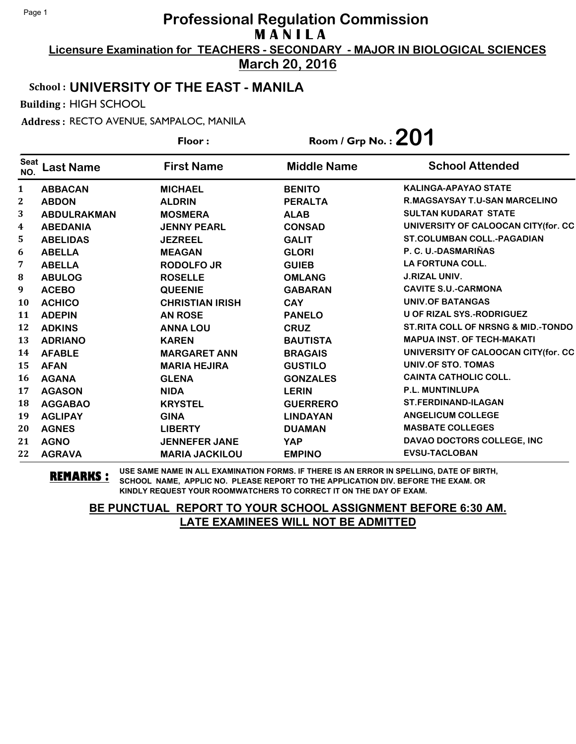**Licensure Examination for TEACHERS - SECONDARY - MAJOR IN BIOLOGICAL SCIENCES March 20, 2016**

School : **UNIVERSITY OF THE EAST - MANILA**

Building : HIGH SCHOOL

Address : RECTO AVENUE, SAMPALOC, MANILA

**Last Name First Name Middle Name** Floor : Room / Grp No. :**201** Seat <sup>seat</sup> Last Name First Name Middle Name School Attended **ABBACAN MICHAEL BENITO KALINGA-APAYAO STATE ABDON ALDRIN PERALTA R.MAGSAYSAY T.U-SAN MARCELINO ABDULRAKMAN MOSMERA ALAB SULTAN KUDARAT STATE ABEDANIA JENNY PEARL CONSAD UNIVERSITY OF CALOOCAN CITY(for. CC ABELIDAS JEZREEL GALIT ST.COLUMBAN COLL.-PAGADIAN ABELLA MEAGAN GLORI P. C. U.-DASMARIÑAS ABELLA RODOLFO JR GUIEB LA FORTUNA COLL. ABULOG ROSELLE OMLANG J.RIZAL UNIV. ACEBO QUEENIE GABARAN CAVITE S.U.-CARMONA ACHICO CHRISTIAN IRISH CAY UNIV.OF BATANGAS ADEPIN AN ROSE PANELO U OF RIZAL SYS.-RODRIGUEZ ADKINS ANNA LOU CRUZ ST.RITA COLL OF NRSNG & MID.-TONDO ADRIANO KAREN BAUTISTA MAPUA INST. OF TECH-MAKATI AFABLE MARGARET ANN BRAGAIS UNIVERSITY OF CALOOCAN CITY(for. CC AFAN MARIA HEJIRA GUSTILO UNIV.OF STO. TOMAS AGANA GLENA GONZALES CAINTA CATHOLIC COLL. AGASON NIDA LERIN P.L. MUNTINLUPA AGGABAO KRYSTEL GUERRERO ST.FERDINAND-ILAGAN AGLIPAY GINA LINDAYAN ANGELICUM COLLEGE AGNES LIBERTY DUAMAN MASBATE COLLEGES AGNO JENNEFER JANE YAP DAVAO DOCTORS COLLEGE, INC AGRAVA MARIA JACKILOU EMPINO EVSU-TACLOBAN**

**REMARKS :** USE SAME NAME IN ALL EXAMINATION FORMS. IF THERE IS AN ERROR IN SPELLING, DATE OF BIRTH, SCHOOL NAME, APPLIC NO. PLEASE REPORT TO THE APPLICATION DIV. BEFORE THE EXAM. OR KINDLY REQUEST YOUR ROOMWATCHERS TO CORRECT IT ON THE DAY OF EXAM.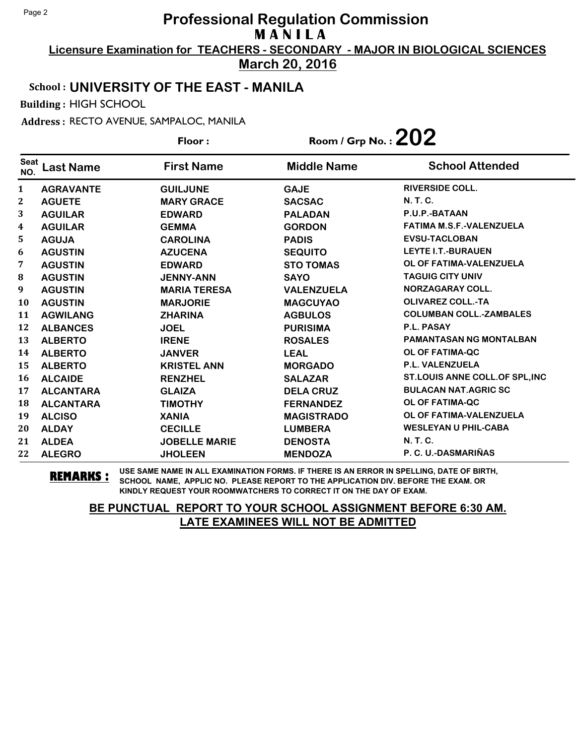**Licensure Examination for TEACHERS - SECONDARY - MAJOR IN BIOLOGICAL SCIENCES March 20, 2016**

## School : **UNIVERSITY OF THE EAST - MANILA**

Building : HIGH SCHOOL

Address : RECTO AVENUE, SAMPALOC, MANILA

|                    |                  | Floor:               | Room / Grp No. : $202$ |                                 |
|--------------------|------------------|----------------------|------------------------|---------------------------------|
| <b>Seat</b><br>NO. | <b>Last Name</b> | <b>First Name</b>    | <b>Middle Name</b>     | <b>School Attended</b>          |
| $\mathbf{1}$       | <b>AGRAVANTE</b> | <b>GUILJUNE</b>      | <b>GAJE</b>            | <b>RIVERSIDE COLL.</b>          |
| 2                  | <b>AGUETE</b>    | <b>MARY GRACE</b>    | <b>SACSAC</b>          | <b>N. T. C.</b>                 |
| 3                  | <b>AGUILAR</b>   | <b>EDWARD</b>        | <b>PALADAN</b>         | P.U.P.-BATAAN                   |
| 4                  | <b>AGUILAR</b>   | <b>GEMMA</b>         | <b>GORDON</b>          | <b>FATIMA M.S.F.-VALENZUELA</b> |
| 5                  | <b>AGUJA</b>     | <b>CAROLINA</b>      | <b>PADIS</b>           | <b>EVSU-TACLOBAN</b>            |
| 6                  | <b>AGUSTIN</b>   | <b>AZUCENA</b>       | <b>SEQUITO</b>         | <b>LEYTE I.T.-BURAUEN</b>       |
| 7                  | <b>AGUSTIN</b>   | <b>EDWARD</b>        | <b>STO TOMAS</b>       | OL OF FATIMA-VALENZUELA         |
| 8                  | <b>AGUSTIN</b>   | <b>JENNY-ANN</b>     | <b>SAYO</b>            | <b>TAGUIG CITY UNIV</b>         |
| 9                  | <b>AGUSTIN</b>   | <b>MARIA TERESA</b>  | <b>VALENZUELA</b>      | NORZAGARAY COLL.                |
| 10                 | <b>AGUSTIN</b>   | <b>MARJORIE</b>      | <b>MAGCUYAO</b>        | <b>OLIVAREZ COLL.-TA</b>        |
| 11                 | <b>AGWILANG</b>  | <b>ZHARINA</b>       | <b>AGBULOS</b>         | <b>COLUMBAN COLL.-ZAMBALES</b>  |
| 12                 | <b>ALBANCES</b>  | <b>JOEL</b>          | <b>PURISIMA</b>        | <b>P.L. PASAY</b>               |
| 13                 | <b>ALBERTO</b>   | <b>IRENE</b>         | <b>ROSALES</b>         | <b>PAMANTASAN NG MONTALBAN</b>  |
| 14                 | <b>ALBERTO</b>   | <b>JANVER</b>        | <b>LEAL</b>            | <b>OL OF FATIMA-QC</b>          |
| 15                 | <b>ALBERTO</b>   | <b>KRISTEL ANN</b>   | <b>MORGADO</b>         | <b>P.L. VALENZUELA</b>          |
| 16                 | <b>ALCAIDE</b>   | <b>RENZHEL</b>       | <b>SALAZAR</b>         | ST.LOUIS ANNE COLL.OF SPL, INC  |
| 17                 | <b>ALCANTARA</b> | <b>GLAIZA</b>        | <b>DELA CRUZ</b>       | <b>BULACAN NAT.AGRIC SC</b>     |
| 18                 | <b>ALCANTARA</b> | <b>TIMOTHY</b>       | <b>FERNANDEZ</b>       | <b>OL OF FATIMA-QC</b>          |
| 19                 | <b>ALCISO</b>    | <b>XANIA</b>         | <b>MAGISTRADO</b>      | OL OF FATIMA-VALENZUELA         |
| 20                 | <b>ALDAY</b>     | <b>CECILLE</b>       | <b>LUMBERA</b>         | <b>WESLEYAN U PHIL-CABA</b>     |
| 21                 | <b>ALDEA</b>     | <b>JOBELLE MARIE</b> | <b>DENOSTA</b>         | N. T. C.                        |
| 22                 | <b>ALEGRO</b>    | <b>JHOLEEN</b>       | <b>MENDOZA</b>         | P. C. U.-DASMARIÑAS             |

**REMARKS :** USE SAME NAME IN ALL EXAMINATION FORMS. IF THERE IS AN ERROR IN SPELLING, DATE OF BIRTH, SCHOOL NAME, APPLIC NO. PLEASE REPORT TO THE APPLICATION DIV. BEFORE THE EXAM. OR KINDLY REQUEST YOUR ROOMWATCHERS TO CORRECT IT ON THE DAY OF EXAM.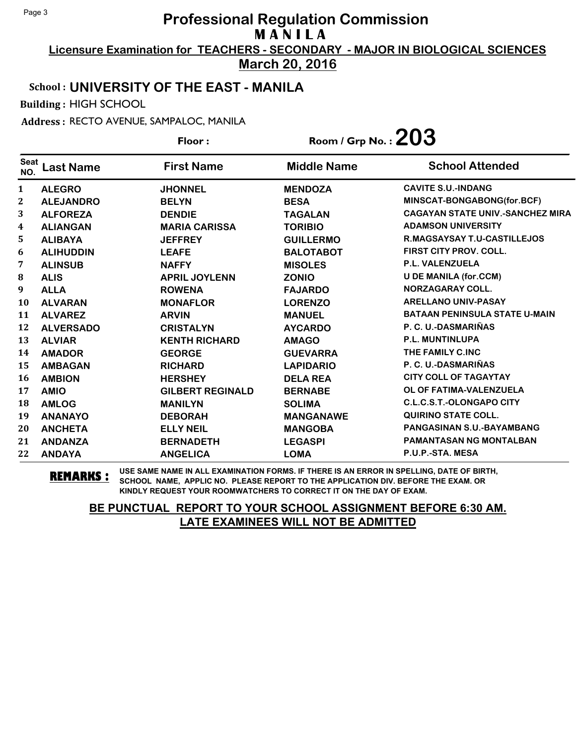**Licensure Examination for TEACHERS - SECONDARY - MAJOR IN BIOLOGICAL SCIENCES March 20, 2016**

# School : **UNIVERSITY OF THE EAST - MANILA**

Building : HIGH SCHOOL

Address : RECTO AVENUE, SAMPALOC, MANILA

|                    |                  | Floor:                  | Room / Grp No. : $203$ |                                         |
|--------------------|------------------|-------------------------|------------------------|-----------------------------------------|
| <b>Seat</b><br>NO. | <b>Last Name</b> | <b>First Name</b>       | <b>Middle Name</b>     | <b>School Attended</b>                  |
| 1                  | <b>ALEGRO</b>    | <b>JHONNEL</b>          | <b>MENDOZA</b>         | <b>CAVITE S.U.-INDANG</b>               |
| $\mathbf{2}$       | <b>ALEJANDRO</b> | <b>BELYN</b>            | <b>BESA</b>            | MINSCAT-BONGABONG(for.BCF)              |
| 3                  | <b>ALFOREZA</b>  | <b>DENDIE</b>           | <b>TAGALAN</b>         | <b>CAGAYAN STATE UNIV.-SANCHEZ MIRA</b> |
| 4                  | <b>ALIANGAN</b>  | <b>MARIA CARISSA</b>    | <b>TORIBIO</b>         | <b>ADAMSON UNIVERSITY</b>               |
| 5                  | <b>ALIBAYA</b>   | <b>JEFFREY</b>          | <b>GUILLERMO</b>       | R.MAGSAYSAY T.U-CASTILLEJOS             |
| 6                  | <b>ALIHUDDIN</b> | <b>LEAFE</b>            | <b>BALOTABOT</b>       | <b>FIRST CITY PROV. COLL.</b>           |
| 7                  | <b>ALINSUB</b>   | <b>NAFFY</b>            | <b>MISOLES</b>         | P.L. VALENZUELA                         |
| 8                  | <b>ALIS</b>      | <b>APRIL JOYLENN</b>    | <b>ZONIO</b>           | <b>U DE MANILA (for.CCM)</b>            |
| 9                  | <b>ALLA</b>      | <b>ROWENA</b>           | <b>FAJARDO</b>         | <b>NORZAGARAY COLL.</b>                 |
| 10                 | <b>ALVARAN</b>   | <b>MONAFLOR</b>         | <b>LORENZO</b>         | <b>ARELLANO UNIV-PASAY</b>              |
| 11                 | <b>ALVAREZ</b>   | <b>ARVIN</b>            | <b>MANUEL</b>          | <b>BATAAN PENINSULA STATE U-MAIN</b>    |
| 12                 | <b>ALVERSADO</b> | <b>CRISTALYN</b>        | <b>AYCARDO</b>         | P. C. U.-DASMARIÑAS                     |
| 13                 | <b>ALVIAR</b>    | <b>KENTH RICHARD</b>    | <b>AMAGO</b>           | <b>P.L. MUNTINLUPA</b>                  |
| 14                 | <b>AMADOR</b>    | <b>GEORGE</b>           | <b>GUEVARRA</b>        | THE FAMILY C.INC                        |
| 15                 | <b>AMBAGAN</b>   | <b>RICHARD</b>          | <b>LAPIDARIO</b>       | P. C. U.-DASMARIÑAS                     |
| 16                 | <b>AMBION</b>    | <b>HERSHEY</b>          | <b>DELA REA</b>        | <b>CITY COLL OF TAGAYTAY</b>            |
| 17                 | <b>AMIO</b>      | <b>GILBERT REGINALD</b> | <b>BERNABE</b>         | OL OF FATIMA-VALENZUELA                 |
| 18                 | <b>AMLOG</b>     | <b>MANILYN</b>          | <b>SOLIMA</b>          | <b>C.L.C.S.T.-OLONGAPO CITY</b>         |
| 19                 | <b>ANANAYO</b>   | <b>DEBORAH</b>          | <b>MANGANAWE</b>       | <b>QUIRINO STATE COLL.</b>              |
| 20                 | <b>ANCHETA</b>   | <b>ELLY NEIL</b>        | <b>MANGOBA</b>         | <b>PANGASINAN S.U.-BAYAMBANG</b>        |
| 21                 | <b>ANDANZA</b>   | <b>BERNADETH</b>        | <b>LEGASPI</b>         | <b>PAMANTASAN NG MONTALBAN</b>          |
| 22                 | <b>ANDAYA</b>    | <b>ANGELICA</b>         | <b>LOMA</b>            | P.U.P.-STA. MESA                        |

**REMARKS :** USE SAME NAME IN ALL EXAMINATION FORMS. IF THERE IS AN ERROR IN SPELLING, DATE OF BIRTH, SCHOOL NAME, APPLIC NO. PLEASE REPORT TO THE APPLICATION DIV. BEFORE THE EXAM. OR KINDLY REQUEST YOUR ROOMWATCHERS TO CORRECT IT ON THE DAY OF EXAM.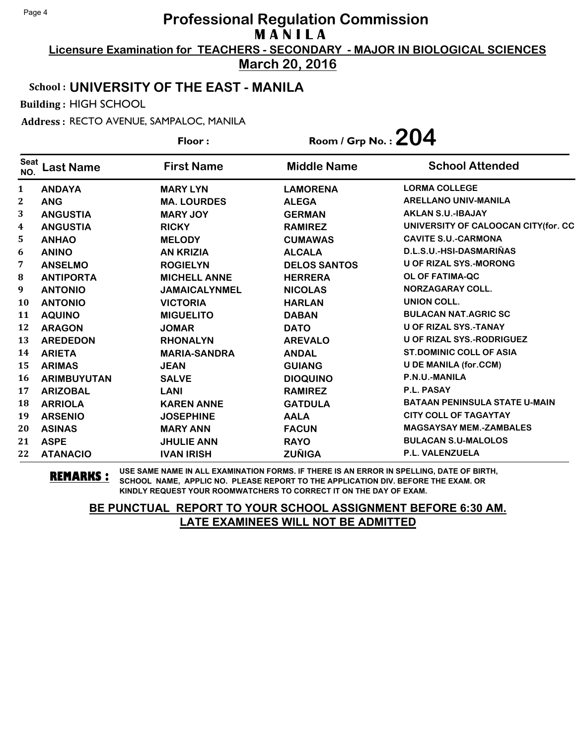**Licensure Examination for TEACHERS - SECONDARY - MAJOR IN BIOLOGICAL SCIENCES March 20, 2016**

School : **UNIVERSITY OF THE EAST - MANILA**

Building : HIGH SCHOOL

Address : RECTO AVENUE, SAMPALOC, MANILA

**Last Name First Name Middle Name** Floor : Room / Grp No. : 204 Seat <sup>seat</sup> Last Name First Name Middle Name School Attended **ANDAYA MARY LYN LAMORENA LORMA COLLEGE ANG MA. LOURDES ALEGA ARELLANO UNIV-MANILA ANGUSTIA MARY JOY GERMAN AKLAN S.U.-IBAJAY ANGUSTIA RICKY RAMIREZ UNIVERSITY OF CALOOCAN CITY(for. CC ANHAO MELODY CUMAWAS CAVITE S.U.-CARMONA ANINO AN KRIZIA ALCALA D.L.S.U.-HSI-DASMARIÑAS ANSELMO ROGIELYN DELOS SANTOS U OF RIZAL SYS.-MORONG ANTIPORTA MICHELL ANNE HERRERA OL OF FATIMA-QC ANTONIO JAMAICALYNMEL NICOLAS NORZAGARAY COLL. ANTONIO VICTORIA HARLAN UNION COLL. AQUINO MIGUELITO DABAN BULACAN NAT.AGRIC SC ARAGON JOMAR DATO U OF RIZAL SYS.-TANAY AREDEDON RHONALYN AREVALO U OF RIZAL SYS.-RODRIGUEZ ARIETA MARIA-SANDRA ANDAL ST.DOMINIC COLL OF ASIA ARIMAS JEAN GUIANG U DE MANILA (for.CCM) ARIMBUYUTAN SALVE DIOQUINO P.N.U.-MANILA ARIZOBAL LANI RAMIREZ P.L. PASAY ARRIOLA KAREN ANNE GATDULA BATAAN PENINSULA STATE U-MAIN ARSENIO JOSEPHINE AALA CITY COLL OF TAGAYTAY ASINAS MARY ANN FACUN MAGSAYSAY MEM.-ZAMBALES ASPE JHULIE ANN RAYO BULACAN S.U-MALOLOS ATANACIO IVAN IRISH ZUÑIGA P.L. VALENZUELA**

**REMARKS :** USE SAME NAME IN ALL EXAMINATION FORMS. IF THERE IS AN ERROR IN SPELLING, DATE OF BIRTH, SCHOOL NAME, APPLIC NO. PLEASE REPORT TO THE APPLICATION DIV. BEFORE THE EXAM. OR KINDLY REQUEST YOUR ROOMWATCHERS TO CORRECT IT ON THE DAY OF EXAM.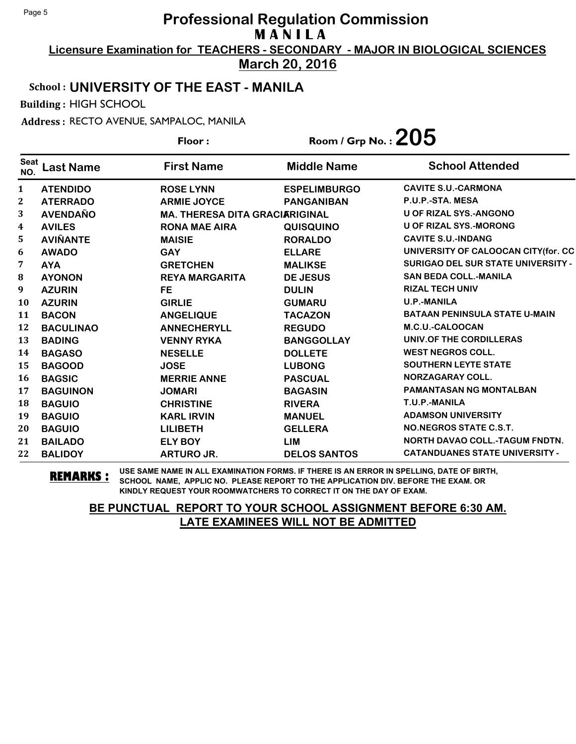**Licensure Examination for TEACHERS - SECONDARY - MAJOR IN BIOLOGICAL SCIENCES March 20, 2016**

#### School : **UNIVERSITY OF THE EAST - MANILA**

Building : HIGH SCHOOL

Address : RECTO AVENUE, SAMPALOC, MANILA

|                    |                  | Floor:                                | Room / Grp No. : $205$ |                                           |
|--------------------|------------------|---------------------------------------|------------------------|-------------------------------------------|
| <b>Seat</b><br>NO. | <b>Last Name</b> | <b>First Name</b>                     | <b>Middle Name</b>     | <b>School Attended</b>                    |
| $\mathbf{1}$       | <b>ATENDIDO</b>  | <b>ROSE LYNN</b>                      | <b>ESPELIMBURGO</b>    | <b>CAVITE S.U.-CARMONA</b>                |
| 2                  | <b>ATERRADO</b>  | <b>ARMIE JOYCE</b>                    | <b>PANGANIBAN</b>      | P.U.P.-STA. MESA                          |
| 3                  | <b>AVENDAÑO</b>  | <b>MA. THERESA DITA GRACIARIGINAL</b> |                        | <b>U OF RIZAL SYS.-ANGONO</b>             |
| 4                  | <b>AVILES</b>    | <b>RONA MAE AIRA</b>                  | <b>QUISQUINO</b>       | <b>U OF RIZAL SYS.-MORONG</b>             |
| 5                  | <b>AVIÑANTE</b>  | <b>MAISIE</b>                         | <b>RORALDO</b>         | <b>CAVITE S.U.-INDANG</b>                 |
| 6                  | <b>AWADO</b>     | <b>GAY</b>                            | <b>ELLARE</b>          | UNIVERSITY OF CALOOCAN CITY(for. CC       |
| 7                  | <b>AYA</b>       | <b>GRETCHEN</b>                       | <b>MALIKSE</b>         | <b>SURIGAO DEL SUR STATE UNIVERSITY -</b> |
| 8                  | <b>AYONON</b>    | <b>REYA MARGARITA</b>                 | <b>DE JESUS</b>        | <b>SAN BEDA COLL.-MANILA</b>              |
| 9                  | <b>AZURIN</b>    | <b>FE</b>                             | <b>DULIN</b>           | <b>RIZAL TECH UNIV</b>                    |
| 10                 | <b>AZURIN</b>    | <b>GIRLIE</b>                         | <b>GUMARU</b>          | <b>U.P.-MANILA</b>                        |
| 11                 | <b>BACON</b>     | <b>ANGELIQUE</b>                      | <b>TACAZON</b>         | <b>BATAAN PENINSULA STATE U-MAIN</b>      |
| 12                 | <b>BACULINAO</b> | <b>ANNECHERYLL</b>                    | <b>REGUDO</b>          | M.C.U.-CALOOCAN                           |
| 13                 | <b>BADING</b>    | <b>VENNY RYKA</b>                     | <b>BANGGOLLAY</b>      | UNIV.OF THE CORDILLERAS                   |
| 14                 | <b>BAGASO</b>    | <b>NESELLE</b>                        | <b>DOLLETE</b>         | <b>WEST NEGROS COLL.</b>                  |
| 15                 | <b>BAGOOD</b>    | <b>JOSE</b>                           | <b>LUBONG</b>          | <b>SOUTHERN LEYTE STATE</b>               |
| 16                 | <b>BAGSIC</b>    | <b>MERRIE ANNE</b>                    | <b>PASCUAL</b>         | <b>NORZAGARAY COLL.</b>                   |
| 17                 | <b>BAGUINON</b>  | <b>JOMARI</b>                         | <b>BAGASIN</b>         | <b>PAMANTASAN NG MONTALBAN</b>            |
| 18                 | <b>BAGUIO</b>    | <b>CHRISTINE</b>                      | <b>RIVERA</b>          | T.U.P.-MANILA                             |
| 19                 | <b>BAGUIO</b>    | <b>KARL IRVIN</b>                     | <b>MANUEL</b>          | <b>ADAMSON UNIVERSITY</b>                 |
| 20                 | <b>BAGUIO</b>    | <b>LILIBETH</b>                       | <b>GELLERA</b>         | NO.NEGROS STATE C.S.T.                    |
| 21                 | <b>BAILADO</b>   | <b>ELY BOY</b>                        | <b>LIM</b>             | <b>NORTH DAVAO COLL.-TAGUM FNDTN.</b>     |
| 22                 | <b>BALIDOY</b>   | <b>ARTURO JR.</b>                     | <b>DELOS SANTOS</b>    | <b>CATANDUANES STATE UNIVERSITY -</b>     |

**REMARKS :** USE SAME NAME IN ALL EXAMINATION FORMS. IF THERE IS AN ERROR IN SPELLING, DATE OF BIRTH, SCHOOL NAME, APPLIC NO. PLEASE REPORT TO THE APPLICATION DIV. BEFORE THE EXAM. OR KINDLY REQUEST YOUR ROOMWATCHERS TO CORRECT IT ON THE DAY OF EXAM.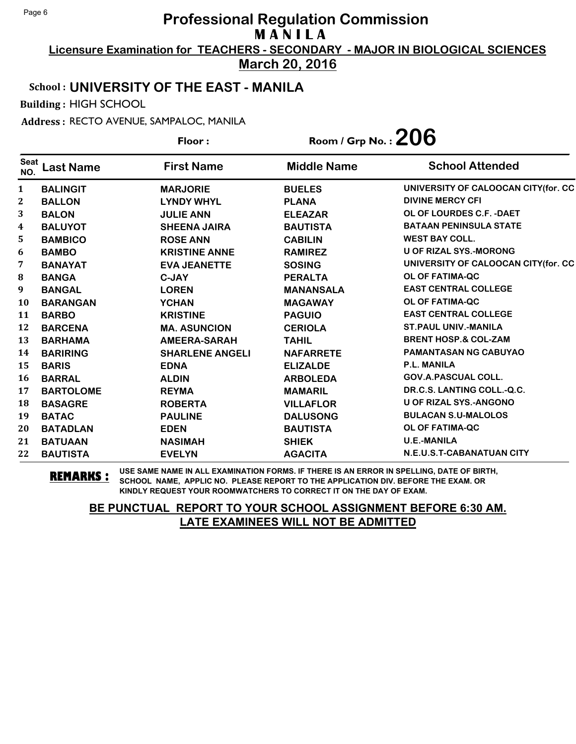**Licensure Examination for TEACHERS - SECONDARY - MAJOR IN BIOLOGICAL SCIENCES March 20, 2016**

School : **UNIVERSITY OF THE EAST - MANILA**

Building : HIGH SCHOOL

Address : RECTO AVENUE, SAMPALOC, MANILA

**Last Name First Name Middle Name** Floor : Room / Grp No. : 206 Seat <sup>Seat</sup> Last Name First Name Middle Name School Attended **BALINGIT MARJORIE BUELES UNIVERSITY OF CALOOCAN CITY(for. CC BALLON LYNDY WHYL PLANA DIVINE MERCY CFI BALON JULIE ANN ELEAZAR OL OF LOURDES C.F. -DAET BALUYOT SHEENA JAIRA BAUTISTA BATAAN PENINSULA STATE BAMBICO ROSE ANN CABILIN WEST BAY COLL. BAMBO KRISTINE ANNE RAMIREZ U OF RIZAL SYS.-MORONG BANAYAT EVA JEANETTE SOSING UNIVERSITY OF CALOOCAN CITY(for. CC BANGA C-JAY PERALTA OL OF FATIMA-QC BANGAL LOREN MANANSALA EAST CENTRAL COLLEGE BARANGAN YCHAN MAGAWAY OL OF FATIMA-QC BARBO KRISTINE PAGUIO EAST CENTRAL COLLEGE BARCENA MA. ASUNCION CERIOLA ST.PAUL UNIV.-MANILA BARHAMA AMEERA-SARAH TAHIL BRENT HOSP.& COL-ZAM BARIRING SHARLENE ANGELI NAFARRETE PAMANTASAN NG CABUYAO BARIS EDNA ELIZALDE P.L. MANILA BARRAL ALDIN ARBOLEDA GOV.A.PASCUAL COLL. BARTOLOME REYMA MAMARIL DR.C.S. LANTING COLL.-Q.C. BASAGRE ROBERTA VILLAFLOR U OF RIZAL SYS.-ANGONO BATAC PAULINE DALUSONG BULACAN S.U-MALOLOS BATADLAN EDEN BAUTISTA OL OF FATIMA-QC BATUAAN NASIMAH SHIEK U.E.-MANILA BAUTISTA EVELYN AGACITA N.E.U.S.T-CABANATUAN CITY**

**REMARKS :** USE SAME NAME IN ALL EXAMINATION FORMS. IF THERE IS AN ERROR IN SPELLING, DATE OF BIRTH, SCHOOL NAME, APPLIC NO. PLEASE REPORT TO THE APPLICATION DIV. BEFORE THE EXAM. OR KINDLY REQUEST YOUR ROOMWATCHERS TO CORRECT IT ON THE DAY OF EXAM.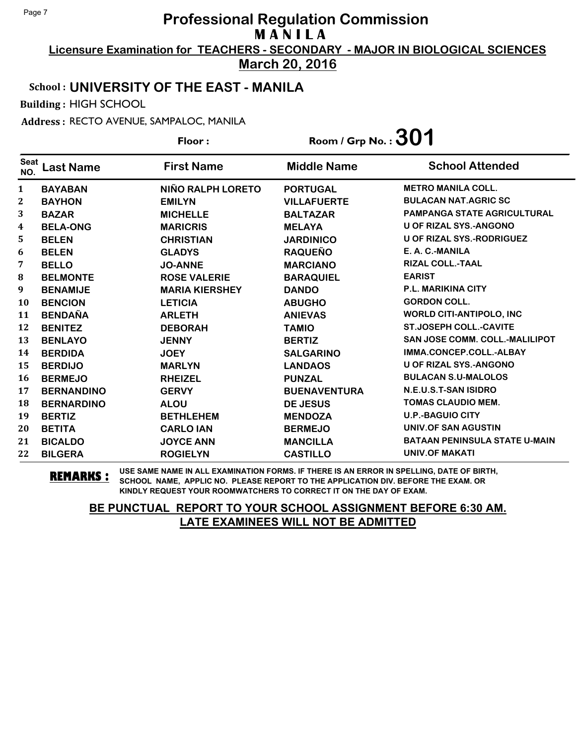**Licensure Examination for TEACHERS - SECONDARY - MAJOR IN BIOLOGICAL SCIENCES March 20, 2016**

## School : **UNIVERSITY OF THE EAST - MANILA**

Building : HIGH SCHOOL

Address : RECTO AVENUE, SAMPALOC, MANILA

**Last Name First Name Middle Name** Floor : Room / Grp No. :**301** Seat <sup>seat</sup> Last Name First Name Middle Name School Attended **BAYABAN NIÑO RALPH LORETO PORTUGAL METRO MANILA COLL. BAYHON EMILYN VILLAFUERTE BULACAN NAT.AGRIC SC BAZAR MICHELLE BALTAZAR PAMPANGA STATE AGRICULTURAL BELA-ONG MARICRIS MELAYA U OF RIZAL SYS.-ANGONO BELEN CHRISTIAN JARDINICO U OF RIZAL SYS.-RODRIGUEZ BELEN GLADYS RAQUEÑO E. A. C.-MANILA BELLO JO-ANNE MARCIANO RIZAL COLL.-TAAL BELMONTE ROSE VALERIE BARAQUIEL EARIST BENAMIJE MARIA KIERSHEY DANDO P.L. MARIKINA CITY BENCION LETICIA ABUGHO GORDON COLL. BENDAÑA ARLETH ANIEVAS WORLD CITI-ANTIPOLO, INC BENITEZ DEBORAH TAMIO ST.JOSEPH COLL.-CAVITE BENLAYO JENNY BERTIZ SAN JOSE COMM. COLL.-MALILIPOT BERDIDA JOEY SALGARINO IMMA.CONCEP.COLL.-ALBAY BERDIJO MARLYN LANDAOS U OF RIZAL SYS.-ANGONO BERMEJO RHEIZEL PUNZAL BULACAN S.U-MALOLOS BERNANDINO GERVY BUENAVENTURA N.E.U.S.T-SAN ISIDRO BERNARDINO ALOU DE JESUS TOMAS CLAUDIO MEM. BERTIZ BETHLEHEM MENDOZA U.P.-BAGUIO CITY BETITA CARLO IAN BERMEJO UNIV.OF SAN AGUSTIN BICALDO JOYCE ANN MANCILLA BATAAN PENINSULA STATE U-MAIN BILGERA ROGIELYN CASTILLO UNIV.OF MAKATI**

**REMARKS :** USE SAME NAME IN ALL EXAMINATION FORMS. IF THERE IS AN ERROR IN SPELLING, DATE OF BIRTH, SCHOOL NAME, APPLIC NO. PLEASE REPORT TO THE APPLICATION DIV. BEFORE THE EXAM. OR KINDLY REQUEST YOUR ROOMWATCHERS TO CORRECT IT ON THE DAY OF EXAM.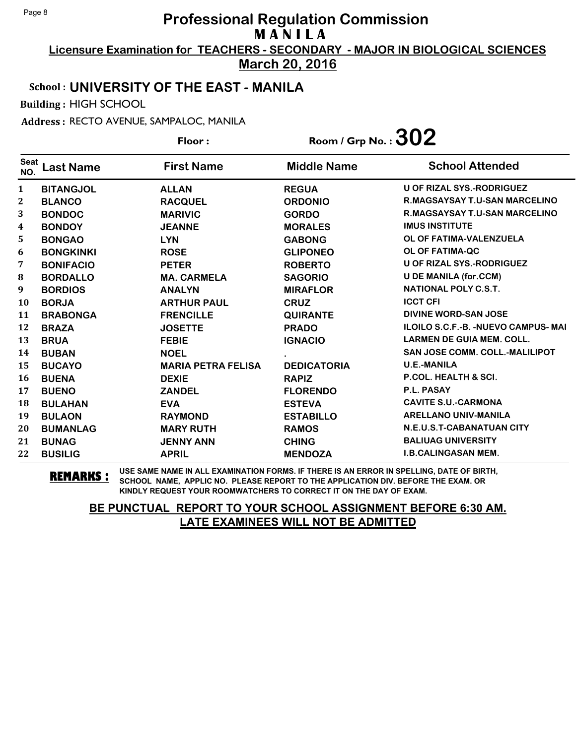**Licensure Examination for TEACHERS - SECONDARY - MAJOR IN BIOLOGICAL SCIENCES March 20, 2016**

# School : **UNIVERSITY OF THE EAST - MANILA**

Building : HIGH SCHOOL

Address : RECTO AVENUE, SAMPALOC, MANILA

|                    |                  | Floor:                    | Room / Grp No. : $302$ |                                             |
|--------------------|------------------|---------------------------|------------------------|---------------------------------------------|
| <b>Seat</b><br>NO. | <b>Last Name</b> | <b>First Name</b>         | <b>Middle Name</b>     | <b>School Attended</b>                      |
| $\mathbf{1}$       | <b>BITANGJOL</b> | <b>ALLAN</b>              | <b>REGUA</b>           | U OF RIZAL SYS.-RODRIGUEZ                   |
| 2                  | <b>BLANCO</b>    | <b>RACQUEL</b>            | <b>ORDONIO</b>         | <b>R.MAGSAYSAY T.U-SAN MARCELINO</b>        |
| 3                  | <b>BONDOC</b>    | <b>MARIVIC</b>            | <b>GORDO</b>           | R.MAGSAYSAY T.U-SAN MARCELINO               |
| 4                  | <b>BONDOY</b>    | <b>JEANNE</b>             | <b>MORALES</b>         | <b>IMUS INSTITUTE</b>                       |
| 5                  | <b>BONGAO</b>    | <b>LYN</b>                | <b>GABONG</b>          | OL OF FATIMA-VALENZUELA                     |
| 6                  | <b>BONGKINKI</b> | <b>ROSE</b>               | <b>GLIPONEO</b>        | OL OF FATIMA-QC                             |
| 7                  | <b>BONIFACIO</b> | <b>PETER</b>              | <b>ROBERTO</b>         | <b>U OF RIZAL SYS.-RODRIGUEZ</b>            |
| 8                  | <b>BORDALLO</b>  | <b>MA. CARMELA</b>        | <b>SAGORIO</b>         | <b>U DE MANILA (for.CCM)</b>                |
| $\boldsymbol{9}$   | <b>BORDIOS</b>   | <b>ANALYN</b>             | <b>MIRAFLOR</b>        | NATIONAL POLY C.S.T.                        |
| <b>10</b>          | <b>BORJA</b>     | <b>ARTHUR PAUL</b>        | <b>CRUZ</b>            | <b>ICCT CFI</b>                             |
| 11                 | <b>BRABONGA</b>  | <b>FRENCILLE</b>          | <b>QUIRANTE</b>        | <b>DIVINE WORD-SAN JOSE</b>                 |
| 12                 | <b>BRAZA</b>     | <b>JOSETTE</b>            | <b>PRADO</b>           | <b>ILOILO S.C.F.-B. - NUEVO CAMPUS- MAI</b> |
| 13                 | <b>BRUA</b>      | <b>FEBIE</b>              | <b>IGNACIO</b>         | <b>LARMEN DE GUIA MEM. COLL.</b>            |
| 14                 | <b>BUBAN</b>     | <b>NOEL</b>               |                        | <b>SAN JOSE COMM. COLL.-MALILIPOT</b>       |
| 15                 | <b>BUCAYO</b>    | <b>MARIA PETRA FELISA</b> | <b>DEDICATORIA</b>     | <b>U.E.-MANILA</b>                          |
| <b>16</b>          | <b>BUENA</b>     | <b>DEXIE</b>              | <b>RAPIZ</b>           | <b>P.COL. HEALTH &amp; SCI.</b>             |
| 17                 | <b>BUENO</b>     | <b>ZANDEL</b>             | <b>FLORENDO</b>        | P.L. PASAY                                  |
| 18                 | <b>BULAHAN</b>   | <b>EVA</b>                | <b>ESTEVA</b>          | <b>CAVITE S.U.-CARMONA</b>                  |
| 19                 | <b>BULAON</b>    | <b>RAYMOND</b>            | <b>ESTABILLO</b>       | <b>ARELLANO UNIV-MANILA</b>                 |
| 20                 | <b>BUMANLAG</b>  | <b>MARY RUTH</b>          | <b>RAMOS</b>           | <b>N.E.U.S.T-CABANATUAN CITY</b>            |
| 21                 | <b>BUNAG</b>     | <b>JENNY ANN</b>          | <b>CHING</b>           | <b>BALIUAG UNIVERSITY</b>                   |
| 22                 | <b>BUSILIG</b>   | <b>APRIL</b>              | <b>MENDOZA</b>         | <b>I.B.CALINGASAN MEM.</b>                  |

**REMARKS :** USE SAME NAME IN ALL EXAMINATION FORMS. IF THERE IS AN ERROR IN SPELLING, DATE OF BIRTH, SCHOOL NAME, APPLIC NO. PLEASE REPORT TO THE APPLICATION DIV. BEFORE THE EXAM. OR KINDLY REQUEST YOUR ROOMWATCHERS TO CORRECT IT ON THE DAY OF EXAM.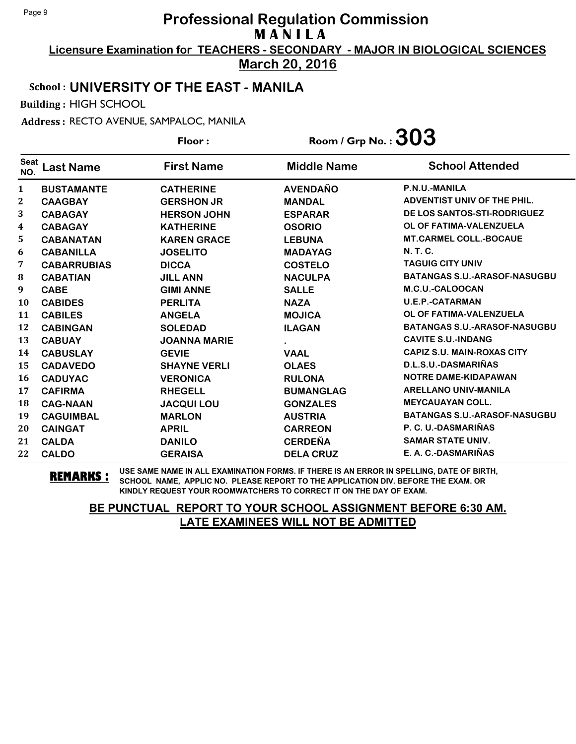**Licensure Examination for TEACHERS - SECONDARY - MAJOR IN BIOLOGICAL SCIENCES March 20, 2016**

## School : **UNIVERSITY OF THE EAST - MANILA**

Building : HIGH SCHOOL

Address : RECTO AVENUE, SAMPALOC, MANILA

**Last Name First Name Middle Name** Floor : Room / Grp No. :  $303$ Seat <sup>seat</sup> Last Name First Name Middle Name School Attended **BUSTAMANTE CATHERINE AVENDAÑO P.N.U.-MANILA CAAGBAY GERSHON JR MANDAL ADVENTIST UNIV OF THE PHIL. CABAGAY HERSON JOHN ESPARAR DE LOS SANTOS-STI-RODRIGUEZ CABAGAY KATHERINE OSORIO OL OF FATIMA-VALENZUELA CABANATAN KAREN GRACE LEBUNA MT.CARMEL COLL.-BOCAUE CABANILLA JOSELITO MADAYAG N. T. C. CABARRUBIAS DICCA COSTELO TAGUIG CITY UNIV CABATIAN JILL ANN NACULPA BATANGAS S.U.-ARASOF-NASUGBU CABE GIMI ANNE SALLE M.C.U.-CALOOCAN CABIDES PERLITA NAZA U.E.P.-CATARMAN CABILES ANGELA MOJICA OL OF FATIMA-VALENZUELA CABINGAN SOLEDAD ILAGAN BATANGAS S.U.-ARASOF-NASUGBU CABUAY JOANNA MARIE . CAVITE S.U.-INDANG CABUSLAY GEVIE VAAL CAPIZ S.U. MAIN-ROXAS CITY CADAVEDO SHAYNE VERLI OLAES D.L.S.U.-DASMARIÑAS CADUYAC VERONICA RULONA NOTRE DAME-KIDAPAWAN CAFIRMA RHEGELL BUMANGLAG ARELLANO UNIV-MANILA CAG-NAAN JACQUI LOU GONZALES MEYCAUAYAN COLL. CAGUIMBAL MARLON AUSTRIA BATANGAS S.U.-ARASOF-NASUGBU CAINGAT APRIL CARREON P. C. U.-DASMARIÑAS CALDA DANILO CERDEÑA SAMAR STATE UNIV. CALDO GERAISA DELA CRUZ E. A. C.-DASMARIÑAS**

**REMARKS :** USE SAME NAME IN ALL EXAMINATION FORMS. IF THERE IS AN ERROR IN SPELLING, DATE OF BIRTH, SCHOOL NAME, APPLIC NO. PLEASE REPORT TO THE APPLICATION DIV. BEFORE THE EXAM. OR KINDLY REQUEST YOUR ROOMWATCHERS TO CORRECT IT ON THE DAY OF EXAM.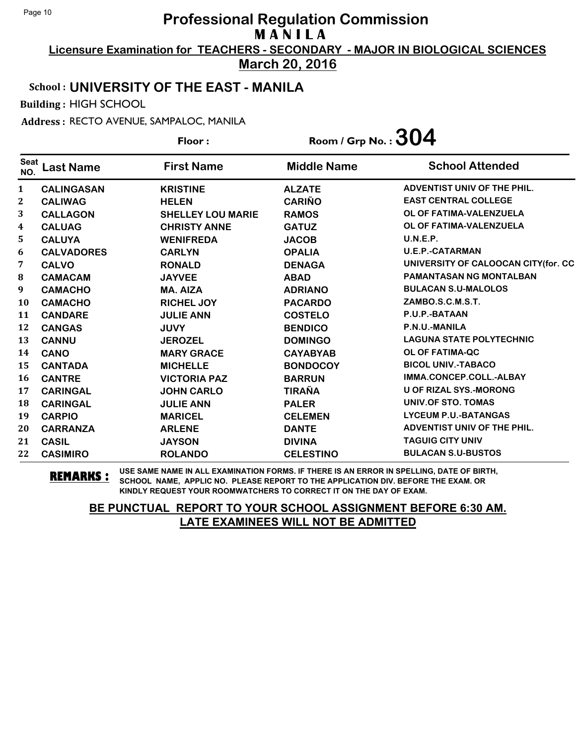**Licensure Examination for TEACHERS - SECONDARY - MAJOR IN BIOLOGICAL SCIENCES March 20, 2016**

#### School : **UNIVERSITY OF THE EAST - MANILA**

Building : HIGH SCHOOL

Address : RECTO AVENUE, SAMPALOC, MANILA

|                         |                   | Floor:                   | Room / Grp No. : $304$ |                                     |
|-------------------------|-------------------|--------------------------|------------------------|-------------------------------------|
| <b>Seat</b><br>NO.      | <b>Last Name</b>  | <b>First Name</b>        | <b>Middle Name</b>     | <b>School Attended</b>              |
| $\mathbf{1}$            | <b>CALINGASAN</b> | <b>KRISTINE</b>          | <b>ALZATE</b>          | ADVENTIST UNIV OF THE PHIL.         |
| $\boldsymbol{2}$        | <b>CALIWAG</b>    | <b>HELEN</b>             | <b>CARIÑO</b>          | <b>EAST CENTRAL COLLEGE</b>         |
| 3                       | <b>CALLAGON</b>   | <b>SHELLEY LOU MARIE</b> | <b>RAMOS</b>           | OL OF FATIMA-VALENZUELA             |
| $\overline{\mathbf{4}}$ | <b>CALUAG</b>     | <b>CHRISTY ANNE</b>      | <b>GATUZ</b>           | OL OF FATIMA-VALENZUELA             |
| 5                       | <b>CALUYA</b>     | <b>WENIFREDA</b>         | <b>JACOB</b>           | U.N.E.P.                            |
| 6                       | <b>CALVADORES</b> | <b>CARLYN</b>            | <b>OPALIA</b>          | <b>U.E.P.-CATARMAN</b>              |
| 7                       | <b>CALVO</b>      | <b>RONALD</b>            | <b>DENAGA</b>          | UNIVERSITY OF CALOOCAN CITY(for. CC |
| 8                       | <b>CAMACAM</b>    | <b>JAYVEE</b>            | <b>ABAD</b>            | <b>PAMANTASAN NG MONTALBAN</b>      |
| $\boldsymbol{9}$        | <b>CAMACHO</b>    | <b>MA. AIZA</b>          | <b>ADRIANO</b>         | <b>BULACAN S.U-MALOLOS</b>          |
| <b>10</b>               | <b>CAMACHO</b>    | <b>RICHEL JOY</b>        | <b>PACARDO</b>         | ZAMBO.S.C.M.S.T.                    |
| 11                      | <b>CANDARE</b>    | <b>JULIE ANN</b>         | <b>COSTELO</b>         | P.U.P.-BATAAN                       |
| 12                      | <b>CANGAS</b>     | <b>JUVY</b>              | <b>BENDICO</b>         | P.N.U.-MANILA                       |
| 13                      | <b>CANNU</b>      | <b>JEROZEL</b>           | <b>DOMINGO</b>         | <b>LAGUNA STATE POLYTECHNIC</b>     |
| 14                      | <b>CANO</b>       | <b>MARY GRACE</b>        | <b>CAYABYAB</b>        | <b>OL OF FATIMA-QC</b>              |
| 15                      | <b>CANTADA</b>    | <b>MICHELLE</b>          | <b>BONDOCOY</b>        | <b>BICOL UNIV.-TABACO</b>           |
| <b>16</b>               | <b>CANTRE</b>     | <b>VICTORIA PAZ</b>      | <b>BARRUN</b>          | IMMA.CONCEP.COLL.-ALBAY             |
| 17                      | <b>CARINGAL</b>   | <b>JOHN CARLO</b>        | <b>TIRAÑA</b>          | <b>U OF RIZAL SYS.-MORONG</b>       |
| 18                      | <b>CARINGAL</b>   | <b>JULIE ANN</b>         | <b>PALER</b>           | UNIV.OF STO. TOMAS                  |
| 19                      | <b>CARPIO</b>     | <b>MARICEL</b>           | <b>CELEMEN</b>         | <b>LYCEUM P.U.-BATANGAS</b>         |
| 20                      | <b>CARRANZA</b>   | <b>ARLENE</b>            | <b>DANTE</b>           | ADVENTIST UNIV OF THE PHIL.         |
| 21                      | <b>CASIL</b>      | <b>JAYSON</b>            | <b>DIVINA</b>          | <b>TAGUIG CITY UNIV</b>             |
| 22                      | <b>CASIMIRO</b>   | <b>ROLANDO</b>           | <b>CELESTINO</b>       | <b>BULACAN S.U-BUSTOS</b>           |

**REMARKS :** USE SAME NAME IN ALL EXAMINATION FORMS. IF THERE IS AN ERROR IN SPELLING, DATE OF BIRTH, SCHOOL NAME, APPLIC NO. PLEASE REPORT TO THE APPLICATION DIV. BEFORE THE EXAM. OR KINDLY REQUEST YOUR ROOMWATCHERS TO CORRECT IT ON THE DAY OF EXAM.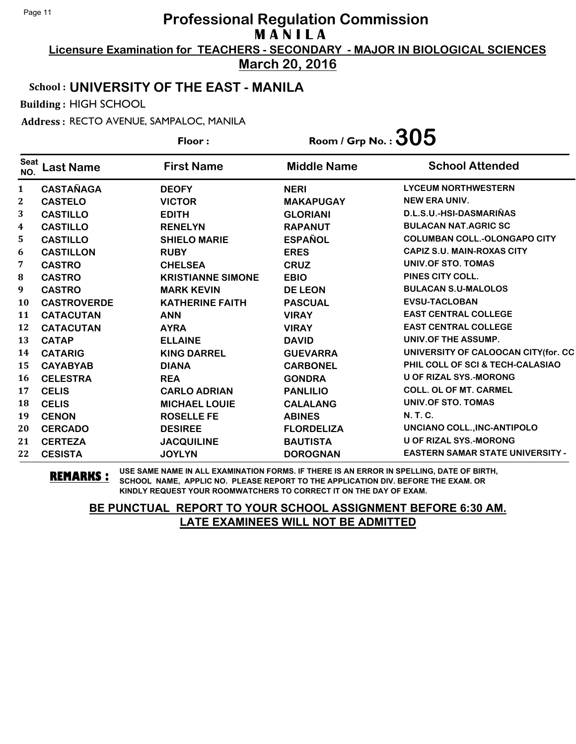**Licensure Examination for TEACHERS - SECONDARY - MAJOR IN BIOLOGICAL SCIENCES March 20, 2016**

#### School : **UNIVERSITY OF THE EAST - MANILA**

Building : HIGH SCHOOL

Address : RECTO AVENUE, SAMPALOC, MANILA

|                    |                    | Floor:                   | Room / Grp No. : $305$ |                                         |
|--------------------|--------------------|--------------------------|------------------------|-----------------------------------------|
| <b>Seat</b><br>NO. | <b>Last Name</b>   | <b>First Name</b>        | <b>Middle Name</b>     | <b>School Attended</b>                  |
| $\mathbf{1}$       | <b>CASTAÑAGA</b>   | <b>DEOFY</b>             | <b>NERI</b>            | <b>LYCEUM NORTHWESTERN</b>              |
| 2                  | <b>CASTELO</b>     | <b>VICTOR</b>            | <b>MAKAPUGAY</b>       | NEW ERA UNIV.                           |
| 3                  | <b>CASTILLO</b>    | <b>EDITH</b>             | <b>GLORIANI</b>        | D.L.S.U.-HSI-DASMARIÑAS                 |
| 4                  | <b>CASTILLO</b>    | <b>RENELYN</b>           | <b>RAPANUT</b>         | <b>BULACAN NAT.AGRIC SC</b>             |
| 5                  | <b>CASTILLO</b>    | <b>SHIELO MARIE</b>      | <b>ESPAÑOL</b>         | <b>COLUMBAN COLL.-OLONGAPO CITY</b>     |
| 6                  | <b>CASTILLON</b>   | <b>RUBY</b>              | <b>ERES</b>            | <b>CAPIZ S.U. MAIN-ROXAS CITY</b>       |
| 7                  | <b>CASTRO</b>      | <b>CHELSEA</b>           | <b>CRUZ</b>            | UNIV.OF STO. TOMAS                      |
| 8                  | <b>CASTRO</b>      | <b>KRISTIANNE SIMONE</b> | <b>EBIO</b>            | PINES CITY COLL.                        |
| 9                  | <b>CASTRO</b>      | <b>MARK KEVIN</b>        | <b>DE LEON</b>         | <b>BULACAN S.U-MALOLOS</b>              |
| 10                 | <b>CASTROVERDE</b> | <b>KATHERINE FAITH</b>   | <b>PASCUAL</b>         | <b>EVSU-TACLOBAN</b>                    |
| 11                 | <b>CATACUTAN</b>   | <b>ANN</b>               | <b>VIRAY</b>           | <b>EAST CENTRAL COLLEGE</b>             |
| 12                 | <b>CATACUTAN</b>   | <b>AYRA</b>              | <b>VIRAY</b>           | <b>EAST CENTRAL COLLEGE</b>             |
| 13                 | <b>CATAP</b>       | <b>ELLAINE</b>           | <b>DAVID</b>           | UNIV.OF THE ASSUMP.                     |
| 14                 | <b>CATARIG</b>     | <b>KING DARREL</b>       | <b>GUEVARRA</b>        | UNIVERSITY OF CALOOCAN CITY(for. CC     |
| 15                 | <b>CAYABYAB</b>    | <b>DIANA</b>             | <b>CARBONEL</b>        | PHIL COLL OF SCI & TECH-CALASIAO        |
| 16                 | <b>CELESTRA</b>    | <b>REA</b>               | <b>GONDRA</b>          | <b>U OF RIZAL SYS.-MORONG</b>           |
| 17                 | <b>CELIS</b>       | <b>CARLO ADRIAN</b>      | <b>PANLILIO</b>        | <b>COLL. OL OF MT. CARMEL</b>           |
| 18                 | <b>CELIS</b>       | <b>MICHAEL LOUIE</b>     | <b>CALALANG</b>        | UNIV.OF STO. TOMAS                      |
| 19                 | <b>CENON</b>       | <b>ROSELLE FE</b>        | <b>ABINES</b>          | N. T. C.                                |
| 20                 | <b>CERCADO</b>     | <b>DESIREE</b>           | <b>FLORDELIZA</b>      | UNCIANO COLL., INC-ANTIPOLO             |
| 21                 | <b>CERTEZA</b>     | <b>JACQUILINE</b>        | <b>BAUTISTA</b>        | <b>U OF RIZAL SYS.-MORONG</b>           |
| 22                 | <b>CESISTA</b>     | <b>JOYLYN</b>            | <b>DOROGNAN</b>        | <b>EASTERN SAMAR STATE UNIVERSITY -</b> |

**REMARKS :** USE SAME NAME IN ALL EXAMINATION FORMS. IF THERE IS AN ERROR IN SPELLING, DATE OF BIRTH, SCHOOL NAME, APPLIC NO. PLEASE REPORT TO THE APPLICATION DIV. BEFORE THE EXAM. OR KINDLY REQUEST YOUR ROOMWATCHERS TO CORRECT IT ON THE DAY OF EXAM.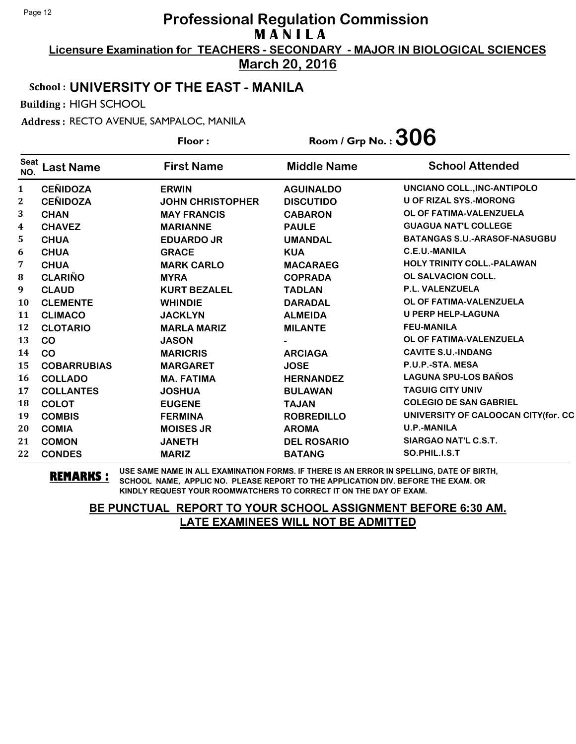**Licensure Examination for TEACHERS - SECONDARY - MAJOR IN BIOLOGICAL SCIENCES March 20, 2016**

## School : **UNIVERSITY OF THE EAST - MANILA**

Building : HIGH SCHOOL

Address : RECTO AVENUE, SAMPALOC, MANILA

|                    |                    | Floor:                  | Room / Grp No. : $306$ |                                     |
|--------------------|--------------------|-------------------------|------------------------|-------------------------------------|
| <b>Seat</b><br>NO. | <b>Last Name</b>   | <b>First Name</b>       | <b>Middle Name</b>     | <b>School Attended</b>              |
| $\mathbf{1}$       | <b>CEÑIDOZA</b>    | <b>ERWIN</b>            | <b>AGUINALDO</b>       | UNCIANO COLL., INC-ANTIPOLO         |
| $\boldsymbol{2}$   | <b>CEÑIDOZA</b>    | <b>JOHN CHRISTOPHER</b> | <b>DISCUTIDO</b>       | <b>U OF RIZAL SYS.-MORONG</b>       |
| 3                  | <b>CHAN</b>        | <b>MAY FRANCIS</b>      | <b>CABARON</b>         | OL OF FATIMA-VALENZUELA             |
| 4                  | <b>CHAVEZ</b>      | <b>MARIANNE</b>         | <b>PAULE</b>           | <b>GUAGUA NAT'L COLLEGE</b>         |
| 5                  | <b>CHUA</b>        | <b>EDUARDO JR</b>       | <b>UMANDAL</b>         | <b>BATANGAS S.U.-ARASOF-NASUGBU</b> |
| 6                  | <b>CHUA</b>        | <b>GRACE</b>            | <b>KUA</b>             | C.E.U.-MANILA                       |
| 7                  | <b>CHUA</b>        | <b>MARK CARLO</b>       | <b>MACARAEG</b>        | <b>HOLY TRINITY COLL.-PALAWAN</b>   |
| 8                  | <b>CLARIÑO</b>     | <b>MYRA</b>             | <b>COPRADA</b>         | <b>OL SALVACION COLL.</b>           |
| 9                  | <b>CLAUD</b>       | <b>KURT BEZALEL</b>     | <b>TADLAN</b>          | P.L. VALENZUELA                     |
| 10                 | <b>CLEMENTE</b>    | <b>WHINDIE</b>          | <b>DARADAL</b>         | OL OF FATIMA-VALENZUELA             |
| 11                 | <b>CLIMACO</b>     | <b>JACKLYN</b>          | <b>ALMEIDA</b>         | <b>U PERP HELP-LAGUNA</b>           |
| 12                 | <b>CLOTARIO</b>    | <b>MARLA MARIZ</b>      | <b>MILANTE</b>         | <b>FEU-MANILA</b>                   |
| 13                 | CO                 | <b>JASON</b>            |                        | OL OF FATIMA-VALENZUELA             |
| 14                 | CO                 | <b>MARICRIS</b>         | <b>ARCIAGA</b>         | <b>CAVITE S.U.-INDANG</b>           |
| 15                 | <b>COBARRUBIAS</b> | <b>MARGARET</b>         | <b>JOSE</b>            | P.U.P.-STA. MESA                    |
| 16                 | <b>COLLADO</b>     | <b>MA. FATIMA</b>       | <b>HERNANDEZ</b>       | <b>LAGUNA SPU-LOS BAÑOS</b>         |
| 17                 | <b>COLLANTES</b>   | <b>JOSHUA</b>           | <b>BULAWAN</b>         | <b>TAGUIG CITY UNIV</b>             |
| 18                 | <b>COLOT</b>       | <b>EUGENE</b>           | <b>TAJAN</b>           | <b>COLEGIO DE SAN GABRIEL</b>       |
| 19                 | <b>COMBIS</b>      | <b>FERMINA</b>          | <b>ROBREDILLO</b>      | UNIVERSITY OF CALOOCAN CITY(for. CC |
| 20                 | <b>COMIA</b>       | <b>MOISES JR</b>        | <b>AROMA</b>           | <b>U.P.-MANILA</b>                  |
| 21                 | <b>COMON</b>       | <b>JANETH</b>           | <b>DEL ROSARIO</b>     | SIARGAO NAT'L C.S.T.                |
| 22                 | <b>CONDES</b>      | <b>MARIZ</b>            | <b>BATANG</b>          | SO.PHIL.I.S.T                       |

**REMARKS :** USE SAME NAME IN ALL EXAMINATION FORMS. IF THERE IS AN ERROR IN SPELLING, DATE OF BIRTH, SCHOOL NAME, APPLIC NO. PLEASE REPORT TO THE APPLICATION DIV. BEFORE THE EXAM. OR KINDLY REQUEST YOUR ROOMWATCHERS TO CORRECT IT ON THE DAY OF EXAM.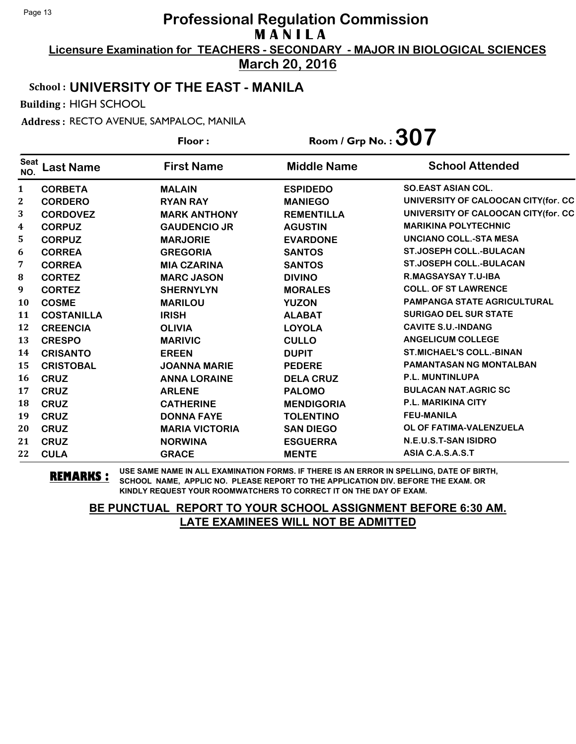**Licensure Examination for TEACHERS - SECONDARY - MAJOR IN BIOLOGICAL SCIENCES March 20, 2016**

School : **UNIVERSITY OF THE EAST - MANILA**

Building : HIGH SCHOOL

Address : RECTO AVENUE, SAMPALOC, MANILA

**Last Name First Name Middle Name** Floor : Room / Grp No. :**307** Seat <sup>seat</sup> Last Name First Name Middle Name School Attended **CORBETA MALAIN ESPIDEDO SO.EAST ASIAN COL. CORDERO RYAN RAY MANIEGO UNIVERSITY OF CALOOCAN CITY(for. CC CORDOVEZ MARK ANTHONY REMENTILLA UNIVERSITY OF CALOOCAN CITY(for. CC CORPUZ GAUDENCIO JR AGUSTIN MARIKINA POLYTECHNIC CORPUZ MARJORIE EVARDONE UNCIANO COLL.-STA MESA CORREA GREGORIA SANTOS ST.JOSEPH COLL.-BULACAN CORREA MIA CZARINA SANTOS ST.JOSEPH COLL.-BULACAN CORTEZ MARC JASON DIVINO R.MAGSAYSAY T.U-IBA CORTEZ SHERNYLYN MORALES COLL. OF ST LAWRENCE COSME MARILOU YUZON PAMPANGA STATE AGRICULTURAL COSTANILLA IRISH ALABAT SURIGAO DEL SUR STATE CREENCIA OLIVIA LOYOLA CAVITE S.U.-INDANG CRESPO MARIVIC CULLO ANGELICUM COLLEGE CRISANTO EREEN DUPIT ST.MICHAEL'S COLL.-BINAN CRISTOBAL JOANNA MARIE PEDERE PAMANTASAN NG MONTALBAN CRUZ ANNA LORAINE DELA CRUZ P.L. MUNTINLUPA CRUZ ARLENE PALOMO BULACAN NAT.AGRIC SC CRUZ CATHERINE MENDIGORIA P.L. MARIKINA CITY CRUZ DONNA FAYE TOLENTINO FEU-MANILA CRUZ MARIA VICTORIA SAN DIEGO OL OF FATIMA-VALENZUELA CRUZ NORWINA ESGUERRA N.E.U.S.T-SAN ISIDRO CULA GRACE MENTE ASIA C.A.S.A.S.T**

**REMARKS :** USE SAME NAME IN ALL EXAMINATION FORMS. IF THERE IS AN ERROR IN SPELLING, DATE OF BIRTH, SCHOOL NAME, APPLIC NO. PLEASE REPORT TO THE APPLICATION DIV. BEFORE THE EXAM. OR KINDLY REQUEST YOUR ROOMWATCHERS TO CORRECT IT ON THE DAY OF EXAM.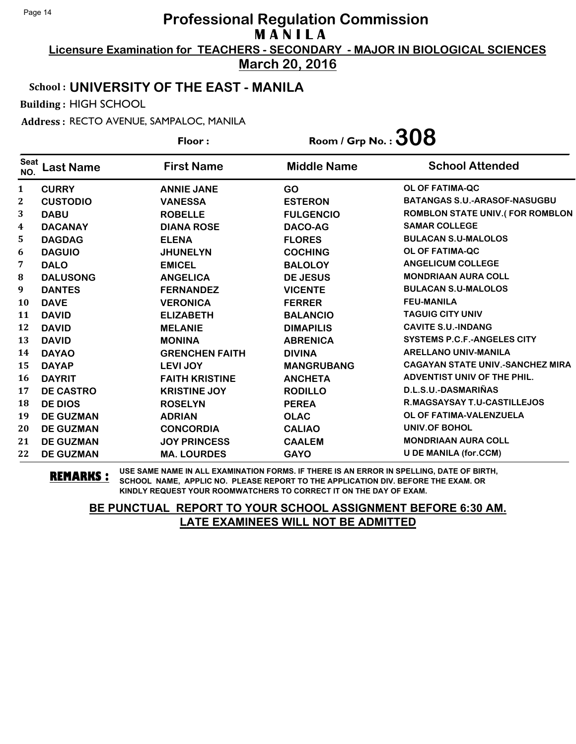**Licensure Examination for TEACHERS - SECONDARY - MAJOR IN BIOLOGICAL SCIENCES March 20, 2016**

School : **UNIVERSITY OF THE EAST - MANILA**

Building : HIGH SCHOOL

Address : RECTO AVENUE, SAMPALOC, MANILA

**Last Name First Name Middle Name** Floor : Room / Grp No. :  $308$ Seat <sup>Seat</sup> Last Name First Name Middle Name School Attended **CURRY ANNIE JANE GO OL OF FATIMA-QC CUSTODIO VANESSA ESTERON BATANGAS S.U.-ARASOF-NASUGBU DABU ROBELLE FULGENCIO ROMBLON STATE UNIV.( FOR ROMBLON DACANAY DIANA ROSE DACO-AG SAMAR COLLEGE DAGDAG ELENA FLORES BULACAN S.U-MALOLOS DAGUIO JHUNELYN COCHING OL OF FATIMA-QC DALO EMICEL BALOLOY ANGELICUM COLLEGE DALUSONG ANGELICA DE JESUS MONDRIAAN AURA COLL DANTES FERNANDEZ VICENTE BULACAN S.U-MALOLOS DAVE VERONICA FERRER FEU-MANILA DAVID ELIZABETH BALANCIO TAGUIG CITY UNIV DAVID MELANIE DIMAPILIS CAVITE S.U.-INDANG DAVID MONINA ABRENICA SYSTEMS P.C.F.-ANGELES CITY DAYAO GRENCHEN FAITH DIVINA ARELLANO UNIV-MANILA DAYAP LEVI JOY MANGRUBANG CAGAYAN STATE UNIV.-SANCHEZ MIRA DAYRIT FAITH KRISTINE ANCHETA ADVENTIST UNIV OF THE PHIL. DE CASTRO KRISTINE JOY RODILLO D.L.S.U.-DASMARIÑAS DE DIOS ROSELYN PEREA R.MAGSAYSAY T.U-CASTILLEJOS DE GUZMAN ADRIAN OLAC OL OF FATIMA-VALENZUELA DE GUZMAN CONCORDIA CALIAO UNIV.OF BOHOL DE GUZMAN JOY PRINCESS CAALEM MONDRIAAN AURA COLL DE GUZMAN MA. LOURDES GAYO U DE MANILA (for.CCM)**

**REMARKS :** USE SAME NAME IN ALL EXAMINATION FORMS. IF THERE IS AN ERROR IN SPELLING, DATE OF BIRTH, SCHOOL NAME, APPLIC NO. PLEASE REPORT TO THE APPLICATION DIV. BEFORE THE EXAM. OR KINDLY REQUEST YOUR ROOMWATCHERS TO CORRECT IT ON THE DAY OF EXAM.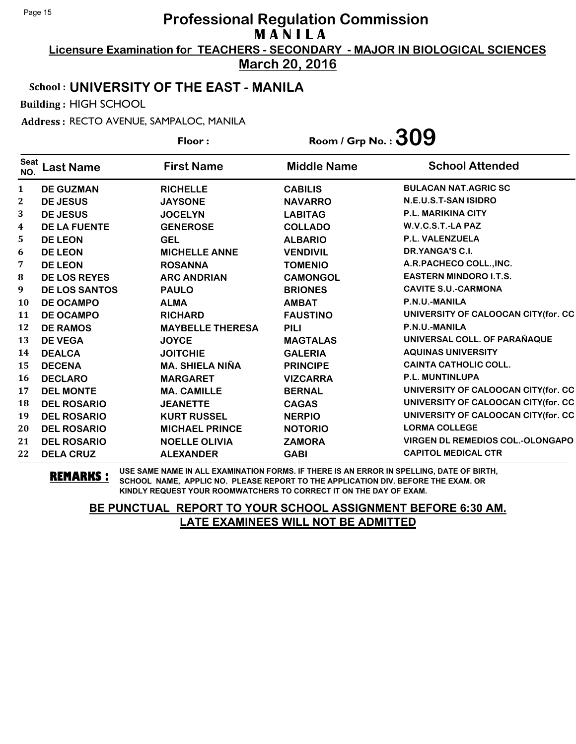**Licensure Examination for TEACHERS - SECONDARY - MAJOR IN BIOLOGICAL SCIENCES March 20, 2016**

# School : **UNIVERSITY OF THE EAST - MANILA**

Building : HIGH SCHOOL

Address : RECTO AVENUE, SAMPALOC, MANILA

|                    |                      | Floor:                  | Room / Grp No. : $309$ |                                         |
|--------------------|----------------------|-------------------------|------------------------|-----------------------------------------|
| <b>Seat</b><br>NO. | <b>Last Name</b>     | <b>First Name</b>       | <b>Middle Name</b>     | <b>School Attended</b>                  |
| $\mathbf{1}$       | <b>DE GUZMAN</b>     | <b>RICHELLE</b>         | <b>CABILIS</b>         | <b>BULACAN NAT.AGRIC SC</b>             |
| $\mathbf{2}$       | <b>DE JESUS</b>      | <b>JAYSONE</b>          | <b>NAVARRO</b>         | N.E.U.S.T-SAN ISIDRO                    |
| 3                  | <b>DE JESUS</b>      | <b>JOCELYN</b>          | <b>LABITAG</b>         | <b>P.L. MARIKINA CITY</b>               |
| $\boldsymbol{4}$   | <b>DE LA FUENTE</b>  | <b>GENEROSE</b>         | <b>COLLADO</b>         | W.V.C.S.T.-LA PAZ                       |
| 5                  | <b>DE LEON</b>       | <b>GEL</b>              | <b>ALBARIO</b>         | <b>P.L. VALENZUELA</b>                  |
| 6                  | <b>DE LEON</b>       | <b>MICHELLE ANNE</b>    | <b>VENDIVIL</b>        | DR.YANGA'S C.I.                         |
| 7                  | <b>DE LEON</b>       | <b>ROSANNA</b>          | <b>TOMENIO</b>         | A.R.PACHECO COLL., INC.                 |
| 8                  | <b>DE LOS REYES</b>  | <b>ARC ANDRIAN</b>      | <b>CAMONGOL</b>        | <b>EASTERN MINDORO I.T.S.</b>           |
| 9                  | <b>DE LOS SANTOS</b> | <b>PAULO</b>            | <b>BRIONES</b>         | <b>CAVITE S.U.-CARMONA</b>              |
| 10                 | <b>DE OCAMPO</b>     | <b>ALMA</b>             | <b>AMBAT</b>           | P.N.U.-MANILA                           |
| 11                 | <b>DE OCAMPO</b>     | <b>RICHARD</b>          | <b>FAUSTINO</b>        | UNIVERSITY OF CALOOCAN CITY(for. CC     |
| 12                 | <b>DE RAMOS</b>      | <b>MAYBELLE THERESA</b> | <b>PILI</b>            | P.N.U.-MANILA                           |
| 13                 | <b>DE VEGA</b>       | <b>JOYCE</b>            | <b>MAGTALAS</b>        | UNIVERSAL COLL. OF PARAÑAQUE            |
| 14                 | <b>DEALCA</b>        | <b>JOITCHIE</b>         | <b>GALERIA</b>         | <b>AQUINAS UNIVERSITY</b>               |
| 15                 | <b>DECENA</b>        | <b>MA. SHIELA NIÑA</b>  | <b>PRINCIPE</b>        | <b>CAINTA CATHOLIC COLL.</b>            |
| <b>16</b>          | <b>DECLARO</b>       | <b>MARGARET</b>         | <b>VIZCARRA</b>        | P.L. MUNTINLUPA                         |
| 17                 | <b>DEL MONTE</b>     | <b>MA. CAMILLE</b>      | <b>BERNAL</b>          | UNIVERSITY OF CALOOCAN CITY(for. CC     |
| 18                 | <b>DEL ROSARIO</b>   | <b>JEANETTE</b>         | <b>CAGAS</b>           | UNIVERSITY OF CALOOCAN CITY(for. CC     |
| 19                 | <b>DEL ROSARIO</b>   | <b>KURT RUSSEL</b>      | <b>NERPIO</b>          | UNIVERSITY OF CALOOCAN CITY(for. CC     |
| 20                 | <b>DEL ROSARIO</b>   | <b>MICHAEL PRINCE</b>   | <b>NOTORIO</b>         | <b>LORMA COLLEGE</b>                    |
| 21                 | <b>DEL ROSARIO</b>   | <b>NOELLE OLIVIA</b>    | <b>ZAMORA</b>          | <b>VIRGEN DL REMEDIOS COL.-OLONGAPO</b> |
| 22                 | <b>DELA CRUZ</b>     | <b>ALEXANDER</b>        | <b>GABI</b>            | <b>CAPITOL MEDICAL CTR</b>              |

**REMARKS :** USE SAME NAME IN ALL EXAMINATION FORMS. IF THERE IS AN ERROR IN SPELLING, DATE OF BIRTH, SCHOOL NAME, APPLIC NO. PLEASE REPORT TO THE APPLICATION DIV. BEFORE THE EXAM. OR KINDLY REQUEST YOUR ROOMWATCHERS TO CORRECT IT ON THE DAY OF EXAM.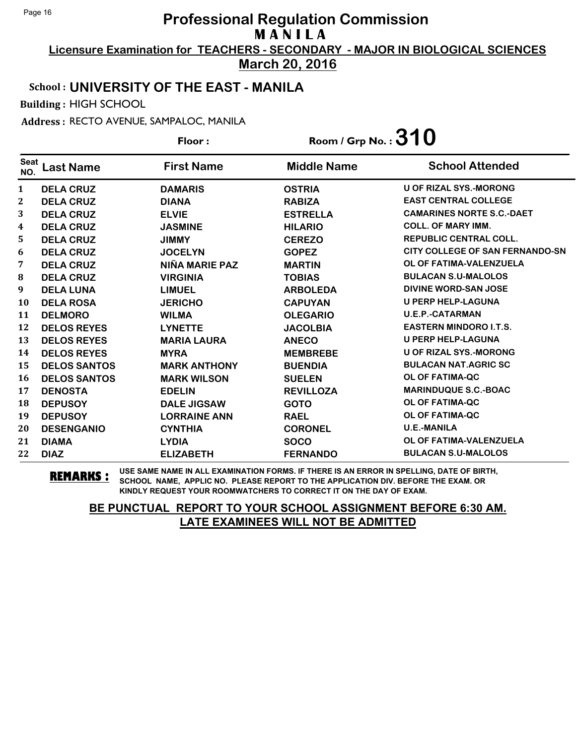**Licensure Examination for TEACHERS - SECONDARY - MAJOR IN BIOLOGICAL SCIENCES March 20, 2016**

#### School : **UNIVERSITY OF THE EAST - MANILA**

Building : HIGH SCHOOL

Address : RECTO AVENUE, SAMPALOC, MANILA

**Last Name First Name Middle Name** Floor : Room / Grp No. :**310** Seat <sup>seat</sup> Last Name First Name Middle Name School Attended **DELA CRUZ DAMARIS OSTRIA U OF RIZAL SYS.-MORONG DELA CRUZ DIANA RABIZA EAST CENTRAL COLLEGE DELA CRUZ ELVIE ESTRELLA CAMARINES NORTE S.C.-DAET DELA CRUZ JASMINE HILARIO COLL. OF MARY IMM. DELA CRUZ JIMMY CEREZO REPUBLIC CENTRAL COLL. DELA CRUZ JOCELYN GOPEZ CITY COLLEGE OF SAN FERNANDO-SN DELA CRUZ NIÑA MARIE PAZ MARTIN OL OF FATIMA-VALENZUELA DELA CRUZ VIRGINIA TOBIAS BULACAN S.U-MALOLOS DELA LUNA LIMUEL ARBOLEDA DIVINE WORD-SAN JOSE DELA ROSA JERICHO CAPUYAN U PERP HELP-LAGUNA DELMORO WILMA OLEGARIO U.E.P.-CATARMAN DELOS REYES LYNETTE JACOLBIA EASTERN MINDORO I.T.S. DELOS REYES MARIA LAURA ANECO U PERP HELP-LAGUNA DELOS REYES MYRA MEMBREBE U OF RIZAL SYS.-MORONG DELOS SANTOS MARK ANTHONY BUENDIA BULACAN NAT.AGRIC SC DELOS SANTOS MARK WILSON SUELEN OL OF FATIMA-QC DENOSTA EDELIN REVILLOZA MARINDUQUE S.C.-BOAC DEPUSOY DALE JIGSAW GOTO OL OF FATIMA-QC DEPUSOY LORRAINE ANN RAEL OL OF FATIMA-QC DESENGANIO CYNTHIA CORONEL U.E.-MANILA DIAMA LYDIA SOCO OL OF FATIMA-VALENZUELA DIAZ ELIZABETH FERNANDO BULACAN S.U-MALOLOS**

**REMARKS :** USE SAME NAME IN ALL EXAMINATION FORMS. IF THERE IS AN ERROR IN SPELLING, DATE OF BIRTH, SCHOOL NAME, APPLIC NO. PLEASE REPORT TO THE APPLICATION DIV. BEFORE THE EXAM. OR KINDLY REQUEST YOUR ROOMWATCHERS TO CORRECT IT ON THE DAY OF EXAM.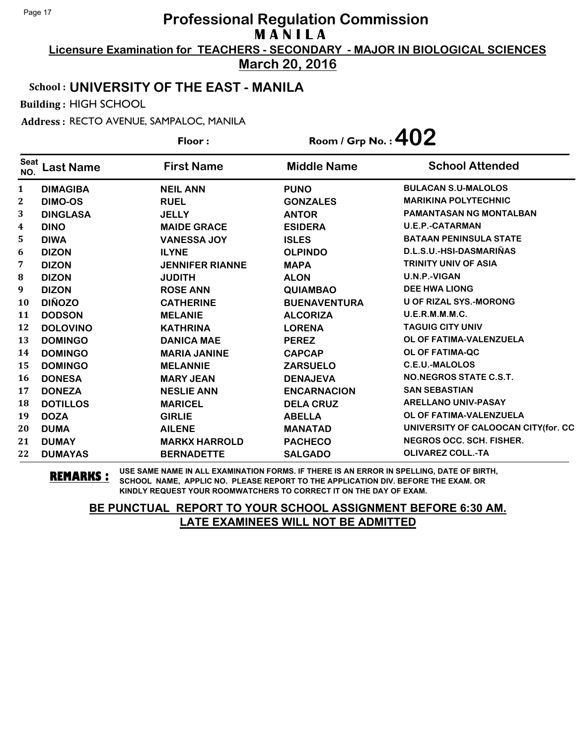**Licensure Examination for TEACHERS - SECONDARY - MAJOR IN BIOLOGICAL SCIENCES March 20, 2016**

#### School : **UNIVERSITY OF THE EAST - MANILA**

Building : HIGH SCHOOL

Address : RECTO AVENUE, SAMPALOC, MANILA

**Last Name First Name Middle Name** Floor : Room / Grp No. :**402** Seat <sup>seat</sup> Last Name First Name Middle Name School Attended **DIMAGIBA NEIL ANN PUNO BULACAN S.U-MALOLOS DIMO-OS RUEL GONZALES MARIKINA POLYTECHNIC DINGLASA JELLY ANTOR PAMANTASAN NG MONTALBAN DINO MAIDE GRACE ESIDERA U.E.P.-CATARMAN DIWA VANESSA JOY ISLES BATAAN PENINSULA STATE DIZON ILYNE OLPINDO D.L.S.U.-HSI-DASMARIÑAS DIZON JENNIFER RIANNE MAPA TRINITY UNIV OF ASIA DIZON JUDITH ALON U.N.P.-VIGAN DIZON ROSE ANN QUIAMBAO DEE HWA LIONG DIÑOZO CATHERINE BUENAVENTURA U OF RIZAL SYS.-MORONG DODSON MELANIE ALCORIZA U.E.R.M.M.M.C. DOLOVINO KATHRINA LORENA TAGUIG CITY UNIV DOMINGO DANICA MAE PEREZ OL OF FATIMA-VALENZUELA DOMINGO MARIA JANINE CAPCAP OL OF FATIMA-QC DOMINGO MELANNIE ZARSUELO C.E.U.-MALOLOS DONESA MARY JEAN DENAJEVA NO.NEGROS STATE C.S.T. DONEZA NESLIE ANN ENCARNACION SAN SEBASTIAN DOTILLOS MARICEL DELA CRUZ ARELLANO UNIV-PASAY DOZA GIRLIE ABELLA OL OF FATIMA-VALENZUELA DUMA AILENE MANATAD UNIVERSITY OF CALOOCAN CITY(for. CC DUMAY MARKX HARROLD PACHECO NEGROS OCC. SCH. FISHER. DUMAYAS BERNADETTE SALGADO OLIVAREZ COLL.-TA**

**REMARKS :** USE SAME NAME IN ALL EXAMINATION FORMS. IF THERE IS AN ERROR IN SPELLING, DATE OF BIRTH, SCHOOL NAME, APPLIC NO. PLEASE REPORT TO THE APPLICATION DIV. BEFORE THE EXAM. OR KINDLY REQUEST YOUR ROOMWATCHERS TO CORRECT IT ON THE DAY OF EXAM.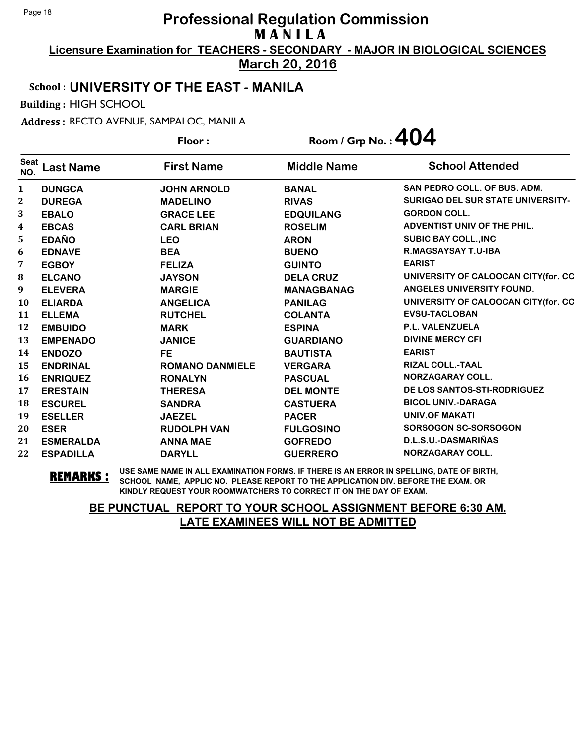**Licensure Examination for TEACHERS - SECONDARY - MAJOR IN BIOLOGICAL SCIENCES March 20, 2016**

School : **UNIVERSITY OF THE EAST - MANILA**

Building : HIGH SCHOOL

Address : RECTO AVENUE, SAMPALOC, MANILA

|                    |                  | Floor:                 | Room / Grp No. : $404$ |                                          |
|--------------------|------------------|------------------------|------------------------|------------------------------------------|
| <b>Seat</b><br>NO. | <b>Last Name</b> | <b>First Name</b>      | <b>Middle Name</b>     | <b>School Attended</b>                   |
| $\mathbf{1}$       | <b>DUNGCA</b>    | <b>JOHN ARNOLD</b>     | <b>BANAL</b>           | <b>SAN PEDRO COLL. OF BUS. ADM.</b>      |
| 2                  | <b>DUREGA</b>    | <b>MADELINO</b>        | <b>RIVAS</b>           | <b>SURIGAO DEL SUR STATE UNIVERSITY-</b> |
| 3                  | <b>EBALO</b>     | <b>GRACE LEE</b>       | <b>EDQUILANG</b>       | <b>GORDON COLL.</b>                      |
| 4                  | <b>EBCAS</b>     | <b>CARL BRIAN</b>      | <b>ROSELIM</b>         | ADVENTIST UNIV OF THE PHIL.              |
| 5                  | <b>EDAÑO</b>     | <b>LEO</b>             | <b>ARON</b>            | <b>SUBIC BAY COLL., INC</b>              |
| 6                  | <b>EDNAVE</b>    | <b>BEA</b>             | <b>BUENO</b>           | R.MAGSAYSAY T.U-IBA                      |
| 7                  | <b>EGBOY</b>     | <b>FELIZA</b>          | <b>GUINTO</b>          | <b>EARIST</b>                            |
| 8                  | <b>ELCANO</b>    | <b>JAYSON</b>          | <b>DELA CRUZ</b>       | UNIVERSITY OF CALOOCAN CITY(for. CC      |
| 9                  | <b>ELEVERA</b>   | <b>MARGIE</b>          | <b>MANAGBANAG</b>      | ANGELES UNIVERSITY FOUND.                |
| 10                 | <b>ELIARDA</b>   | <b>ANGELICA</b>        | <b>PANILAG</b>         | UNIVERSITY OF CALOOCAN CITY(for. CC      |
| 11                 | <b>ELLEMA</b>    | <b>RUTCHEL</b>         | <b>COLANTA</b>         | <b>EVSU-TACLOBAN</b>                     |
| 12                 | <b>EMBUIDO</b>   | <b>MARK</b>            | <b>ESPINA</b>          | P.L. VALENZUELA                          |
| 13                 | <b>EMPENADO</b>  | <b>JANICE</b>          | <b>GUARDIANO</b>       | <b>DIVINE MERCY CFI</b>                  |
| 14                 | <b>ENDOZO</b>    | <b>FE</b>              | <b>BAUTISTA</b>        | <b>EARIST</b>                            |
| 15                 | <b>ENDRINAL</b>  | <b>ROMANO DANMIELE</b> | <b>VERGARA</b>         | <b>RIZAL COLL.-TAAL</b>                  |
| <b>16</b>          | <b>ENRIQUEZ</b>  | <b>RONALYN</b>         | <b>PASCUAL</b>         | <b>NORZAGARAY COLL.</b>                  |
| 17                 | <b>ERESTAIN</b>  | <b>THERESA</b>         | <b>DEL MONTE</b>       | DE LOS SANTOS-STI-RODRIGUEZ              |
| 18                 | <b>ESCUREL</b>   | <b>SANDRA</b>          | <b>CASTUERA</b>        | <b>BICOL UNIV.-DARAGA</b>                |
| 19                 | <b>ESELLER</b>   | <b>JAEZEL</b>          | <b>PACER</b>           | <b>UNIV.OF MAKATI</b>                    |
| 20                 | <b>ESER</b>      | <b>RUDOLPH VAN</b>     | <b>FULGOSINO</b>       | <b>SORSOGON SC-SORSOGON</b>              |
| 21                 | <b>ESMERALDA</b> | <b>ANNA MAE</b>        | <b>GOFREDO</b>         | D.L.S.U.-DASMARIÑAS                      |
| 22                 | <b>ESPADILLA</b> | <b>DARYLL</b>          | <b>GUERRERO</b>        | NORZAGARAY COLL.                         |

**REMARKS :** USE SAME NAME IN ALL EXAMINATION FORMS. IF THERE IS AN ERROR IN SPELLING, DATE OF BIRTH, SCHOOL NAME, APPLIC NO. PLEASE REPORT TO THE APPLICATION DIV. BEFORE THE EXAM. OR KINDLY REQUEST YOUR ROOMWATCHERS TO CORRECT IT ON THE DAY OF EXAM.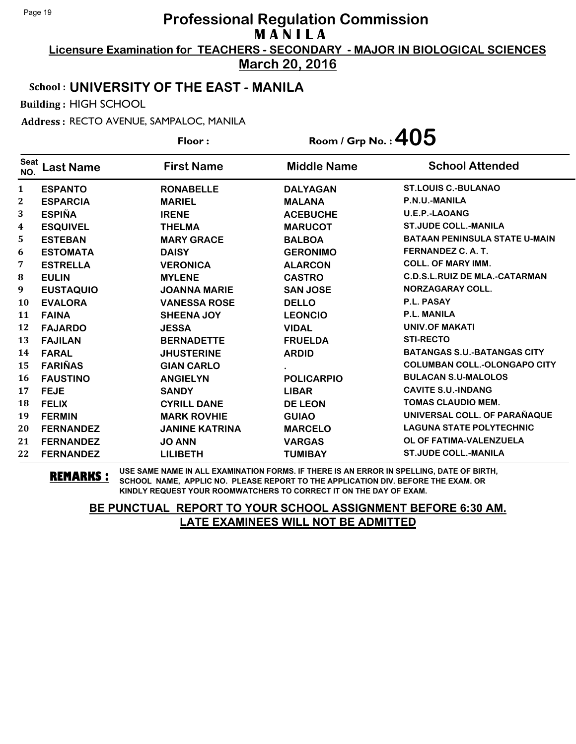**Licensure Examination for TEACHERS - SECONDARY - MAJOR IN BIOLOGICAL SCIENCES March 20, 2016**

### School : **UNIVERSITY OF THE EAST - MANILA**

Building : HIGH SCHOOL

Address : RECTO AVENUE, SAMPALOC, MANILA

**Last Name First Name Middle Name** Floor : Room / Grp No. :  $405$ Seat <sup>seat</sup> Last Name First Name Middle Name School Attended **ESPANTO RONABELLE DALYAGAN ST.LOUIS C.-BULANAO ESPARCIA MARIEL MALANA P.N.U.-MANILA ESPIÑA IRENE ACEBUCHE U.E.P.-LAOANG ESQUIVEL THELMA MARUCOT ST.JUDE COLL.-MANILA ESTEBAN MARY GRACE BALBOA BATAAN PENINSULA STATE U-MAIN ESTOMATA DAISY GERONIMO FERNANDEZ C. A. T. ESTRELLA VERONICA ALARCON COLL. OF MARY IMM. EULIN MYLENE CASTRO C.D.S.L.RUIZ DE MLA.-CATARMAN EUSTAQUIO JOANNA MARIE SAN JOSE NORZAGARAY COLL. EVALORA VANESSA ROSE DELLO P.L. PASAY FAINA SHEENA JOY LEONCIO P.L. MANILA FAJARDO JESSA VIDAL UNIV.OF MAKATI FAJILAN BERNADETTE FRUELDA STI-RECTO FARAL JHUSTERINE ARDID BATANGAS S.U.-BATANGAS CITY FARIÑAS GIAN CARLO . COLUMBAN COLL.-OLONGAPO CITY FAUSTINO ANGIELYN POLICARPIO BULACAN S.U-MALOLOS FEJE SANDY LIBAR CAVITE S.U.-INDANG FELIX CYRILL DANE DE LEON TOMAS CLAUDIO MEM. FERMIN MARK ROVHIE GUIAO UNIVERSAL COLL. OF PARAÑAQUE FERNANDEZ JANINE KATRINA MARCELO LAGUNA STATE POLYTECHNIC FERNANDEZ JO ANN VARGAS OL OF FATIMA-VALENZUELA FERNANDEZ LILIBETH TUMIBAY ST.JUDE COLL.-MANILA**

**REMARKS :** USE SAME NAME IN ALL EXAMINATION FORMS. IF THERE IS AN ERROR IN SPELLING, DATE OF BIRTH, SCHOOL NAME, APPLIC NO. PLEASE REPORT TO THE APPLICATION DIV. BEFORE THE EXAM. OR KINDLY REQUEST YOUR ROOMWATCHERS TO CORRECT IT ON THE DAY OF EXAM.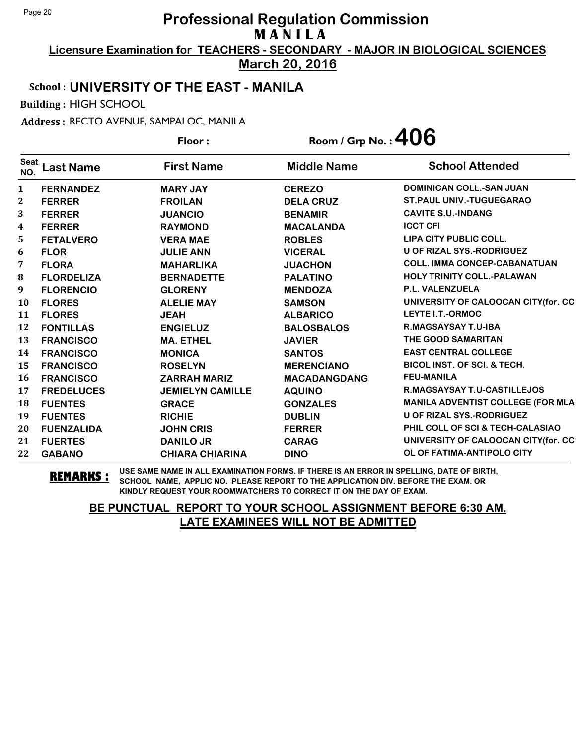**Licensure Examination for TEACHERS - SECONDARY - MAJOR IN BIOLOGICAL SCIENCES March 20, 2016**

# School : **UNIVERSITY OF THE EAST - MANILA**

Building : HIGH SCHOOL

Address : RECTO AVENUE, SAMPALOC, MANILA

|                  |                   | Floor:                  | Room / Grp No.: $406$ |                                          |
|------------------|-------------------|-------------------------|-----------------------|------------------------------------------|
| Seat<br>NO.      | <b>Last Name</b>  | <b>First Name</b>       | <b>Middle Name</b>    | <b>School Attended</b>                   |
| $\mathbf{1}$     | <b>FERNANDEZ</b>  | <b>MARY JAY</b>         | <b>CEREZO</b>         | <b>DOMINICAN COLL.-SAN JUAN</b>          |
| 2                | <b>FERRER</b>     | <b>FROILAN</b>          | <b>DELA CRUZ</b>      | <b>ST.PAUL UNIV.-TUGUEGARAO</b>          |
| 3                | <b>FERRER</b>     | <b>JUANCIO</b>          | <b>BENAMIR</b>        | <b>CAVITE S.U.-INDANG</b>                |
| $\boldsymbol{4}$ | <b>FERRER</b>     | <b>RAYMOND</b>          | <b>MACALANDA</b>      | <b>ICCT CFI</b>                          |
| 5                | <b>FETALVERO</b>  | <b>VERA MAE</b>         | <b>ROBLES</b>         | LIPA CITY PUBLIC COLL.                   |
| 6                | <b>FLOR</b>       | <b>JULIE ANN</b>        | <b>VICERAL</b>        | <b>U OF RIZAL SYS.-RODRIGUEZ</b>         |
| 7                | <b>FLORA</b>      | <b>MAHARLIKA</b>        | <b>JUACHON</b>        | <b>COLL. IMMA CONCEP-CABANATUAN</b>      |
| ${\bf 8}$        | <b>FLORDELIZA</b> | <b>BERNADETTE</b>       | <b>PALATINO</b>       | <b>HOLY TRINITY COLL.-PALAWAN</b>        |
| 9                | <b>FLORENCIO</b>  | <b>GLORENY</b>          | <b>MENDOZA</b>        | <b>P.L. VALENZUELA</b>                   |
| 10               | <b>FLORES</b>     | <b>ALELIE MAY</b>       | <b>SAMSON</b>         | UNIVERSITY OF CALOOCAN CITY (for. CC     |
| 11               | <b>FLORES</b>     | <b>JEAH</b>             | <b>ALBARICO</b>       | LEYTE I.T.-ORMOC                         |
| 12               | <b>FONTILLAS</b>  | <b>ENGIELUZ</b>         | <b>BALOSBALOS</b>     | <b>R.MAGSAYSAY T.U-IBA</b>               |
| 13               | <b>FRANCISCO</b>  | <b>MA. ETHEL</b>        | <b>JAVIER</b>         | THE GOOD SAMARITAN                       |
| 14               | <b>FRANCISCO</b>  | <b>MONICA</b>           | <b>SANTOS</b>         | <b>EAST CENTRAL COLLEGE</b>              |
| 15               | <b>FRANCISCO</b>  | <b>ROSELYN</b>          | <b>MERENCIANO</b>     | <b>BICOL INST. OF SCI. &amp; TECH.</b>   |
| <b>16</b>        | <b>FRANCISCO</b>  | <b>ZARRAH MARIZ</b>     | <b>MACADANGDANG</b>   | <b>FEU-MANILA</b>                        |
| 17               | <b>FREDELUCES</b> | <b>JEMIELYN CAMILLE</b> | <b>AQUINO</b>         | <b>R.MAGSAYSAY T.U-CASTILLEJOS</b>       |
| 18               | <b>FUENTES</b>    | <b>GRACE</b>            | <b>GONZALES</b>       | <b>MANILA ADVENTIST COLLEGE (FOR MLA</b> |
| 19               | <b>FUENTES</b>    | <b>RICHIE</b>           | <b>DUBLIN</b>         | U OF RIZAL SYS.-RODRIGUEZ                |
| 20               | <b>FUENZALIDA</b> | <b>JOHN CRIS</b>        | <b>FERRER</b>         | PHIL COLL OF SCI & TECH-CALASIAO         |
| 21               | <b>FUERTES</b>    | <b>DANILO JR</b>        | <b>CARAG</b>          | UNIVERSITY OF CALOOCAN CITY(for. CC      |
| 22               | <b>GABANO</b>     | <b>CHIARA CHIARINA</b>  | <b>DINO</b>           | OL OF FATIMA-ANTIPOLO CITY               |

**REMARKS :** USE SAME NAME IN ALL EXAMINATION FORMS. IF THERE IS AN ERROR IN SPELLING, DATE OF BIRTH, SCHOOL NAME, APPLIC NO. PLEASE REPORT TO THE APPLICATION DIV. BEFORE THE EXAM. OR KINDLY REQUEST YOUR ROOMWATCHERS TO CORRECT IT ON THE DAY OF EXAM.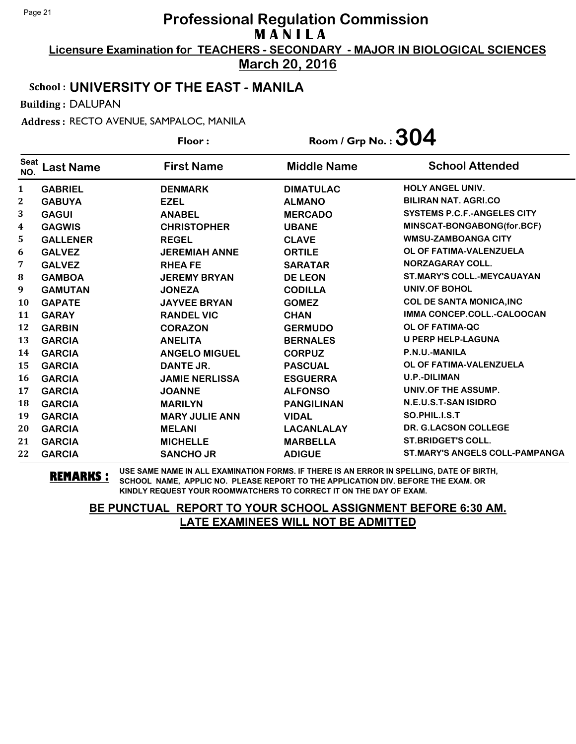**Licensure Examination for TEACHERS - SECONDARY - MAJOR IN BIOLOGICAL SCIENCES March 20, 2016**

#### School : **UNIVERSITY OF THE EAST - MANILA**

Building : DALUPAN

Address : RECTO AVENUE, SAMPALOC, MANILA

|                    |                  | Floor:                | Room / Grp No. : $304$ |                                       |
|--------------------|------------------|-----------------------|------------------------|---------------------------------------|
| <b>Seat</b><br>NO. | <b>Last Name</b> | <b>First Name</b>     | <b>Middle Name</b>     | <b>School Attended</b>                |
| $\mathbf{1}$       | <b>GABRIEL</b>   | <b>DENMARK</b>        | <b>DIMATULAC</b>       | HOLY ANGEL UNIV.                      |
| $\mathbf{2}$       | <b>GABUYA</b>    | <b>EZEL</b>           | <b>ALMANO</b>          | <b>BILIRAN NAT. AGRI.CO</b>           |
| 3                  | <b>GAGUI</b>     | <b>ANABEL</b>         | <b>MERCADO</b>         | <b>SYSTEMS P.C.F.-ANGELES CITY</b>    |
| 4                  | <b>GAGWIS</b>    | <b>CHRISTOPHER</b>    | <b>UBANE</b>           | MINSCAT-BONGABONG(for.BCF)            |
| 5.                 | <b>GALLENER</b>  | <b>REGEL</b>          | <b>CLAVE</b>           | <b>WMSU-ZAMBOANGA CITY</b>            |
| 6                  | <b>GALVEZ</b>    | <b>JEREMIAH ANNE</b>  | <b>ORTILE</b>          | OL OF FATIMA-VALENZUELA               |
| 7                  | <b>GALVEZ</b>    | <b>RHEAFE</b>         | <b>SARATAR</b>         | <b>NORZAGARAY COLL.</b>               |
| $\bf{8}$           | <b>GAMBOA</b>    | <b>JEREMY BRYAN</b>   | <b>DE LEON</b>         | <b>ST.MARY'S COLL.-MEYCAUAYAN</b>     |
| $\boldsymbol{9}$   | <b>GAMUTAN</b>   | <b>JONEZA</b>         | <b>CODILLA</b>         | UNIV.OF BOHOL                         |
| <b>10</b>          | <b>GAPATE</b>    | <b>JAYVEE BRYAN</b>   | <b>GOMEZ</b>           | <b>COL DE SANTA MONICA, INC</b>       |
| 11                 | <b>GARAY</b>     | <b>RANDEL VIC</b>     | <b>CHAN</b>            | IMMA CONCEP.COLL.-CALOOCAN            |
| 12                 | <b>GARBIN</b>    | <b>CORAZON</b>        | <b>GERMUDO</b>         | <b>OL OF FATIMA-QC</b>                |
| 13                 | <b>GARCIA</b>    | <b>ANELITA</b>        | <b>BERNALES</b>        | <b>U PERP HELP-LAGUNA</b>             |
| 14                 | <b>GARCIA</b>    | <b>ANGELO MIGUEL</b>  | <b>CORPUZ</b>          | P.N.U.-MANILA                         |
| 15                 | <b>GARCIA</b>    | DANTE JR.             | <b>PASCUAL</b>         | OL OF FATIMA-VALENZUELA               |
| 16                 | <b>GARCIA</b>    | <b>JAMIE NERLISSA</b> | <b>ESGUERRA</b>        | <b>U.P.-DILIMAN</b>                   |
| 17                 | <b>GARCIA</b>    | <b>JOANNE</b>         | <b>ALFONSO</b>         | UNIV.OF THE ASSUMP.                   |
| 18                 | <b>GARCIA</b>    | <b>MARILYN</b>        | <b>PANGILINAN</b>      | N.E.U.S.T-SAN ISIDRO                  |
| 19                 | <b>GARCIA</b>    | <b>MARY JULIE ANN</b> | <b>VIDAL</b>           | SO.PHIL.I.S.T                         |
| 20                 | <b>GARCIA</b>    | <b>MELANI</b>         | <b>LACANLALAY</b>      | <b>DR. G.LACSON COLLEGE</b>           |
| 21                 | <b>GARCIA</b>    | <b>MICHELLE</b>       | <b>MARBELLA</b>        | <b>ST.BRIDGET'S COLL.</b>             |
| 22                 | <b>GARCIA</b>    | <b>SANCHO JR</b>      | <b>ADIGUE</b>          | <b>ST.MARY'S ANGELS COLL-PAMPANGA</b> |

**REMARKS :** USE SAME NAME IN ALL EXAMINATION FORMS. IF THERE IS AN ERROR IN SPELLING, DATE OF BIRTH, SCHOOL NAME, APPLIC NO. PLEASE REPORT TO THE APPLICATION DIV. BEFORE THE EXAM. OR KINDLY REQUEST YOUR ROOMWATCHERS TO CORRECT IT ON THE DAY OF EXAM.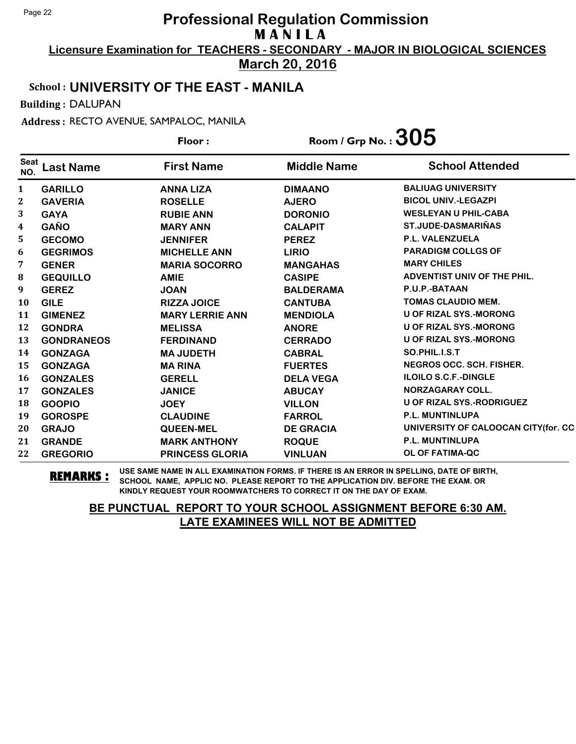**Licensure Examination for TEACHERS - SECONDARY - MAJOR IN BIOLOGICAL SCIENCES March 20, 2016**

#### School : **UNIVERSITY OF THE EAST - MANILA**

Building : DALUPAN

Address : RECTO AVENUE, SAMPALOC, MANILA

**Last Name First Name Middle Name** Floor : Room / Grp No. :  $305$ Seat <sup>seat</sup> Last Name First Name Middle Name School Attended **GARILLO ANNA LIZA DIMAANO BALIUAG UNIVERSITY GAVERIA ROSELLE AJERO BICOL UNIV.-LEGAZPI GAYA RUBIE ANN DORONIO WESLEYAN U PHIL-CABA GAÑO MARY ANN CALAPIT ST.JUDE-DASMARIÑAS GECOMO JENNIFER PEREZ P.L. VALENZUELA GEGRIMOS MICHELLE ANN LIRIO PARADIGM COLLGS OF GENER MARIA SOCORRO MANGAHAS MARY CHILES GEQUILLO AMIE CASIPE ADVENTIST UNIV OF THE PHIL. GEREZ JOAN BALDERAMA P.U.P.-BATAAN GILE RIZZA JOICE CANTUBA TOMAS CLAUDIO MEM. GIMENEZ MARY LERRIE ANN MENDIOLA U OF RIZAL SYS.-MORONG GONDRA MELISSA ANORE U OF RIZAL SYS.-MORONG GONDRANEOS FERDINAND CERRADO U OF RIZAL SYS.-MORONG GONZAGA MA JUDETH CABRAL SO.PHIL.I.S.T GONZAGA MA RINA FUERTES NEGROS OCC. SCH. FISHER. GONZALES GERELL DELA VEGA ILOILO S.C.F.-DINGLE GONZALES JANICE ABUCAY NORZAGARAY COLL. GOOPIO JOEY VILLON U OF RIZAL SYS.-RODRIGUEZ GOROSPE CLAUDINE FARROL P.L. MUNTINLUPA GRAJO QUEEN-MEL DE GRACIA UNIVERSITY OF CALOOCAN CITY(for. CC GRANDE MARK ANTHONY ROQUE P.L. MUNTINLUPA GREGORIO PRINCESS GLORIA VINLUAN OL OF FATIMA-QC**

**REMARKS :** USE SAME NAME IN ALL EXAMINATION FORMS. IF THERE IS AN ERROR IN SPELLING, DATE OF BIRTH, SCHOOL NAME, APPLIC NO. PLEASE REPORT TO THE APPLICATION DIV. BEFORE THE EXAM. OR KINDLY REQUEST YOUR ROOMWATCHERS TO CORRECT IT ON THE DAY OF EXAM.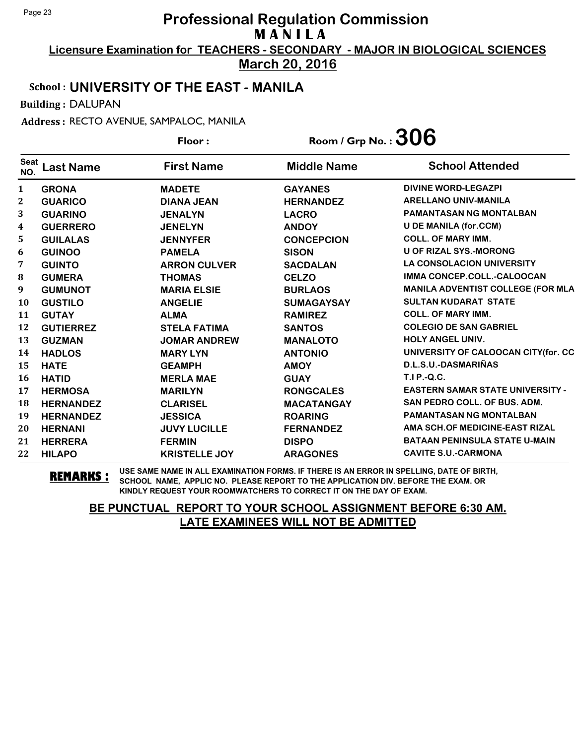**Licensure Examination for TEACHERS - SECONDARY - MAJOR IN BIOLOGICAL SCIENCES March 20, 2016**

#### School : **UNIVERSITY OF THE EAST - MANILA**

Building : DALUPAN

Address : RECTO AVENUE, SAMPALOC, MANILA

|                    |                  | Floor:               | Room / Grp No. : $306$ |                                         |
|--------------------|------------------|----------------------|------------------------|-----------------------------------------|
| <b>Seat</b><br>NO. | <b>Last Name</b> | <b>First Name</b>    | <b>Middle Name</b>     | <b>School Attended</b>                  |
| 1                  | <b>GRONA</b>     | <b>MADETE</b>        | <b>GAYANES</b>         | <b>DIVINE WORD-LEGAZPI</b>              |
| 2                  | <b>GUARICO</b>   | <b>DIANA JEAN</b>    | <b>HERNANDEZ</b>       | <b>ARELLANO UNIV-MANILA</b>             |
| 3                  | <b>GUARINO</b>   | <b>JENALYN</b>       | <b>LACRO</b>           | <b>PAMANTASAN NG MONTALBAN</b>          |
| 4                  | <b>GUERRERO</b>  | <b>JENELYN</b>       | <b>ANDOY</b>           | <b>U DE MANILA (for.CCM)</b>            |
| 5.                 | <b>GUILALAS</b>  | <b>JENNYFER</b>      | <b>CONCEPCION</b>      | <b>COLL. OF MARY IMM.</b>               |
| 6                  | <b>GUINOO</b>    | <b>PAMELA</b>        | <b>SISON</b>           | <b>U OF RIZAL SYS.-MORONG</b>           |
| 7                  | <b>GUINTO</b>    | <b>ARRON CULVER</b>  | <b>SACDALAN</b>        | <b>LA CONSOLACION UNIVERSITY</b>        |
| ${\bf 8}$          | <b>GUMERA</b>    | <b>THOMAS</b>        | <b>CELZO</b>           | IMMA CONCEP.COLL.-CALOOCAN              |
| 9                  | <b>GUMUNOT</b>   | <b>MARIA ELSIE</b>   | <b>BURLAOS</b>         | MANILA ADVENTIST COLLEGE (FOR MLA       |
| 10                 | <b>GUSTILO</b>   | <b>ANGELIE</b>       | <b>SUMAGAYSAY</b>      | <b>SULTAN KUDARAT STATE</b>             |
| 11                 | <b>GUTAY</b>     | <b>ALMA</b>          | <b>RAMIREZ</b>         | <b>COLL. OF MARY IMM.</b>               |
| 12                 | <b>GUTIERREZ</b> | <b>STELA FATIMA</b>  | <b>SANTOS</b>          | <b>COLEGIO DE SAN GABRIEL</b>           |
| 13                 | <b>GUZMAN</b>    | <b>JOMAR ANDREW</b>  | <b>MANALOTO</b>        | <b>HOLY ANGEL UNIV.</b>                 |
| 14                 | <b>HADLOS</b>    | <b>MARY LYN</b>      | <b>ANTONIO</b>         | UNIVERSITY OF CALOOCAN CITY(for. CC     |
| 15                 | <b>HATE</b>      | <b>GEAMPH</b>        | <b>AMOY</b>            | D.L.S.U.-DASMARIÑAS                     |
| 16                 | <b>HATID</b>     | <b>MERLA MAE</b>     | <b>GUAY</b>            | <b>T.I P.-Q.C.</b>                      |
| 17                 | <b>HERMOSA</b>   | <b>MARILYN</b>       | <b>RONGCALES</b>       | <b>EASTERN SAMAR STATE UNIVERSITY -</b> |
| 18                 | <b>HERNANDEZ</b> | <b>CLARISEL</b>      | <b>MACATANGAY</b>      | SAN PEDRO COLL. OF BUS. ADM.            |
| 19                 | <b>HERNANDEZ</b> | <b>JESSICA</b>       | <b>ROARING</b>         | <b>PAMANTASAN NG MONTALBAN</b>          |
| 20                 | <b>HERNANI</b>   | <b>JUVY LUCILLE</b>  | <b>FERNANDEZ</b>       | AMA SCH.OF MEDICINE-EAST RIZAL          |
| 21                 | <b>HERRERA</b>   | <b>FERMIN</b>        | <b>DISPO</b>           | <b>BATAAN PENINSULA STATE U-MAIN</b>    |
| 22                 | <b>HILAPO</b>    | <b>KRISTELLE JOY</b> | <b>ARAGONES</b>        | <b>CAVITE S.U.-CARMONA</b>              |

**REMARKS :** USE SAME NAME IN ALL EXAMINATION FORMS. IF THERE IS AN ERROR IN SPELLING, DATE OF BIRTH, SCHOOL NAME, APPLIC NO. PLEASE REPORT TO THE APPLICATION DIV. BEFORE THE EXAM. OR KINDLY REQUEST YOUR ROOMWATCHERS TO CORRECT IT ON THE DAY OF EXAM.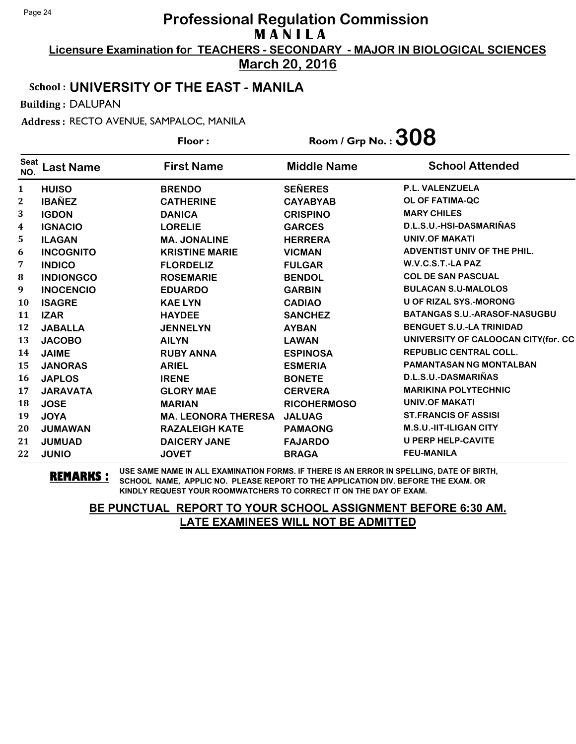**Licensure Examination for TEACHERS - SECONDARY - MAJOR IN BIOLOGICAL SCIENCES March 20, 2016**

#### School : **UNIVERSITY OF THE EAST - MANILA**

Building : DALUPAN

Address : RECTO AVENUE, SAMPALOC, MANILA

**Last Name First Name Middle Name** Floor : Room / Grp No. :  $308$ Seat <sup>seat</sup> Last Name First Name Middle Name School Attended **HUISO BRENDO SEÑERES P.L. VALENZUELA IBAÑEZ CATHERINE CAYABYAB OL OF FATIMA-QC IGDON DANICA CRISPINO MARY CHILES IGNACIO LORELIE GARCES D.L.S.U.-HSI-DASMARIÑAS ILAGAN MA. JONALINE HERRERA UNIV.OF MAKATI INCOGNITO KRISTINE MARIE VICMAN ADVENTIST UNIV OF THE PHIL. INDICO FLORDELIZ FULGAR W.V.C.S.T.-LA PAZ INDIONGCO ROSEMARIE BENDOL COL DE SAN PASCUAL INOCENCIO EDUARDO GARBIN BULACAN S.U-MALOLOS ISAGRE KAE LYN CADIAO U OF RIZAL SYS.-MORONG IZAR HAYDEE SANCHEZ BATANGAS S.U.-ARASOF-NASUGBU JABALLA JENNELYN AYBAN BENGUET S.U.-LA TRINIDAD JACOBO AILYN LAWAN UNIVERSITY OF CALOOCAN CITY(for. CC JAIME RUBY ANNA ESPINOSA REPUBLIC CENTRAL COLL. JANORAS ARIEL ESMERIA PAMANTASAN NG MONTALBAN JAPLOS IRENE BONETE D.L.S.U.-DASMARIÑAS JARAVATA GLORY MAE CERVERA MARIKINA POLYTECHNIC JOSE MARIAN RICOHERMOSO UNIV.OF MAKATI JOYA MA. LEONORA THERESA JALUAG ST.FRANCIS OF ASSISI JUMAWAN RAZALEIGH KATE PAMAONG M.S.U.-IIT-ILIGAN CITY JUMUAD DAICERY JANE FAJARDO U PERP HELP-CAVITE JUNIO JOVET BRAGA FEU-MANILA**

**REMARKS :** USE SAME NAME IN ALL EXAMINATION FORMS. IF THERE IS AN ERROR IN SPELLING, DATE OF BIRTH, SCHOOL NAME, APPLIC NO. PLEASE REPORT TO THE APPLICATION DIV. BEFORE THE EXAM. OR KINDLY REQUEST YOUR ROOMWATCHERS TO CORRECT IT ON THE DAY OF EXAM.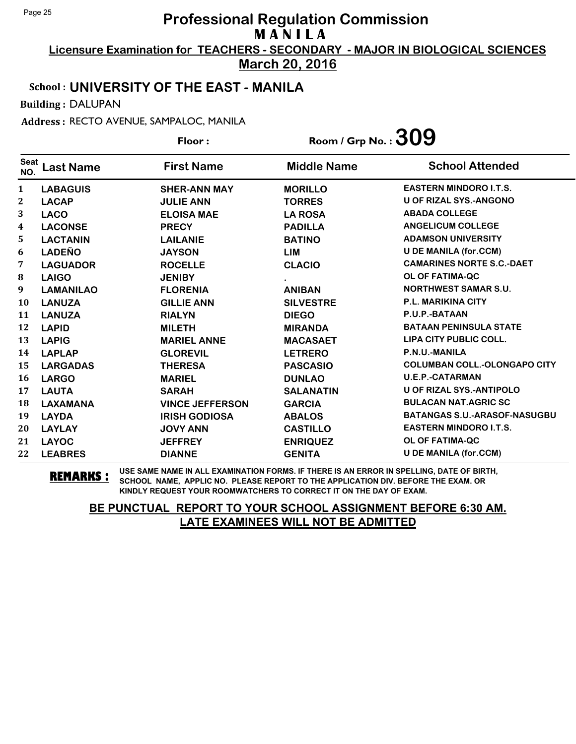**Licensure Examination for TEACHERS - SECONDARY - MAJOR IN BIOLOGICAL SCIENCES March 20, 2016**

## School : **UNIVERSITY OF THE EAST - MANILA**

Building : DALUPAN

Address : RECTO AVENUE, SAMPALOC, MANILA

**Last Name First Name Middle Name** Floor : Room / Grp No. :**309** Seat <sup>seat</sup> Last Name First Name Middle Name School Attended **LABAGUIS SHER-ANN MAY MORILLO EASTERN MINDORO I.T.S. LACAP JULIE ANN TORRES U OF RIZAL SYS.-ANGONO LACO ELOISA MAE LA ROSA ABADA COLLEGE LACONSE PRECY PADILLA ANGELICUM COLLEGE LACTANIN LAILANIE BATINO ADAMSON UNIVERSITY LADEÑO JAYSON LIM U DE MANILA (for.CCM) LAGUADOR ROCELLE CLACIO CAMARINES NORTE S.C.-DAET LAIGO JENIBY . OL OF FATIMA-QC LAMANILAO FLORENIA ANIBAN NORTHWEST SAMAR S.U. LANUZA GILLIE ANN SILVESTRE P.L. MARIKINA CITY LANUZA RIALYN DIEGO P.U.P.-BATAAN LAPID MILETH MIRANDA BATAAN PENINSULA STATE LAPIG MARIEL ANNE MACASAET LIPA CITY PUBLIC COLL. LAPLAP GLOREVIL LETRERO P.N.U.-MANILA LARGADAS THERESA PASCASIO COLUMBAN COLL.-OLONGAPO CITY LARGO MARIEL DUNLAO U.E.P.-CATARMAN LAUTA SARAH SALANATIN U OF RIZAL SYS.-ANTIPOLO LAXAMANA VINCE JEFFERSON GARCIA BULACAN NAT.AGRIC SC LAYDA IRISH GODIOSA ABALOS BATANGAS S.U.-ARASOF-NASUGBU LAYLAY JOVY ANN CASTILLO EASTERN MINDORO I.T.S. LAYOC JEFFREY ENRIQUEZ OL OF FATIMA-QC LEABRES DIANNE GENITA U DE MANILA (for.CCM)**

**REMARKS :** USE SAME NAME IN ALL EXAMINATION FORMS. IF THERE IS AN ERROR IN SPELLING, DATE OF BIRTH, SCHOOL NAME, APPLIC NO. PLEASE REPORT TO THE APPLICATION DIV. BEFORE THE EXAM. OR KINDLY REQUEST YOUR ROOMWATCHERS TO CORRECT IT ON THE DAY OF EXAM.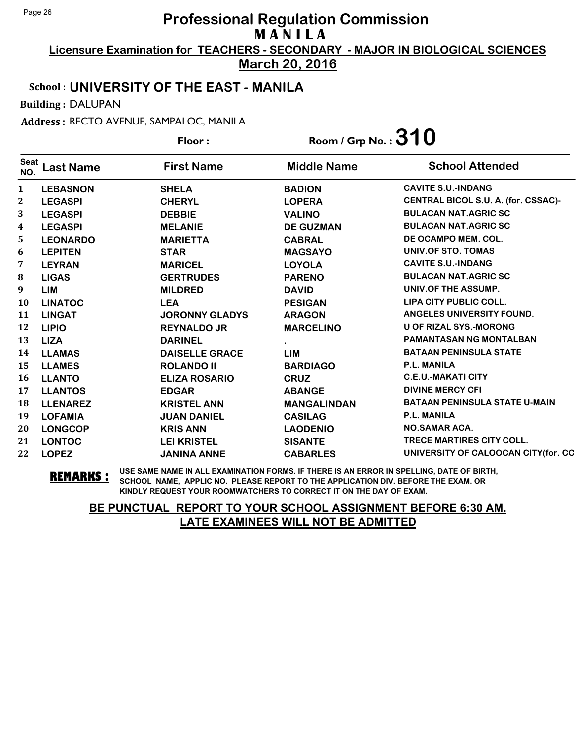**Licensure Examination for TEACHERS - SECONDARY - MAJOR IN BIOLOGICAL SCIENCES March 20, 2016**

#### School : **UNIVERSITY OF THE EAST - MANILA**

Building : DALUPAN

Address : RECTO AVENUE, SAMPALOC, MANILA

**Last Name First Name Middle Name** Floor : Room / Grp No. :**310** Seat <sup>seat</sup> Last Name First Name Middle Name School Attended **LEBASNON SHELA BADION CAVITE S.U.-INDANG LEGASPI CHERYL LOPERA CENTRAL BICOL S.U. A. (for. CSSAC)- LEGASPI DEBBIE VALINO BULACAN NAT.AGRIC SC LEGASPI MELANIE DE GUZMAN BULACAN NAT.AGRIC SC LEONARDO MARIETTA CABRAL DE OCAMPO MEM. COL. LEPITEN STAR MAGSAYO UNIV.OF STO. TOMAS LEYRAN MARICEL LOYOLA CAVITE S.U.-INDANG LIGAS GERTRUDES PARENO BULACAN NAT.AGRIC SC LIM MILDRED DAVID UNIV.OF THE ASSUMP. LINATOC LEA PESIGAN LIPA CITY PUBLIC COLL. LINGAT JORONNY GLADYS ARAGON ANGELES UNIVERSITY FOUND. LIPIO REYNALDO JR MARCELINO U OF RIZAL SYS.-MORONG LIZA DARINEL . PAMANTASAN NG MONTALBAN LLAMAS DAISELLE GRACE LIM BATAAN PENINSULA STATE LLAMES ROLANDO II BARDIAGO P.L. MANILA LLANTO ELIZA ROSARIO CRUZ C.E.U.-MAKATI CITY** 17 LLANTOS **EDGAR** ABANGE DIVINE MERCY CFI **LLENAREZ KRISTEL ANN MANGALINDAN BATAAN PENINSULA STATE U-MAIN LOFAMIA JUAN DANIEL CASILAG P.L. MANILA LONGCOP KRIS ANN LAODENIO NO.SAMAR ACA. LONTOC LEI KRISTEL SISANTE TRECE MARTIRES CITY COLL. LOPEZ JANINA ANNE CABARLES UNIVERSITY OF CALOOCAN CITY(for. CC**

**REMARKS :** USE SAME NAME IN ALL EXAMINATION FORMS. IF THERE IS AN ERROR IN SPELLING, DATE OF BIRTH, SCHOOL NAME, APPLIC NO. PLEASE REPORT TO THE APPLICATION DIV. BEFORE THE EXAM. OR KINDLY REQUEST YOUR ROOMWATCHERS TO CORRECT IT ON THE DAY OF EXAM.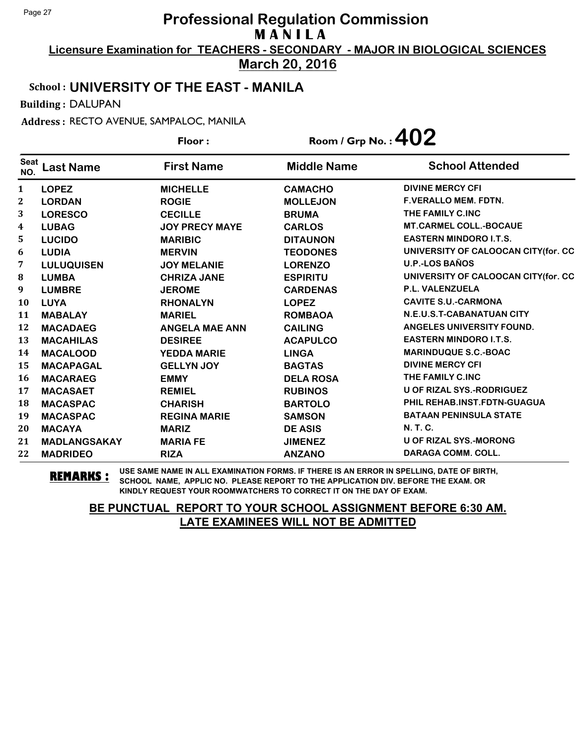**Licensure Examination for TEACHERS - SECONDARY - MAJOR IN BIOLOGICAL SCIENCES March 20, 2016**

School : **UNIVERSITY OF THE EAST - MANILA**

Building : DALUPAN

Address : RECTO AVENUE, SAMPALOC, MANILA

|                    |                     | Floor:                | Room / Grp No. : $402$ |                                      |
|--------------------|---------------------|-----------------------|------------------------|--------------------------------------|
| <b>Seat</b><br>NO. | <b>Last Name</b>    | <b>First Name</b>     | <b>Middle Name</b>     | <b>School Attended</b>               |
| $\mathbf{1}$       | <b>LOPEZ</b>        | <b>MICHELLE</b>       | <b>CAMACHO</b>         | <b>DIVINE MERCY CFI</b>              |
| $\boldsymbol{2}$   | <b>LORDAN</b>       | <b>ROGIE</b>          | <b>MOLLEJON</b>        | <b>F.VERALLO MEM. FDTN.</b>          |
| 3                  | <b>LORESCO</b>      | <b>CECILLE</b>        | <b>BRUMA</b>           | THE FAMILY C.INC                     |
| 4                  | <b>LUBAG</b>        | <b>JOY PRECY MAYE</b> | <b>CARLOS</b>          | <b>MT.CARMEL COLL.-BOCAUE</b>        |
| 5                  | <b>LUCIDO</b>       | <b>MARIBIC</b>        | <b>DITAUNON</b>        | <b>EASTERN MINDORO I.T.S.</b>        |
| 6                  | <b>LUDIA</b>        | <b>MERVIN</b>         | <b>TEODONES</b>        | UNIVERSITY OF CALOOCAN CITY(for. CC  |
| 7                  | <b>LULUQUISEN</b>   | <b>JOY MELANIE</b>    | <b>LORENZO</b>         | <b>U.P.-LOS BAÑOS</b>                |
| ${\bf 8}$          | <b>LUMBA</b>        | <b>CHRIZA JANE</b>    | <b>ESPIRITU</b>        | UNIVERSITY OF CALOOCAN CITY (for. CC |
| 9                  | <b>LUMBRE</b>       | <b>JEROME</b>         | <b>CARDENAS</b>        | <b>P.L. VALENZUELA</b>               |
| <b>10</b>          | <b>LUYA</b>         | <b>RHONALYN</b>       | <b>LOPEZ</b>           | <b>CAVITE S.U.-CARMONA</b>           |
| 11                 | <b>MABALAY</b>      | <b>MARIEL</b>         | <b>ROMBAOA</b>         | N.E.U.S.T-CABANATUAN CITY            |
| 12                 | <b>MACADAEG</b>     | <b>ANGELA MAE ANN</b> | <b>CAILING</b>         | ANGELES UNIVERSITY FOUND.            |
| 13                 | <b>MACAHILAS</b>    | <b>DESIREE</b>        | <b>ACAPULCO</b>        | <b>EASTERN MINDORO I.T.S.</b>        |
| 14                 | <b>MACALOOD</b>     | <b>YEDDA MARIE</b>    | <b>LINGA</b>           | <b>MARINDUQUE S.C.-BOAC</b>          |
| 15                 | <b>MACAPAGAL</b>    | <b>GELLYN JOY</b>     | <b>BAGTAS</b>          | <b>DIVINE MERCY CFI</b>              |
| <b>16</b>          | <b>MACARAEG</b>     | <b>EMMY</b>           | <b>DELA ROSA</b>       | THE FAMILY C.INC                     |
| 17                 | <b>MACASAET</b>     | <b>REMIEL</b>         | <b>RUBINOS</b>         | U OF RIZAL SYS.-RODRIGUEZ            |
| 18                 | <b>MACASPAC</b>     | <b>CHARISH</b>        | <b>BARTOLO</b>         | PHIL REHAB.INST.FDTN-GUAGUA          |
| 19                 | <b>MACASPAC</b>     | <b>REGINA MARIE</b>   | <b>SAMSON</b>          | <b>BATAAN PENINSULA STATE</b>        |
| 20                 | <b>MACAYA</b>       | <b>MARIZ</b>          | <b>DE ASIS</b>         | N. T. C.                             |
| 21                 | <b>MADLANGSAKAY</b> | <b>MARIA FE</b>       | <b>JIMENEZ</b>         | <b>U OF RIZAL SYS.-MORONG</b>        |
| 22                 | <b>MADRIDEO</b>     | <b>RIZA</b>           | <b>ANZANO</b>          | <b>DARAGA COMM. COLL.</b>            |

**REMARKS :** USE SAME NAME IN ALL EXAMINATION FORMS. IF THERE IS AN ERROR IN SPELLING, DATE OF BIRTH, SCHOOL NAME, APPLIC NO. PLEASE REPORT TO THE APPLICATION DIV. BEFORE THE EXAM. OR KINDLY REQUEST YOUR ROOMWATCHERS TO CORRECT IT ON THE DAY OF EXAM.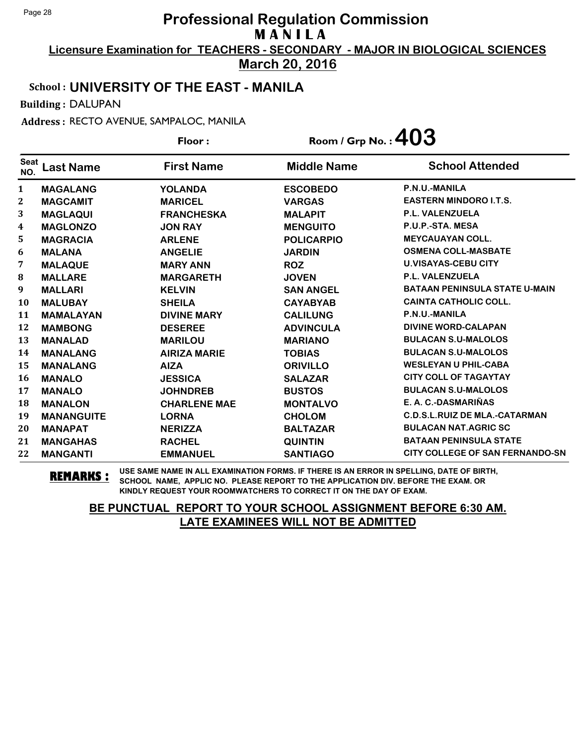**Licensure Examination for TEACHERS - SECONDARY - MAJOR IN BIOLOGICAL SCIENCES March 20, 2016**

#### School : **UNIVERSITY OF THE EAST - MANILA**

Building : DALUPAN

Address : RECTO AVENUE, SAMPALOC, MANILA

|                    |                   | Floor:              | Room / Grp No.: $403$ |                                        |
|--------------------|-------------------|---------------------|-----------------------|----------------------------------------|
| <b>Seat</b><br>NO. | <b>Last Name</b>  | <b>First Name</b>   | <b>Middle Name</b>    | <b>School Attended</b>                 |
| $\mathbf{1}$       | <b>MAGALANG</b>   | <b>YOLANDA</b>      | <b>ESCOBEDO</b>       | P.N.U.-MANILA                          |
| 2                  | <b>MAGCAMIT</b>   | <b>MARICEL</b>      | <b>VARGAS</b>         | <b>EASTERN MINDORO I.T.S.</b>          |
| 3                  | <b>MAGLAQUI</b>   | <b>FRANCHESKA</b>   | <b>MALAPIT</b>        | <b>P.L. VALENZUELA</b>                 |
| 4                  | <b>MAGLONZO</b>   | <b>JON RAY</b>      | <b>MENGUITO</b>       | P.U.P.-STA. MESA                       |
| 5                  | <b>MAGRACIA</b>   | <b>ARLENE</b>       | <b>POLICARPIO</b>     | <b>MEYCAUAYAN COLL.</b>                |
| 6                  | <b>MALANA</b>     | <b>ANGELIE</b>      | <b>JARDIN</b>         | <b>OSMENA COLL-MASBATE</b>             |
| 7                  | <b>MALAQUE</b>    | <b>MARY ANN</b>     | <b>ROZ</b>            | <b>U.VISAYAS-CEBU CITY</b>             |
| ${\bf 8}$          | <b>MALLARE</b>    | <b>MARGARETH</b>    | <b>JOVEN</b>          | <b>P.L. VALENZUELA</b>                 |
| 9                  | <b>MALLARI</b>    | <b>KELVIN</b>       | <b>SAN ANGEL</b>      | <b>BATAAN PENINSULA STATE U-MAIN</b>   |
| <b>10</b>          | <b>MALUBAY</b>    | <b>SHEILA</b>       | <b>CAYABYAB</b>       | <b>CAINTA CATHOLIC COLL.</b>           |
| 11                 | <b>MAMALAYAN</b>  | <b>DIVINE MARY</b>  | <b>CALILUNG</b>       | P.N.U.-MANILA                          |
| 12                 | <b>MAMBONG</b>    | <b>DESEREE</b>      | <b>ADVINCULA</b>      | <b>DIVINE WORD-CALAPAN</b>             |
| 13                 | <b>MANALAD</b>    | <b>MARILOU</b>      | <b>MARIANO</b>        | <b>BULACAN S.U-MALOLOS</b>             |
| 14                 | <b>MANALANG</b>   | <b>AIRIZA MARIE</b> | <b>TOBIAS</b>         | <b>BULACAN S.U-MALOLOS</b>             |
| 15                 | <b>MANALANG</b>   | <b>AIZA</b>         | <b>ORIVILLO</b>       | <b>WESLEYAN U PHIL-CABA</b>            |
| 16                 | <b>MANALO</b>     | <b>JESSICA</b>      | <b>SALAZAR</b>        | <b>CITY COLL OF TAGAYTAY</b>           |
| 17                 | <b>MANALO</b>     | <b>JOHNDREB</b>     | <b>BUSTOS</b>         | <b>BULACAN S.U-MALOLOS</b>             |
| 18                 | <b>MANALON</b>    | <b>CHARLENE MAE</b> | <b>MONTALVO</b>       | E. A. C.-DASMARIÑAS                    |
| 19                 | <b>MANANGUITE</b> | <b>LORNA</b>        | <b>CHOLOM</b>         | <b>C.D.S.L.RUIZ DE MLA.-CATARMAN</b>   |
| 20                 | <b>MANAPAT</b>    | <b>NERIZZA</b>      | <b>BALTAZAR</b>       | <b>BULACAN NAT.AGRIC SC</b>            |
| 21                 | <b>MANGAHAS</b>   | <b>RACHEL</b>       | <b>QUINTIN</b>        | <b>BATAAN PENINSULA STATE</b>          |
| 22                 | <b>MANGANTI</b>   | <b>EMMANUEL</b>     | <b>SANTIAGO</b>       | <b>CITY COLLEGE OF SAN FERNANDO-SN</b> |

**REMARKS :** USE SAME NAME IN ALL EXAMINATION FORMS. IF THERE IS AN ERROR IN SPELLING, DATE OF BIRTH, SCHOOL NAME, APPLIC NO. PLEASE REPORT TO THE APPLICATION DIV. BEFORE THE EXAM. OR KINDLY REQUEST YOUR ROOMWATCHERS TO CORRECT IT ON THE DAY OF EXAM.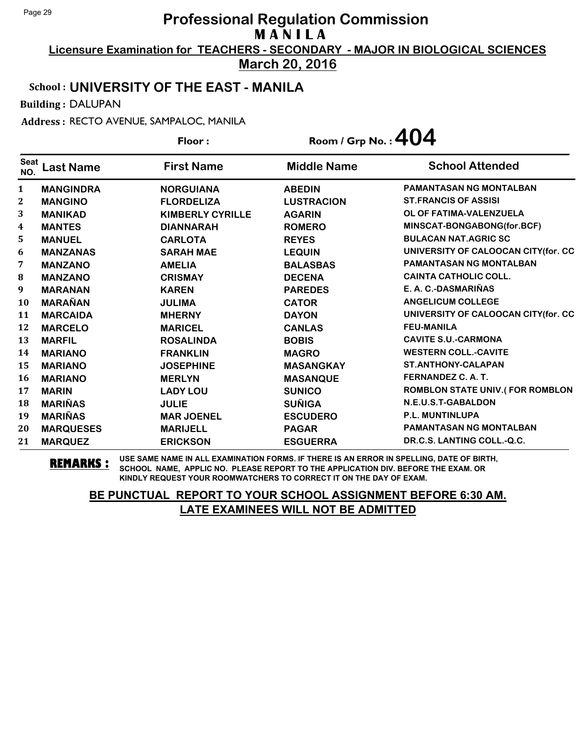**Licensure Examination for TEACHERS - SECONDARY - MAJOR IN BIOLOGICAL SCIENCES March 20, 2016**

#### School : **UNIVERSITY OF THE EAST - MANILA**

Building : DALUPAN

Address : RECTO AVENUE, SAMPALOC, MANILA

|                    |                  | Floor:                  | Room / Grp No.: $404$ |                                        |
|--------------------|------------------|-------------------------|-----------------------|----------------------------------------|
| <b>Seat</b><br>NO. | <b>Last Name</b> | <b>First Name</b>       | <b>Middle Name</b>    | <b>School Attended</b>                 |
| 1                  | <b>MANGINDRA</b> | <b>NORGUIANA</b>        | <b>ABEDIN</b>         | <b>PAMANTASAN NG MONTALBAN</b>         |
| $\mathbf{2}$       | <b>MANGINO</b>   | <b>FLORDELIZA</b>       | <b>LUSTRACION</b>     | <b>ST.FRANCIS OF ASSISI</b>            |
| 3                  | <b>MANIKAD</b>   | <b>KIMBERLY CYRILLE</b> | <b>AGARIN</b>         | OL OF FATIMA-VALENZUELA                |
| 4                  | <b>MANTES</b>    | <b>DIANNARAH</b>        | <b>ROMERO</b>         | MINSCAT-BONGABONG(for.BCF)             |
| 5                  | <b>MANUEL</b>    | <b>CARLOTA</b>          | <b>REYES</b>          | <b>BULACAN NAT.AGRIC SC</b>            |
| 6                  | <b>MANZANAS</b>  | <b>SARAH MAE</b>        | <b>LEQUIN</b>         | UNIVERSITY OF CALOOCAN CITY (for. CC   |
| 7                  | <b>MANZANO</b>   | <b>AMELIA</b>           | <b>BALASBAS</b>       | PAMANTASAN NG MONTALBAN                |
| 8                  | <b>MANZANO</b>   | <b>CRISMAY</b>          | <b>DECENA</b>         | <b>CAINTA CATHOLIC COLL.</b>           |
| 9                  | <b>MARANAN</b>   | <b>KAREN</b>            | <b>PAREDES</b>        | E. A. C.-DASMARIÑAS                    |
| 10                 | <b>MARAÑAN</b>   | <b>JULIMA</b>           | <b>CATOR</b>          | <b>ANGELICUM COLLEGE</b>               |
| 11                 | <b>MARCAIDA</b>  | <b>MHERNY</b>           | <b>DAYON</b>          | UNIVERSITY OF CALOOCAN CITY(for. CC    |
| 12                 | <b>MARCELO</b>   | <b>MARICEL</b>          | <b>CANLAS</b>         | <b>FEU-MANILA</b>                      |
| 13                 | <b>MARFIL</b>    | <b>ROSALINDA</b>        | <b>BOBIS</b>          | <b>CAVITE S.U.-CARMONA</b>             |
| 14                 | <b>MARIANO</b>   | <b>FRANKLIN</b>         | <b>MAGRO</b>          | <b>WESTERN COLL.-CAVITE</b>            |
| 15                 | <b>MARIANO</b>   | <b>JOSEPHINE</b>        | <b>MASANGKAY</b>      | <b>ST.ANTHONY-CALAPAN</b>              |
| 16                 | <b>MARIANO</b>   | <b>MERLYN</b>           | <b>MASANQUE</b>       | FERNANDEZ C.A.T.                       |
| 17                 | <b>MARIN</b>     | <b>LADY LOU</b>         | <b>SUNICO</b>         | <b>ROMBLON STATE UNIV.(FOR ROMBLON</b> |
| 18                 | <b>MARIÑAS</b>   | <b>JULIE</b>            | <b>SUÑIGA</b>         | N.E.U.S.T-GABALDON                     |
| 19                 | <b>MARIÑAS</b>   | <b>MAR JOENEL</b>       | <b>ESCUDERO</b>       | <b>P.L. MUNTINLUPA</b>                 |
| 20                 | <b>MARQUESES</b> | <b>MARIJELL</b>         | <b>PAGAR</b>          | <b>PAMANTASAN NG MONTALBAN</b>         |
| 21                 | <b>MARQUEZ</b>   | <b>ERICKSON</b>         | <b>ESGUERRA</b>       | DR.C.S. LANTING COLL.-Q.C.             |

**REMARKS :** USE SAME NAME IN ALL EXAMINATION FORMS. IF THERE IS AN ERROR IN SPELLING, DATE OF BIRTH, SCHOOL NAME, APPLIC NO. PLEASE REPORT TO THE APPLICATION DIV. BEFORE THE EXAM. OR KINDLY REQUEST YOUR ROOMWATCHERS TO CORRECT IT ON THE DAY OF EXAM.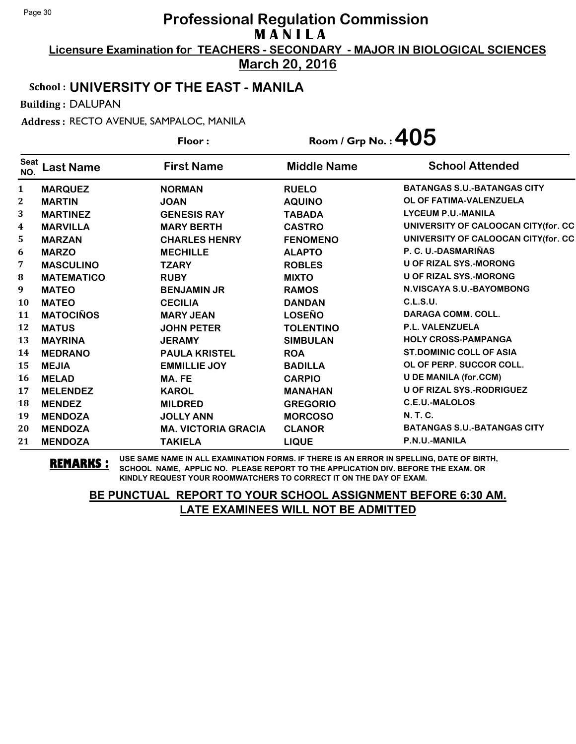**Licensure Examination for TEACHERS - SECONDARY - MAJOR IN BIOLOGICAL SCIENCES March 20, 2016**

School : **UNIVERSITY OF THE EAST - MANILA**

Building : DALUPAN

Address : RECTO AVENUE, SAMPALOC, MANILA

|                    |                   | Floor:                     | Room / Grp No.: $405$ |                                     |
|--------------------|-------------------|----------------------------|-----------------------|-------------------------------------|
| <b>Seat</b><br>NO. | <b>Last Name</b>  | <b>First Name</b>          | <b>Middle Name</b>    | <b>School Attended</b>              |
| $\mathbf{1}$       | <b>MARQUEZ</b>    | <b>NORMAN</b>              | <b>RUELO</b>          | <b>BATANGAS S.U.-BATANGAS CITY</b>  |
| $\mathbf{2}$       | <b>MARTIN</b>     | <b>JOAN</b>                | <b>AQUINO</b>         | OL OF FATIMA-VALENZUELA             |
| 3                  | <b>MARTINEZ</b>   | <b>GENESIS RAY</b>         | <b>TABADA</b>         | <b>LYCEUM P.U.-MANILA</b>           |
| $\boldsymbol{4}$   | <b>MARVILLA</b>   | <b>MARY BERTH</b>          | <b>CASTRO</b>         | UNIVERSITY OF CALOOCAN CITY(for. CC |
| 5                  | <b>MARZAN</b>     | <b>CHARLES HENRY</b>       | <b>FENOMENO</b>       | UNIVERSITY OF CALOOCAN CITY(for. CC |
| 6                  | <b>MARZO</b>      | <b>MECHILLE</b>            | <b>ALAPTO</b>         | P. C. U.-DASMARIÑAS                 |
| 7                  | <b>MASCULINO</b>  | <b>TZARY</b>               | <b>ROBLES</b>         | <b>U OF RIZAL SYS.-MORONG</b>       |
| 8                  | <b>MATEMATICO</b> | <b>RUBY</b>                | <b>MIXTO</b>          | <b>U OF RIZAL SYS.-MORONG</b>       |
| 9                  | <b>MATEO</b>      | <b>BENJAMIN JR</b>         | <b>RAMOS</b>          | N.VISCAYA S.U.-BAYOMBONG            |
| 10                 | <b>MATEO</b>      | <b>CECILIA</b>             | <b>DANDAN</b>         | C.L.S.U.                            |
| 11                 | <b>MATOCIÑOS</b>  | <b>MARY JEAN</b>           | <b>LOSEÑO</b>         | <b>DARAGA COMM. COLL.</b>           |
| 12                 | <b>MATUS</b>      | <b>JOHN PETER</b>          | <b>TOLENTINO</b>      | <b>P.L. VALENZUELA</b>              |
| 13                 | <b>MAYRINA</b>    | <b>JERAMY</b>              | <b>SIMBULAN</b>       | <b>HOLY CROSS-PAMPANGA</b>          |
| 14                 | <b>MEDRANO</b>    | <b>PAULA KRISTEL</b>       | <b>ROA</b>            | <b>ST.DOMINIC COLL OF ASIA</b>      |
| 15                 | <b>MEJIA</b>      | <b>EMMILLIE JOY</b>        | <b>BADILLA</b>        | OL OF PERP. SUCCOR COLL.            |
| <b>16</b>          | <b>MELAD</b>      | MA. FE                     | <b>CARPIO</b>         | <b>U DE MANILA (for.CCM)</b>        |
| 17                 | <b>MELENDEZ</b>   | <b>KAROL</b>               | <b>MANAHAN</b>        | <b>U OF RIZAL SYS.-RODRIGUEZ</b>    |
| 18                 | <b>MENDEZ</b>     | <b>MILDRED</b>             | <b>GREGORIO</b>       | C.E.U.-MALOLOS                      |
| 19                 | <b>MENDOZA</b>    | <b>JOLLY ANN</b>           | <b>MORCOSO</b>        | N. T. C.                            |
| 20                 | <b>MENDOZA</b>    | <b>MA. VICTORIA GRACIA</b> | <b>CLANOR</b>         | <b>BATANGAS S.U.-BATANGAS CITY</b>  |
| 21                 | <b>MENDOZA</b>    | <b>TAKIELA</b>             | <b>LIQUE</b>          | P.N.U.-MANILA                       |

**REMARKS :** USE SAME NAME IN ALL EXAMINATION FORMS. IF THERE IS AN ERROR IN SPELLING, DATE OF BIRTH, SCHOOL NAME, APPLIC NO. PLEASE REPORT TO THE APPLICATION DIV. BEFORE THE EXAM. OR KINDLY REQUEST YOUR ROOMWATCHERS TO CORRECT IT ON THE DAY OF EXAM.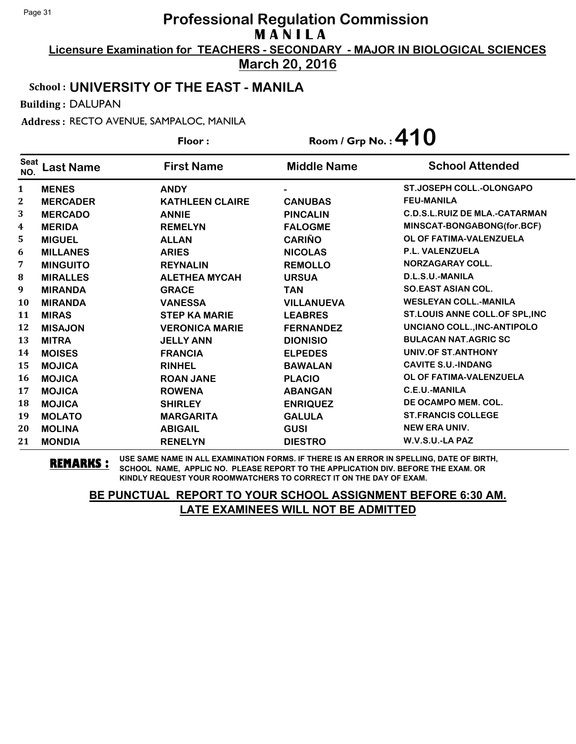**Licensure Examination for TEACHERS - SECONDARY - MAJOR IN BIOLOGICAL SCIENCES March 20, 2016**

#### School : **UNIVERSITY OF THE EAST - MANILA**

Building : DALUPAN

Address : RECTO AVENUE, SAMPALOC, MANILA

|                    |                 | Floor:                 | Room / Grp No.: $410$ |                                      |
|--------------------|-----------------|------------------------|-----------------------|--------------------------------------|
| <b>Seat</b><br>NO. | Last Name       | <b>First Name</b>      | <b>Middle Name</b>    | <b>School Attended</b>               |
| $\mathbf{1}$       | <b>MENES</b>    | <b>ANDY</b>            |                       | <b>ST.JOSEPH COLL.-OLONGAPO</b>      |
| $\boldsymbol{2}$   | <b>MERCADER</b> | <b>KATHLEEN CLAIRE</b> | <b>CANUBAS</b>        | <b>FEU-MANILA</b>                    |
| 3                  | <b>MERCADO</b>  | <b>ANNIE</b>           | <b>PINCALIN</b>       | <b>C.D.S.L.RUIZ DE MLA.-CATARMAN</b> |
| 4                  | <b>MERIDA</b>   | <b>REMELYN</b>         | <b>FALOGME</b>        | MINSCAT-BONGABONG(for.BCF)           |
| 5                  | <b>MIGUEL</b>   | <b>ALLAN</b>           | <b>CARIÑO</b>         | OL OF FATIMA-VALENZUELA              |
| 6                  | <b>MILLANES</b> | <b>ARIES</b>           | <b>NICOLAS</b>        | P.L. VALENZUELA                      |
| 7                  | <b>MINGUITO</b> | <b>REYNALIN</b>        | <b>REMOLLO</b>        | <b>NORZAGARAY COLL.</b>              |
| 8                  | <b>MIRALLES</b> | <b>ALETHEA MYCAH</b>   | <b>URSUA</b>          | D.L.S.U.-MANILA                      |
| 9                  | <b>MIRANDA</b>  | <b>GRACE</b>           | <b>TAN</b>            | <b>SO.EAST ASIAN COL.</b>            |
| 10                 | <b>MIRANDA</b>  | <b>VANESSA</b>         | <b>VILLANUEVA</b>     | <b>WESLEYAN COLL.-MANILA</b>         |
| 11                 | <b>MIRAS</b>    | <b>STEP KA MARIE</b>   | <b>LEABRES</b>        | ST.LOUIS ANNE COLL.OF SPL, INC       |
| 12                 | <b>MISAJON</b>  | <b>VERONICA MARIE</b>  | <b>FERNANDEZ</b>      | UNCIANO COLL., INC-ANTIPOLO          |
| 13                 | <b>MITRA</b>    | <b>JELLY ANN</b>       | <b>DIONISIO</b>       | <b>BULACAN NAT.AGRIC SC</b>          |
| 14                 | <b>MOISES</b>   | <b>FRANCIA</b>         | <b>ELPEDES</b>        | UNIV.OF ST.ANTHONY                   |
| 15                 | <b>MOJICA</b>   | <b>RINHEL</b>          | <b>BAWALAN</b>        | <b>CAVITE S.U.-INDANG</b>            |
| <b>16</b>          | <b>MOJICA</b>   | <b>ROAN JANE</b>       | <b>PLACIO</b>         | OL OF FATIMA-VALENZUELA              |
| 17                 | <b>MOJICA</b>   | <b>ROWENA</b>          | <b>ABANGAN</b>        | C.E.U.-MANILA                        |
| 18                 | <b>MOJICA</b>   | <b>SHIRLEY</b>         | <b>ENRIQUEZ</b>       | DE OCAMPO MEM. COL.                  |
| 19                 | <b>MOLATO</b>   | <b>MARGARITA</b>       | <b>GALULA</b>         | <b>ST.FRANCIS COLLEGE</b>            |
| 20                 | <b>MOLINA</b>   | <b>ABIGAIL</b>         | <b>GUSI</b>           | <b>NEW ERA UNIV.</b>                 |
| 21                 | <b>MONDIA</b>   | <b>RENELYN</b>         | <b>DIESTRO</b>        | W.V.S.U.-LA PAZ                      |

**REMARKS :** USE SAME NAME IN ALL EXAMINATION FORMS. IF THERE IS AN ERROR IN SPELLING, DATE OF BIRTH, SCHOOL NAME, APPLIC NO. PLEASE REPORT TO THE APPLICATION DIV. BEFORE THE EXAM. OR KINDLY REQUEST YOUR ROOMWATCHERS TO CORRECT IT ON THE DAY OF EXAM.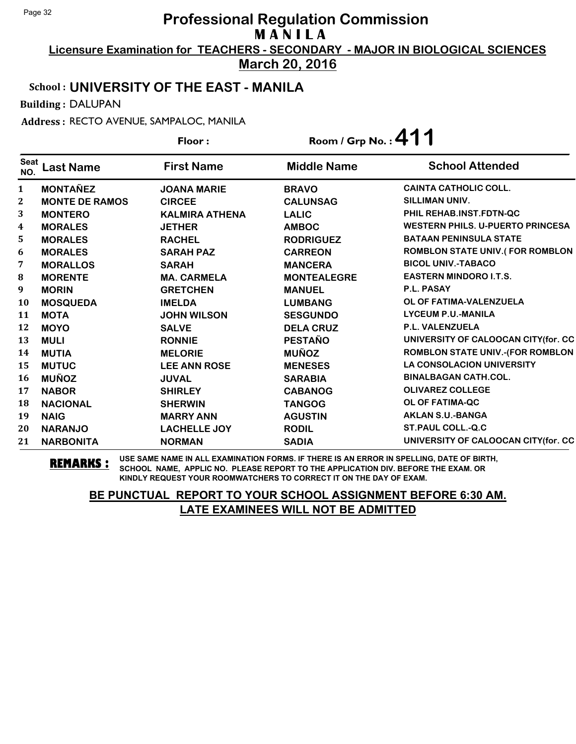**Licensure Examination for TEACHERS - SECONDARY - MAJOR IN BIOLOGICAL SCIENCES March 20, 2016**

#### School : **UNIVERSITY OF THE EAST - MANILA**

Building : DALUPAN

Address : RECTO AVENUE, SAMPALOC, MANILA

|                    |                       | Room / Grp No.: 411<br>Floor: |                    |                                         |
|--------------------|-----------------------|-------------------------------|--------------------|-----------------------------------------|
| <b>Seat</b><br>NO. | <b>Last Name</b>      | <b>First Name</b>             | <b>Middle Name</b> | <b>School Attended</b>                  |
| $\mathbf{1}$       | <b>MONTAÑEZ</b>       | <b>JOANA MARIE</b>            | <b>BRAVO</b>       | <b>CAINTA CATHOLIC COLL.</b>            |
| $\mathbf{2}$       | <b>MONTE DE RAMOS</b> | <b>CIRCEE</b>                 | <b>CALUNSAG</b>    | SILLIMAN UNIV.                          |
| 3                  | <b>MONTERO</b>        | <b>KALMIRA ATHENA</b>         | <b>LALIC</b>       | PHIL REHAB.INST.FDTN-QC                 |
| $\boldsymbol{4}$   | <b>MORALES</b>        | <b>JETHER</b>                 | <b>AMBOC</b>       | <b>WESTERN PHILS, U-PUERTO PRINCESA</b> |
| 5                  | <b>MORALES</b>        | <b>RACHEL</b>                 | <b>RODRIGUEZ</b>   | <b>BATAAN PENINSULA STATE</b>           |
| 6                  | <b>MORALES</b>        | <b>SARAH PAZ</b>              | <b>CARREON</b>     | <b>ROMBLON STATE UNIV.(FOR ROMBLON</b>  |
| 7                  | <b>MORALLOS</b>       | <b>SARAH</b>                  | <b>MANCERA</b>     | <b>BICOL UNIV.-TABACO</b>               |
| 8                  | <b>MORENTE</b>        | <b>MA. CARMELA</b>            | <b>MONTEALEGRE</b> | <b>EASTERN MINDORO I.T.S.</b>           |
| 9                  | <b>MORIN</b>          | <b>GRETCHEN</b>               | <b>MANUEL</b>      | <b>P.L. PASAY</b>                       |
| 10                 | <b>MOSQUEDA</b>       | <b>IMELDA</b>                 | <b>LUMBANG</b>     | OL OF FATIMA-VALENZUELA                 |
| 11                 | <b>MOTA</b>           | <b>JOHN WILSON</b>            | <b>SESGUNDO</b>    | <b>LYCEUM P.U.-MANILA</b>               |
| 12                 | <b>MOYO</b>           | <b>SALVE</b>                  | <b>DELA CRUZ</b>   | <b>P.L. VALENZUELA</b>                  |
| 13                 | <b>MULI</b>           | <b>RONNIE</b>                 | <b>PESTAÑO</b>     | UNIVERSITY OF CALOOCAN CITY(for. CC     |
| 14                 | <b>MUTIA</b>          | <b>MELORIE</b>                | <b>MUÑOZ</b>       | <b>ROMBLON STATE UNIV.-(FOR ROMBLON</b> |
| 15                 | <b>MUTUC</b>          | <b>LEE ANN ROSE</b>           | <b>MENESES</b>     | <b>LA CONSOLACION UNIVERSITY</b>        |
| 16                 | <b>MUÑOZ</b>          | <b>JUVAL</b>                  | <b>SARABIA</b>     | <b>BINALBAGAN CATH.COL.</b>             |
| 17                 | <b>NABOR</b>          | <b>SHIRLEY</b>                | <b>CABANOG</b>     | <b>OLIVAREZ COLLEGE</b>                 |
| 18                 | <b>NACIONAL</b>       | <b>SHERWIN</b>                | <b>TANGOG</b>      | <b>OL OF FATIMA-QC</b>                  |
| 19                 | <b>NAIG</b>           | <b>MARRY ANN</b>              | <b>AGUSTIN</b>     | <b>AKLAN S.U.-BANGA</b>                 |
| 20                 | <b>NARANJO</b>        | <b>LACHELLE JOY</b>           | <b>RODIL</b>       | <b>ST.PAUL COLL.-Q.C</b>                |
| 21                 | <b>NARBONITA</b>      | <b>NORMAN</b>                 | <b>SADIA</b>       | UNIVERSITY OF CALOOCAN CITY (for. CC    |

**REMARKS :** USE SAME NAME IN ALL EXAMINATION FORMS. IF THERE IS AN ERROR IN SPELLING, DATE OF BIRTH, SCHOOL NAME, APPLIC NO. PLEASE REPORT TO THE APPLICATION DIV. BEFORE THE EXAM. OR KINDLY REQUEST YOUR ROOMWATCHERS TO CORRECT IT ON THE DAY OF EXAM.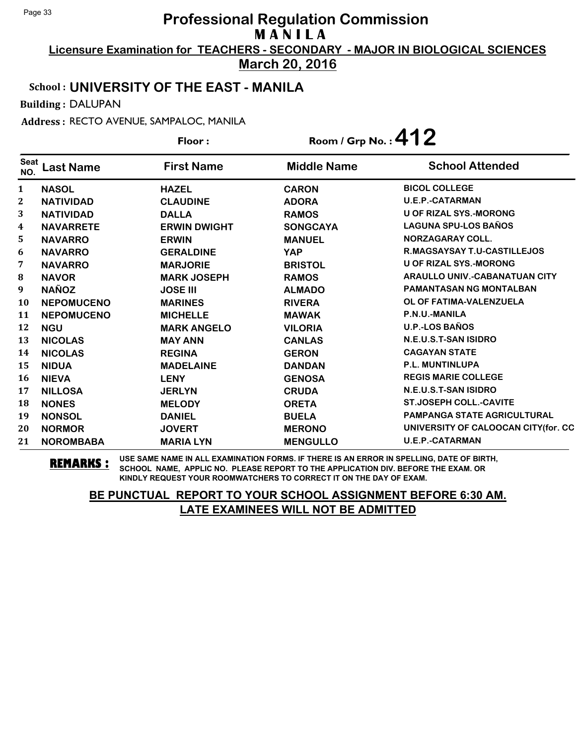**Licensure Examination for TEACHERS - SECONDARY - MAJOR IN BIOLOGICAL SCIENCES March 20, 2016**

#### School : **UNIVERSITY OF THE EAST - MANILA**

Building : DALUPAN

Address : RECTO AVENUE, SAMPALOC, MANILA

|                    |                   | Floor:              |                    | Room / Grp No. : $412$               |  |
|--------------------|-------------------|---------------------|--------------------|--------------------------------------|--|
| <b>Seat</b><br>NO. | <b>Last Name</b>  | <b>First Name</b>   | <b>Middle Name</b> | <b>School Attended</b>               |  |
| $\mathbf{1}$       | <b>NASOL</b>      | <b>HAZEL</b>        | <b>CARON</b>       | <b>BICOL COLLEGE</b>                 |  |
| $\boldsymbol{2}$   | <b>NATIVIDAD</b>  | <b>CLAUDINE</b>     | <b>ADORA</b>       | <b>U.E.P.-CATARMAN</b>               |  |
| 3                  | <b>NATIVIDAD</b>  | <b>DALLA</b>        | <b>RAMOS</b>       | <b>U OF RIZAL SYS.-MORONG</b>        |  |
| 4                  | <b>NAVARRETE</b>  | <b>ERWIN DWIGHT</b> | <b>SONGCAYA</b>    | <b>LAGUNA SPU-LOS BAÑOS</b>          |  |
| 5                  | <b>NAVARRO</b>    | <b>ERWIN</b>        | <b>MANUEL</b>      | <b>NORZAGARAY COLL.</b>              |  |
| 6                  | <b>NAVARRO</b>    | <b>GERALDINE</b>    | <b>YAP</b>         | <b>R.MAGSAYSAY T.U-CASTILLEJOS</b>   |  |
| 7                  | <b>NAVARRO</b>    | <b>MARJORIE</b>     | <b>BRISTOL</b>     | <b>U OF RIZAL SYS.-MORONG</b>        |  |
| ${\bf 8}$          | <b>NAVOR</b>      | <b>MARK JOSEPH</b>  | <b>RAMOS</b>       | <b>ARAULLO UNIV.-CABANATUAN CITY</b> |  |
| $\boldsymbol{9}$   | <b>NAÑOZ</b>      | <b>JOSE III</b>     | <b>ALMADO</b>      | <b>PAMANTASAN NG MONTALBAN</b>       |  |
| 10                 | <b>NEPOMUCENO</b> | <b>MARINES</b>      | <b>RIVERA</b>      | OL OF FATIMA-VALENZUELA              |  |
| 11                 | <b>NEPOMUCENO</b> | <b>MICHELLE</b>     | <b>MAWAK</b>       | P.N.U.-MANILA                        |  |
| 12                 | <b>NGU</b>        | <b>MARK ANGELO</b>  | <b>VILORIA</b>     | <b>U.P.-LOS BAÑOS</b>                |  |
| 13                 | <b>NICOLAS</b>    | <b>MAY ANN</b>      | <b>CANLAS</b>      | N.E.U.S.T-SAN ISIDRO                 |  |
| 14                 | <b>NICOLAS</b>    | <b>REGINA</b>       | <b>GERON</b>       | <b>CAGAYAN STATE</b>                 |  |
| 15                 | <b>NIDUA</b>      | <b>MADELAINE</b>    | <b>DANDAN</b>      | <b>P.L. MUNTINLUPA</b>               |  |
| 16                 | <b>NIEVA</b>      | <b>LENY</b>         | <b>GENOSA</b>      | <b>REGIS MARIE COLLEGE</b>           |  |
| 17                 | <b>NILLOSA</b>    | <b>JERLYN</b>       | <b>CRUDA</b>       | N.E.U.S.T-SAN ISIDRO                 |  |
| 18                 | <b>NONES</b>      | <b>MELODY</b>       | <b>ORETA</b>       | <b>ST.JOSEPH COLL.-CAVITE</b>        |  |
| 19                 | <b>NONSOL</b>     | <b>DANIEL</b>       | <b>BUELA</b>       | <b>PAMPANGA STATE AGRICULTURAL</b>   |  |
| 20                 | <b>NORMOR</b>     | <b>JOVERT</b>       | <b>MERONO</b>      | UNIVERSITY OF CALOOCAN CITY(for. CC  |  |
| 21                 | <b>NOROMBABA</b>  | <b>MARIA LYN</b>    | <b>MENGULLO</b>    | <b>U.E.P.-CATARMAN</b>               |  |

**REMARKS :** USE SAME NAME IN ALL EXAMINATION FORMS. IF THERE IS AN ERROR IN SPELLING, DATE OF BIRTH, SCHOOL NAME, APPLIC NO. PLEASE REPORT TO THE APPLICATION DIV. BEFORE THE EXAM. OR KINDLY REQUEST YOUR ROOMWATCHERS TO CORRECT IT ON THE DAY OF EXAM.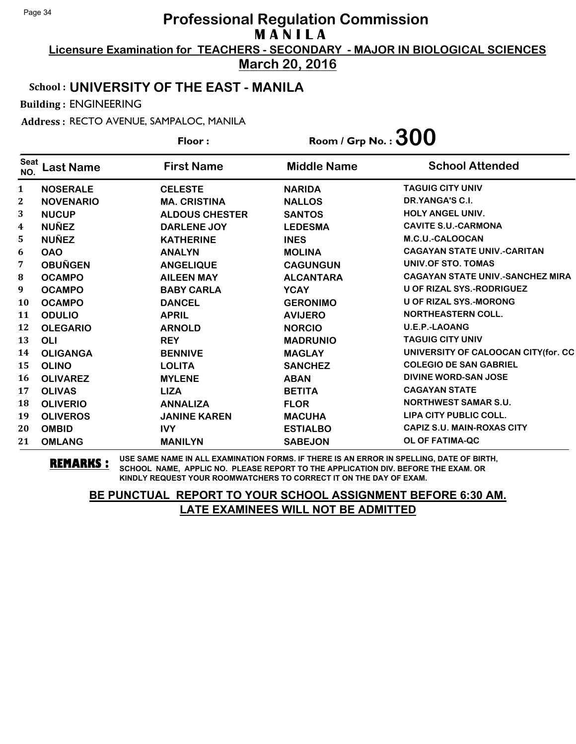**Licensure Examination for TEACHERS - SECONDARY - MAJOR IN BIOLOGICAL SCIENCES March 20, 2016**

# School : **UNIVERSITY OF THE EAST - MANILA**

Building : ENGINEERING

Address : RECTO AVENUE, SAMPALOC, MANILA

|                    |                  | Floor:                | Room / Grp No. : $300$ |                                         |
|--------------------|------------------|-----------------------|------------------------|-----------------------------------------|
| <b>Seat</b><br>NO. | <b>Last Name</b> | <b>First Name</b>     | <b>Middle Name</b>     | <b>School Attended</b>                  |
| $\mathbf{1}$       | <b>NOSERALE</b>  | <b>CELESTE</b>        | <b>NARIDA</b>          | <b>TAGUIG CITY UNIV</b>                 |
| $\mathbf{2}$       | <b>NOVENARIO</b> | <b>MA. CRISTINA</b>   | <b>NALLOS</b>          | DR.YANGA'S C.I.                         |
| 3                  | <b>NUCUP</b>     | <b>ALDOUS CHESTER</b> | <b>SANTOS</b>          | <b>HOLY ANGEL UNIV.</b>                 |
| 4                  | <b>NUÑEZ</b>     | DARLENE JOY           | <b>LEDESMA</b>         | <b>CAVITE S.U.-CARMONA</b>              |
| 5                  | <b>NUÑEZ</b>     | <b>KATHERINE</b>      | <b>INES</b>            | M.C.U.-CALOOCAN                         |
| 6                  | <b>OAO</b>       | <b>ANALYN</b>         | <b>MOLINA</b>          | <b>CAGAYAN STATE UNIV.-CARITAN</b>      |
| 7                  | <b>OBUÑGEN</b>   | <b>ANGELIQUE</b>      | <b>CAGUNGUN</b>        | UNIV.OF STO. TOMAS                      |
| 8                  | <b>OCAMPO</b>    | <b>AILEEN MAY</b>     | <b>ALCANTARA</b>       | <b>CAGAYAN STATE UNIV.-SANCHEZ MIRA</b> |
| 9                  | <b>OCAMPO</b>    | <b>BABY CARLA</b>     | <b>YCAY</b>            | U OF RIZAL SYS.-RODRIGUEZ               |
| 10                 | <b>OCAMPO</b>    | <b>DANCEL</b>         | <b>GERONIMO</b>        | <b>U OF RIZAL SYS.-MORONG</b>           |
| 11                 | <b>ODULIO</b>    | <b>APRIL</b>          | <b>AVIJERO</b>         | <b>NORTHEASTERN COLL.</b>               |
| 12                 | <b>OLEGARIO</b>  | <b>ARNOLD</b>         | <b>NORCIO</b>          | <b>U.E.P.-LAOANG</b>                    |
| 13                 | <b>OLI</b>       | <b>REY</b>            | <b>MADRUNIO</b>        | <b>TAGUIG CITY UNIV</b>                 |
| 14                 | <b>OLIGANGA</b>  | <b>BENNIVE</b>        | <b>MAGLAY</b>          | UNIVERSITY OF CALOOCAN CITY (for. CC    |
| 15                 | <b>OLINO</b>     | <b>LOLITA</b>         | <b>SANCHEZ</b>         | <b>COLEGIO DE SAN GABRIEL</b>           |
| 16                 | <b>OLIVAREZ</b>  | <b>MYLENE</b>         | <b>ABAN</b>            | DIVINE WORD-SAN JOSE                    |
| 17                 | <b>OLIVAS</b>    | <b>LIZA</b>           | <b>BETITA</b>          | <b>CAGAYAN STATE</b>                    |
| 18                 | <b>OLIVERIO</b>  | <b>ANNALIZA</b>       | <b>FLOR</b>            | <b>NORTHWEST SAMAR S.U.</b>             |
| 19                 | <b>OLIVEROS</b>  | <b>JANINE KAREN</b>   | <b>MACUHA</b>          | LIPA CITY PUBLIC COLL.                  |
| 20                 | <b>OMBID</b>     | <b>IVY</b>            | <b>ESTIALBO</b>        | <b>CAPIZ S.U. MAIN-ROXAS CITY</b>       |
| 21                 | <b>OMLANG</b>    | <b>MANILYN</b>        | <b>SABEJON</b>         | OL OF FATIMA-QC                         |

**REMARKS :** USE SAME NAME IN ALL EXAMINATION FORMS. IF THERE IS AN ERROR IN SPELLING, DATE OF BIRTH, SCHOOL NAME, APPLIC NO. PLEASE REPORT TO THE APPLICATION DIV. BEFORE THE EXAM. OR KINDLY REQUEST YOUR ROOMWATCHERS TO CORRECT IT ON THE DAY OF EXAM.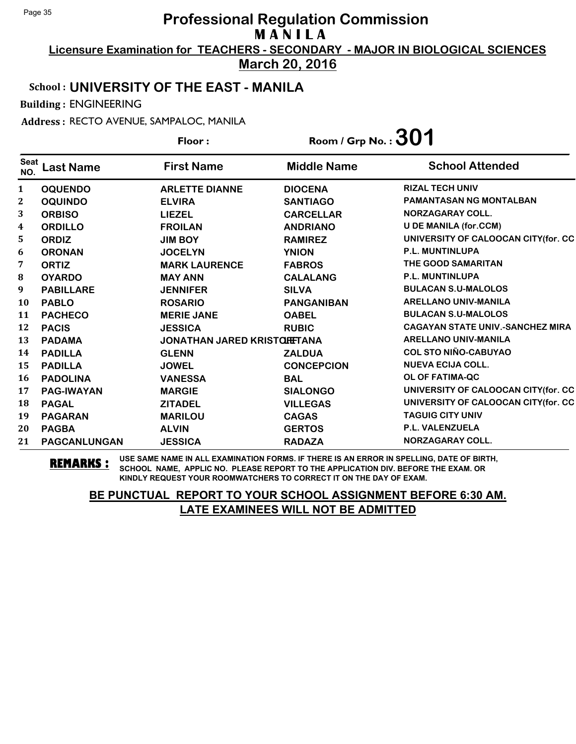**Licensure Examination for TEACHERS - SECONDARY - MAJOR IN BIOLOGICAL SCIENCES March 20, 2016**

School : **UNIVERSITY OF THE EAST - MANILA**

Building : ENGINEERING

Address : RECTO AVENUE, SAMPALOC, MANILA

**Last Name First Name Middle Name** Floor : Room / Grp No. :**301** Seat <sup>seat</sup> Last Name First Name Middle Name School Attended **OQUENDO ARLETTE DIANNE DIOCENA RIZAL TECH UNIV OQUINDO ELVIRA SANTIAGO PAMANTASAN NG MONTALBAN ORBISO LIEZEL CARCELLAR NORZAGARAY COLL. ORDILLO FROILAN ANDRIANO U DE MANILA (for.CCM) ORDIZ JIM BOY RAMIREZ UNIVERSITY OF CALOOCAN CITY(for. CC ORONAN JOCELYN YNION P.L. MUNTINLUPA ORTIZ MARK LAURENCE FABROS THE GOOD SAMARITAN OYARDO MAY ANN CALALANG P.L. MUNTINLUPA PABILLARE JENNIFER SILVA BULACAN S.U-MALOLOS PABLO ROSARIO PANGANIBAN ARELLANO UNIV-MANILA PACHECO MERIE JANE OABEL BULACAN S.U-MALOLOS PACIS JESSICA RUBIC CAGAYAN STATE UNIV.-SANCHEZ MIRA PADAMA JONATHAN JARED KRISTOFF LETANA ARELLANO UNIV-MANILA PADILLA GLENN ZALDUA COL STO NIÑO-CABUYAO PADILLA JOWEL CONCEPCION NUEVA ECIJA COLL. PADOLINA VANESSA BAL OL OF FATIMA-QC PAG-IWAYAN MARGIE SIALONGO UNIVERSITY OF CALOOCAN CITY(for. CC PAGAL ZITADEL VILLEGAS UNIVERSITY OF CALOOCAN CITY(for. CC PAGARAN MARILOU CAGAS TAGUIG CITY UNIV PAGBA ALVIN GERTOS P.L. VALENZUELA PAGCANLUNGAN JESSICA RADAZA NORZAGARAY COLL.**

**REMARKS :** USE SAME NAME IN ALL EXAMINATION FORMS. IF THERE IS AN ERROR IN SPELLING, DATE OF BIRTH, SCHOOL NAME, APPLIC NO. PLEASE REPORT TO THE APPLICATION DIV. BEFORE THE EXAM. OR KINDLY REQUEST YOUR ROOMWATCHERS TO CORRECT IT ON THE DAY OF EXAM.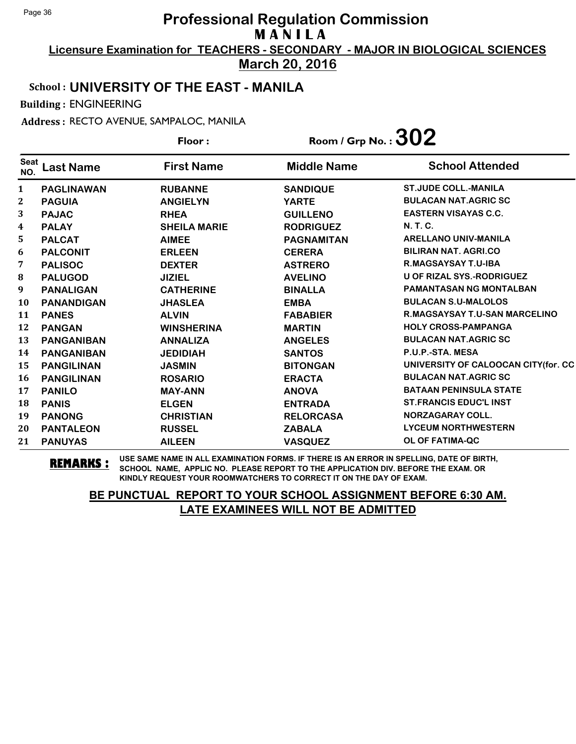**Licensure Examination for TEACHERS - SECONDARY - MAJOR IN BIOLOGICAL SCIENCES March 20, 2016**

#### School : **UNIVERSITY OF THE EAST - MANILA**

Building : ENGINEERING

Address : RECTO AVENUE, SAMPALOC, MANILA

|                    |                   | Floor:              | Room / Grp No.: $302$ |                                     |
|--------------------|-------------------|---------------------|-----------------------|-------------------------------------|
| <b>Seat</b><br>NO. | <b>Last Name</b>  | <b>First Name</b>   | <b>Middle Name</b>    | <b>School Attended</b>              |
| 1                  | <b>PAGLINAWAN</b> | <b>RUBANNE</b>      | <b>SANDIQUE</b>       | <b>ST.JUDE COLL.-MANILA</b>         |
| $\boldsymbol{2}$   | <b>PAGUIA</b>     | <b>ANGIELYN</b>     | <b>YARTE</b>          | <b>BULACAN NAT.AGRIC SC</b>         |
| 3                  | <b>PAJAC</b>      | <b>RHEA</b>         | <b>GUILLENO</b>       | <b>EASTERN VISAYAS C.C.</b>         |
| 4                  | <b>PALAY</b>      | <b>SHEILA MARIE</b> | <b>RODRIGUEZ</b>      | <b>N.T.C.</b>                       |
| 5                  | <b>PALCAT</b>     | <b>AIMEE</b>        | <b>PAGNAMITAN</b>     | <b>ARELLANO UNIV-MANILA</b>         |
| 6                  | <b>PALCONIT</b>   | <b>ERLEEN</b>       | <b>CERERA</b>         | <b>BILIRAN NAT. AGRI.CO</b>         |
| 7                  | <b>PALISOC</b>    | <b>DEXTER</b>       | <b>ASTRERO</b>        | <b>R.MAGSAYSAY T.U-IBA</b>          |
| 8                  | <b>PALUGOD</b>    | <b>JIZIEL</b>       | <b>AVELINO</b>        | <b>U OF RIZAL SYS.-RODRIGUEZ</b>    |
| 9                  | <b>PANALIGAN</b>  | <b>CATHERINE</b>    | <b>BINALLA</b>        | <b>PAMANTASAN NG MONTALBAN</b>      |
| <b>10</b>          | <b>PANANDIGAN</b> | <b>JHASLEA</b>      | <b>EMBA</b>           | <b>BULACAN S.U-MALOLOS</b>          |
| 11                 | <b>PANES</b>      | <b>ALVIN</b>        | <b>FABABIER</b>       | R.MAGSAYSAY T.U-SAN MARCELINO       |
| 12                 | <b>PANGAN</b>     | <b>WINSHERINA</b>   | <b>MARTIN</b>         | <b>HOLY CROSS-PAMPANGA</b>          |
| 13                 | <b>PANGANIBAN</b> | <b>ANNALIZA</b>     | <b>ANGELES</b>        | <b>BULACAN NAT.AGRIC SC</b>         |
| 14                 | <b>PANGANIBAN</b> | <b>JEDIDIAH</b>     | <b>SANTOS</b>         | P.U.P.-STA. MESA                    |
| 15                 | <b>PANGILINAN</b> | <b>JASMIN</b>       | <b>BITONGAN</b>       | UNIVERSITY OF CALOOCAN CITY(for. CC |
| 16                 | <b>PANGILINAN</b> | <b>ROSARIO</b>      | <b>ERACTA</b>         | <b>BULACAN NAT.AGRIC SC</b>         |
| 17                 | <b>PANILO</b>     | <b>MAY-ANN</b>      | <b>ANOVA</b>          | <b>BATAAN PENINSULA STATE</b>       |
| 18                 | <b>PANIS</b>      | <b>ELGEN</b>        | <b>ENTRADA</b>        | <b>ST.FRANCIS EDUC'L INST</b>       |
| 19                 | <b>PANONG</b>     | <b>CHRISTIAN</b>    | <b>RELORCASA</b>      | NORZAGARAY COLL.                    |
| 20                 | <b>PANTALEON</b>  | <b>RUSSEL</b>       | <b>ZABALA</b>         | <b>LYCEUM NORTHWESTERN</b>          |
| 21                 | <b>PANUYAS</b>    | <b>AILEEN</b>       | <b>VASQUEZ</b>        | OL OF FATIMA-QC                     |

**REMARKS :** USE SAME NAME IN ALL EXAMINATION FORMS. IF THERE IS AN ERROR IN SPELLING, DATE OF BIRTH, SCHOOL NAME, APPLIC NO. PLEASE REPORT TO THE APPLICATION DIV. BEFORE THE EXAM. OR KINDLY REQUEST YOUR ROOMWATCHERS TO CORRECT IT ON THE DAY OF EXAM.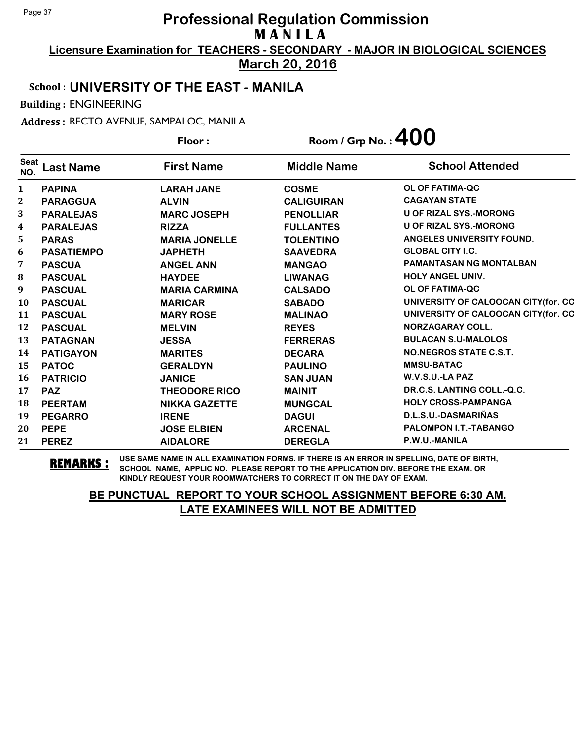**Licensure Examination for TEACHERS - SECONDARY - MAJOR IN BIOLOGICAL SCIENCES March 20, 2016**

# School : **UNIVERSITY OF THE EAST - MANILA**

Building : ENGINEERING

Address : RECTO AVENUE, SAMPALOC, MANILA

|                         |                   | Floor:               | Room / Grp No. : $400$ |                                     |
|-------------------------|-------------------|----------------------|------------------------|-------------------------------------|
| <b>Seat</b><br>NO.      | <b>Last Name</b>  | <b>First Name</b>    | <b>Middle Name</b>     | <b>School Attended</b>              |
| $\mathbf{1}$            | <b>PAPINA</b>     | <b>LARAH JANE</b>    | <b>COSME</b>           | <b>OL OF FATIMA-QC</b>              |
| $\mathbf{2}$            | <b>PARAGGUA</b>   | <b>ALVIN</b>         | <b>CALIGUIRAN</b>      | <b>CAGAYAN STATE</b>                |
| 3                       | <b>PARALEJAS</b>  | <b>MARC JOSEPH</b>   | <b>PENOLLIAR</b>       | <b>U OF RIZAL SYS.-MORONG</b>       |
| $\overline{\mathbf{4}}$ | <b>PARALEJAS</b>  | <b>RIZZA</b>         | <b>FULLANTES</b>       | <b>U OF RIZAL SYS.-MORONG</b>       |
| 5                       | <b>PARAS</b>      | <b>MARIA JONELLE</b> | <b>TOLENTINO</b>       | ANGELES UNIVERSITY FOUND.           |
| 6                       | <b>PASATIEMPO</b> | <b>JAPHETH</b>       | <b>SAAVEDRA</b>        | <b>GLOBAL CITY I.C.</b>             |
| 7                       | <b>PASCUA</b>     | <b>ANGEL ANN</b>     | <b>MANGAO</b>          | <b>PAMANTASAN NG MONTALBAN</b>      |
| 8                       | <b>PASCUAL</b>    | <b>HAYDEE</b>        | <b>LIWANAG</b>         | <b>HOLY ANGEL UNIV.</b>             |
| 9                       | <b>PASCUAL</b>    | <b>MARIA CARMINA</b> | <b>CALSADO</b>         | OL OF FATIMA-QC                     |
| <b>10</b>               | <b>PASCUAL</b>    | <b>MARICAR</b>       | <b>SABADO</b>          | UNIVERSITY OF CALOOCAN CITY(for. CC |
| 11                      | <b>PASCUAL</b>    | <b>MARY ROSE</b>     | <b>MALINAO</b>         | UNIVERSITY OF CALOOCAN CITY(for. CC |
| 12                      | <b>PASCUAL</b>    | <b>MELVIN</b>        | <b>REYES</b>           | <b>NORZAGARAY COLL.</b>             |
| 13                      | <b>PATAGNAN</b>   | <b>JESSA</b>         | <b>FERRERAS</b>        | <b>BULACAN S.U-MALOLOS</b>          |
| 14                      | <b>PATIGAYON</b>  | <b>MARITES</b>       | <b>DECARA</b>          | NO.NEGROS STATE C.S.T.              |
| 15                      | <b>PATOC</b>      | <b>GERALDYN</b>      | <b>PAULINO</b>         | <b>MMSU-BATAC</b>                   |
| <b>16</b>               | <b>PATRICIO</b>   | <b>JANICE</b>        | <b>SAN JUAN</b>        | W.V.S.U.-LA PAZ                     |
| 17                      | <b>PAZ</b>        | <b>THEODORE RICO</b> | <b>MAINIT</b>          | DR.C.S. LANTING COLL.-Q.C.          |
| 18                      | <b>PEERTAM</b>    | <b>NIKKA GAZETTE</b> | <b>MUNGCAL</b>         | <b>HOLY CROSS-PAMPANGA</b>          |
| 19                      | <b>PEGARRO</b>    | <b>IRENE</b>         | <b>DAGUI</b>           | D.L.S.U.-DASMARIÑAS                 |
| 20                      | <b>PEPE</b>       | <b>JOSE ELBIEN</b>   | <b>ARCENAL</b>         | <b>PALOMPON I.T.-TABANGO</b>        |
| 21                      | <b>PEREZ</b>      | <b>AIDALORE</b>      | <b>DEREGLA</b>         | P.W.U.-MANILA                       |

**REMARKS :** USE SAME NAME IN ALL EXAMINATION FORMS. IF THERE IS AN ERROR IN SPELLING, DATE OF BIRTH, SCHOOL NAME, APPLIC NO. PLEASE REPORT TO THE APPLICATION DIV. BEFORE THE EXAM. OR KINDLY REQUEST YOUR ROOMWATCHERS TO CORRECT IT ON THE DAY OF EXAM.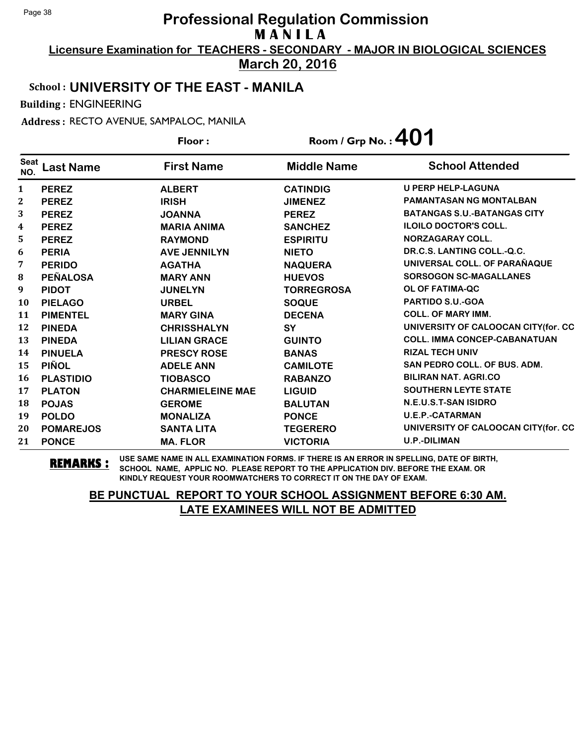**Licensure Examination for TEACHERS - SECONDARY - MAJOR IN BIOLOGICAL SCIENCES March 20, 2016**

# School : **UNIVERSITY OF THE EAST - MANILA**

Building : ENGINEERING

Address : RECTO AVENUE, SAMPALOC, MANILA

|                    |                  | Floor:                  | Room / Grp No. : $401$ |                                     |
|--------------------|------------------|-------------------------|------------------------|-------------------------------------|
| <b>Seat</b><br>NO. | <b>Last Name</b> | <b>First Name</b>       | <b>Middle Name</b>     | <b>School Attended</b>              |
| $\mathbf{1}$       | <b>PEREZ</b>     | <b>ALBERT</b>           | <b>CATINDIG</b>        | <b>U PERP HELP-LAGUNA</b>           |
| $\boldsymbol{2}$   | <b>PEREZ</b>     | <b>IRISH</b>            | <b>JIMENEZ</b>         | <b>PAMANTASAN NG MONTALBAN</b>      |
| 3                  | <b>PEREZ</b>     | <b>JOANNA</b>           | <b>PEREZ</b>           | <b>BATANGAS S.U.-BATANGAS CITY</b>  |
| 4                  | <b>PEREZ</b>     | <b>MARIA ANIMA</b>      | <b>SANCHEZ</b>         | <b>ILOILO DOCTOR'S COLL.</b>        |
| 5                  | <b>PEREZ</b>     | <b>RAYMOND</b>          | <b>ESPIRITU</b>        | NORZAGARAY COLL.                    |
| 6                  | <b>PERIA</b>     | <b>AVE JENNILYN</b>     | <b>NIETO</b>           | DR.C.S. LANTING COLL.-Q.C.          |
| 7                  | <b>PERIDO</b>    | <b>AGATHA</b>           | <b>NAQUERA</b>         | UNIVERSAL COLL. OF PARAÑAQUE        |
| ${\bf 8}$          | <b>PEÑALOSA</b>  | <b>MARY ANN</b>         | <b>HUEVOS</b>          | <b>SORSOGON SC-MAGALLANES</b>       |
| 9                  | <b>PIDOT</b>     | <b>JUNELYN</b>          | <b>TORREGROSA</b>      | OL OF FATIMA-QC                     |
| 10                 | <b>PIELAGO</b>   | <b>URBEL</b>            | <b>SOQUE</b>           | PARTIDO S.U.-GOA                    |
| 11                 | <b>PIMENTEL</b>  | <b>MARY GINA</b>        | <b>DECENA</b>          | <b>COLL. OF MARY IMM.</b>           |
| 12                 | <b>PINEDA</b>    | <b>CHRISSHALYN</b>      | SY                     | UNIVERSITY OF CALOOCAN CITY(for. CC |
| 13                 | <b>PINEDA</b>    | <b>LILIAN GRACE</b>     | <b>GUINTO</b>          | <b>COLL. IMMA CONCEP-CABANATUAN</b> |
| 14                 | <b>PINUELA</b>   | <b>PRESCY ROSE</b>      | <b>BANAS</b>           | <b>RIZAL TECH UNIV</b>              |
| 15                 | <b>PIÑOL</b>     | <b>ADELE ANN</b>        | <b>CAMILOTE</b>        | <b>SAN PEDRO COLL. OF BUS. ADM.</b> |
| 16                 | <b>PLASTIDIO</b> | <b>TIOBASCO</b>         | <b>RABANZO</b>         | <b>BILIRAN NAT. AGRI.CO</b>         |
| 17                 | <b>PLATON</b>    | <b>CHARMIELEINE MAE</b> | <b>LIGUID</b>          | <b>SOUTHERN LEYTE STATE</b>         |
| 18                 | <b>POJAS</b>     | <b>GEROME</b>           | <b>BALUTAN</b>         | N.E.U.S.T-SAN ISIDRO                |
| 19                 | <b>POLDO</b>     | <b>MONALIZA</b>         | <b>PONCE</b>           | <b>U.E.P.-CATARMAN</b>              |
| 20                 | <b>POMAREJOS</b> | <b>SANTA LITA</b>       | <b>TEGERERO</b>        | UNIVERSITY OF CALOOCAN CITY(for. CC |
| 21                 | <b>PONCE</b>     | <b>MA. FLOR</b>         | <b>VICTORIA</b>        | <b>U.P.-DILIMAN</b>                 |

**REMARKS :** USE SAME NAME IN ALL EXAMINATION FORMS. IF THERE IS AN ERROR IN SPELLING, DATE OF BIRTH, SCHOOL NAME, APPLIC NO. PLEASE REPORT TO THE APPLICATION DIV. BEFORE THE EXAM. OR KINDLY REQUEST YOUR ROOMWATCHERS TO CORRECT IT ON THE DAY OF EXAM.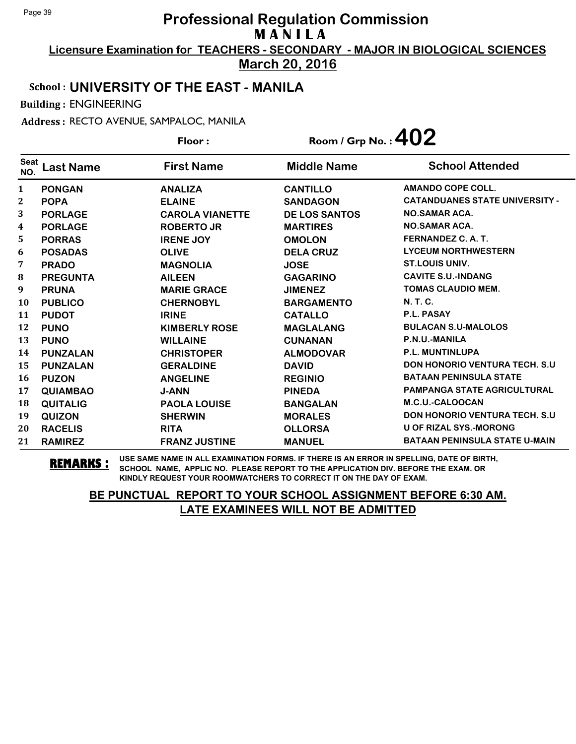**Licensure Examination for TEACHERS - SECONDARY - MAJOR IN BIOLOGICAL SCIENCES March 20, 2016**

# School : **UNIVERSITY OF THE EAST - MANILA**

Building : ENGINEERING

Address : RECTO AVENUE, SAMPALOC, MANILA Floor : Room / Grp No. :**402**

|                    |                  | Floor :                | $\mathsf{Room}$ / Grp No. : $\mathbf{TV}$ $\mathsf{L}$ |                                       |  |
|--------------------|------------------|------------------------|--------------------------------------------------------|---------------------------------------|--|
| <b>Seat</b><br>NO. | <b>Last Name</b> | <b>First Name</b>      | <b>Middle Name</b>                                     | <b>School Attended</b>                |  |
| $\mathbf{1}$       | <b>PONGAN</b>    | <b>ANALIZA</b>         | <b>CANTILLO</b>                                        | <b>AMANDO COPE COLL.</b>              |  |
| $\mathbf{2}$       | <b>POPA</b>      | <b>ELAINE</b>          | <b>SANDAGON</b>                                        | <b>CATANDUANES STATE UNIVERSITY -</b> |  |
| 3                  | <b>PORLAGE</b>   | <b>CAROLA VIANETTE</b> | <b>DE LOS SANTOS</b>                                   | <b>NO.SAMAR ACA.</b>                  |  |
| $\boldsymbol{4}$   | <b>PORLAGE</b>   | <b>ROBERTO JR</b>      | <b>MARTIRES</b>                                        | <b>NO.SAMAR ACA.</b>                  |  |
| 5                  | <b>PORRAS</b>    | <b>IRENE JOY</b>       | <b>OMOLON</b>                                          | FERNANDEZ C. A. T.                    |  |
| 6                  | <b>POSADAS</b>   | <b>OLIVE</b>           | <b>DELA CRUZ</b>                                       | <b>LYCEUM NORTHWESTERN</b>            |  |
| 7                  | <b>PRADO</b>     | <b>MAGNOLIA</b>        | <b>JOSE</b>                                            | <b>ST.LOUIS UNIV.</b>                 |  |
| 8                  | <b>PREGUNTA</b>  | <b>AILEEN</b>          | <b>GAGARINO</b>                                        | <b>CAVITE S.U.-INDANG</b>             |  |
| 9                  | <b>PRUNA</b>     | <b>MARIE GRACE</b>     | <b>JIMENEZ</b>                                         | TOMAS CLAUDIO MEM.                    |  |
| <b>10</b>          | <b>PUBLICO</b>   | <b>CHERNOBYL</b>       | <b>BARGAMENTO</b>                                      | <b>N. T. C.</b>                       |  |
| 11                 | <b>PUDOT</b>     | <b>IRINE</b>           | <b>CATALLO</b>                                         | <b>P.L. PASAY</b>                     |  |
| 12                 | <b>PUNO</b>      | <b>KIMBERLY ROSE</b>   | <b>MAGLALANG</b>                                       | <b>BULACAN S.U-MALOLOS</b>            |  |
| 13                 | <b>PUNO</b>      | <b>WILLAINE</b>        | <b>CUNANAN</b>                                         | P.N.U.-MANILA                         |  |
| 14                 | <b>PUNZALAN</b>  | <b>CHRISTOPER</b>      | <b>ALMODOVAR</b>                                       | <b>P.L. MUNTINLUPA</b>                |  |
| 15                 | <b>PUNZALAN</b>  | <b>GERALDINE</b>       | <b>DAVID</b>                                           | <b>DON HONORIO VENTURA TECH. S.U</b>  |  |
| 16                 | <b>PUZON</b>     | <b>ANGELINE</b>        | <b>REGINIO</b>                                         | <b>BATAAN PENINSULA STATE</b>         |  |
| 17                 | <b>QUIAMBAO</b>  | <b>J-ANN</b>           | <b>PINEDA</b>                                          | <b>PAMPANGA STATE AGRICULTURAL</b>    |  |
| 18                 | <b>QUITALIG</b>  | <b>PAOLA LOUISE</b>    | <b>BANGALAN</b>                                        | M.C.U.-CALOOCAN                       |  |
| 19                 | <b>QUIZON</b>    | <b>SHERWIN</b>         | <b>MORALES</b>                                         | <b>DON HONORIO VENTURA TECH. S.U</b>  |  |
| 20                 | <b>RACELIS</b>   | <b>RITA</b>            | <b>OLLORSA</b>                                         | <b>U OF RIZAL SYS.-MORONG</b>         |  |
| 21                 | <b>RAMIREZ</b>   | <b>FRANZ JUSTINE</b>   | <b>MANUEL</b>                                          | <b>BATAAN PENINSULA STATE U-MAIN</b>  |  |

**REMARKS :** USE SAME NAME IN ALL EXAMINATION FORMS. IF THERE IS AN ERROR IN SPELLING, DATE OF BIRTH, SCHOOL NAME, APPLIC NO. PLEASE REPORT TO THE APPLICATION DIV. BEFORE THE EXAM. OR KINDLY REQUEST YOUR ROOMWATCHERS TO CORRECT IT ON THE DAY OF EXAM.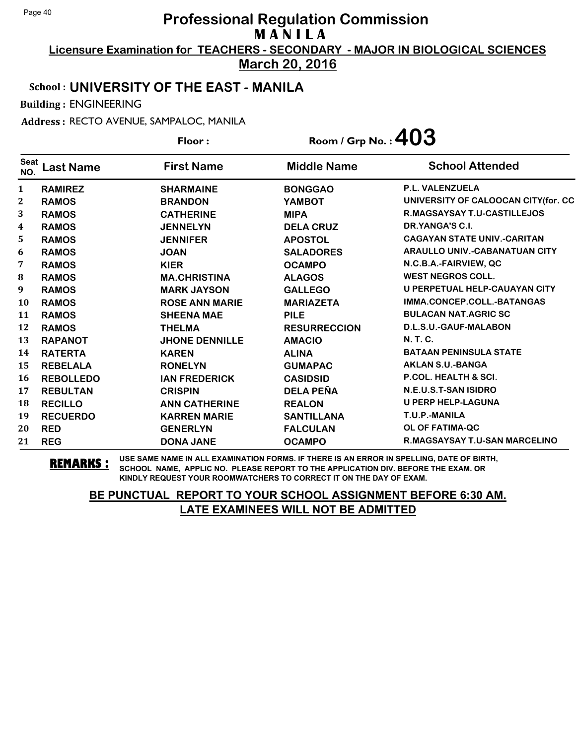**Licensure Examination for TEACHERS - SECONDARY - MAJOR IN BIOLOGICAL SCIENCES March 20, 2016**

School : **UNIVERSITY OF THE EAST - MANILA**

Building : ENGINEERING

Address : RECTO AVENUE, SAMPALOC, MANILA

**Last Name First Name Middle Name** Floor : Room / Grp No. :**403** Seat <sup>seat</sup> Last Name First Name Middle Name School Attended **RAMIREZ SHARMAINE BONGGAO P.L. VALENZUELA RAMOS BRANDON YAMBOT UNIVERSITY OF CALOOCAN CITY(for. CC RAMOS CATHERINE MIPA R.MAGSAYSAY T.U-CASTILLEJOS RAMOS JENNELYN DELA CRUZ DR.YANGA'S C.I. RAMOS JENNIFER APOSTOL CAGAYAN STATE UNIV.-CARITAN RAMOS JOAN SALADORES ARAULLO UNIV.-CABANATUAN CITY RAMOS KIER OCAMPO N.C.B.A.-FAIRVIEW, QC RAMOS MA.CHRISTINA ALAGOS WEST NEGROS COLL. RAMOS MARK JAYSON GALLEGO U PERPETUAL HELP-CAUAYAN CITY RAMOS ROSE ANN MARIE MARIAZETA IMMA.CONCEP.COLL.-BATANGAS RAMOS SHEENA MAE PILE BULACAN NAT.AGRIC SC RAMOS THELMA RESURRECCION D.L.S.U.-GAUF-MALABON RAPANOT JHONE DENNILLE AMACIO N. T. C. RATERTA KAREN ALINA BATAAN PENINSULA STATE REBELALA RONELYN GUMAPAC AKLAN S.U.-BANGA REBOLLEDO IAN FREDERICK CASIDSID P.COL. HEALTH & SCI. REBULTAN CRISPIN DELA PEÑA N.E.U.S.T-SAN ISIDRO RECILLO ANN CATHERINE REALON U PERP HELP-LAGUNA RECUERDO KARREN MARIE SANTILLANA T.U.P.-MANILA RED GENERLYN FALCULAN OL OF FATIMA-QC REG DONA JANE OCAMPO R.MAGSAYSAY T.U-SAN MARCELINO**

**REMARKS :** USE SAME NAME IN ALL EXAMINATION FORMS. IF THERE IS AN ERROR IN SPELLING, DATE OF BIRTH, SCHOOL NAME, APPLIC NO. PLEASE REPORT TO THE APPLICATION DIV. BEFORE THE EXAM. OR KINDLY REQUEST YOUR ROOMWATCHERS TO CORRECT IT ON THE DAY OF EXAM.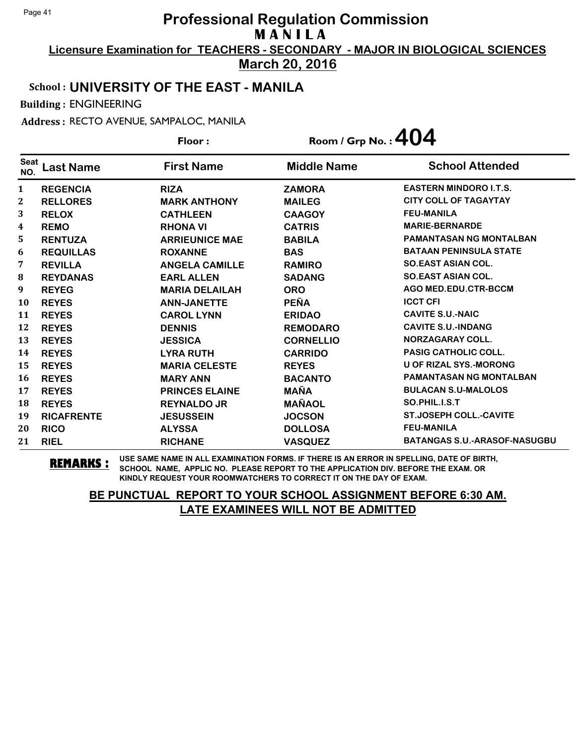**Licensure Examination for TEACHERS - SECONDARY - MAJOR IN BIOLOGICAL SCIENCES March 20, 2016**

#### School : **UNIVERSITY OF THE EAST - MANILA**

Building : ENGINEERING

Address : RECTO AVENUE, SAMPALOC, MANILA

**Last Name First Name Middle Name** Floor : Room / Grp No. :  $404$ Seat <sup>seat</sup> Last Name First Name Middle Name School Attended **REGENCIA RIZA ZAMORA EASTERN MINDORO I.T.S. RELLORES MARK ANTHONY MAILEG CITY COLL OF TAGAYTAY RELOX CATHLEEN CAAGOY FEU-MANILA REMO RHONA VI CATRIS MARIE-BERNARDE RENTUZA ARRIEUNICE MAE BABILA PAMANTASAN NG MONTALBAN REQUILLAS ROXANNE BAS BATAAN PENINSULA STATE REVILLA ANGELA CAMILLE RAMIRO SO.EAST ASIAN COL. REYDANAS EARL ALLEN SADANG SO.EAST ASIAN COL. REYEG MARIA DELAILAH ORO AGO MED.EDU.CTR-BCCM REYES ANN-JANETTE PEÑA ICCT CFI REYES CAROL LYNN ERIDAO CAVITE S.U.-NAIC REYES DENNIS REMODARO CAVITE S.U.-INDANG REYES JESSICA CORNELLIO NORZAGARAY COLL. REYES LYRA RUTH CARRIDO PASIG CATHOLIC COLL. REYES MARIA CELESTE REYES U OF RIZAL SYS.-MORONG REYES MARY ANN BACANTO PAMANTASAN NG MONTALBAN REYES PRINCES ELAINE MAÑA BULACAN S.U-MALOLOS REYES REYNALDO JR MAÑAOL SO.PHIL.I.S.T RICAFRENTE JESUSSEIN JOCSON ST.JOSEPH COLL.-CAVITE RICO ALYSSA DOLLOSA FEU-MANILA RIEL RICHANE VASQUEZ BATANGAS S.U.-ARASOF-NASUGBU**

**REMARKS :** USE SAME NAME IN ALL EXAMINATION FORMS. IF THERE IS AN ERROR IN SPELLING, DATE OF BIRTH, SCHOOL NAME, APPLIC NO. PLEASE REPORT TO THE APPLICATION DIV. BEFORE THE EXAM. OR KINDLY REQUEST YOUR ROOMWATCHERS TO CORRECT IT ON THE DAY OF EXAM.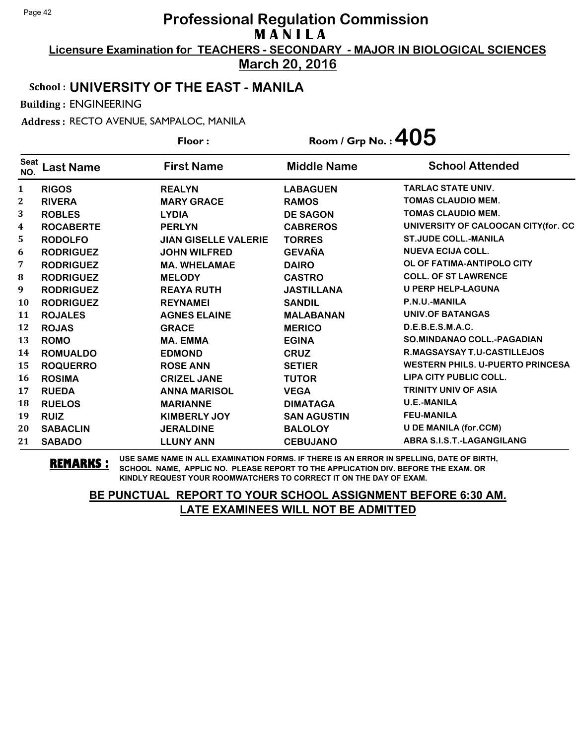**Licensure Examination for TEACHERS - SECONDARY - MAJOR IN BIOLOGICAL SCIENCES March 20, 2016**

School : **UNIVERSITY OF THE EAST - MANILA**

Building : ENGINEERING

Address : RECTO AVENUE, SAMPALOC, MANILA

|                    |                  | Floor:                      | Room / Grp No. : $405$ |                                         |
|--------------------|------------------|-----------------------------|------------------------|-----------------------------------------|
| <b>Seat</b><br>NO. | <b>Last Name</b> | <b>First Name</b>           | <b>Middle Name</b>     | <b>School Attended</b>                  |
| 1                  | <b>RIGOS</b>     | <b>REALYN</b>               | <b>LABAGUEN</b>        | <b>TARLAC STATE UNIV.</b>               |
| $\boldsymbol{2}$   | <b>RIVERA</b>    | <b>MARY GRACE</b>           | <b>RAMOS</b>           | <b>TOMAS CLAUDIO MEM.</b>               |
| 3                  | <b>ROBLES</b>    | <b>LYDIA</b>                | <b>DE SAGON</b>        | <b>TOMAS CLAUDIO MEM.</b>               |
| 4                  | <b>ROCABERTE</b> | <b>PERLYN</b>               | <b>CABREROS</b>        | UNIVERSITY OF CALOOCAN CITY (for. CC    |
| 5                  | <b>RODOLFO</b>   | <b>JIAN GISELLE VALERIE</b> | <b>TORRES</b>          | <b>ST.JUDE COLL.-MANILA</b>             |
| 6                  | <b>RODRIGUEZ</b> | <b>JOHN WILFRED</b>         | <b>GEVAÑA</b>          | <b>NUEVA ECIJA COLL.</b>                |
| 7                  | <b>RODRIGUEZ</b> | <b>MA. WHELAMAE</b>         | <b>DAIRO</b>           | OL OF FATIMA-ANTIPOLO CITY              |
| 8                  | <b>RODRIGUEZ</b> | <b>MELODY</b>               | <b>CASTRO</b>          | <b>COLL. OF ST LAWRENCE</b>             |
| 9                  | <b>RODRIGUEZ</b> | <b>REAYA RUTH</b>           | <b>JASTILLANA</b>      | <b>U PERP HELP-LAGUNA</b>               |
| 10                 | <b>RODRIGUEZ</b> | <b>REYNAMEI</b>             | <b>SANDIL</b>          | P.N.U.-MANILA                           |
| 11                 | <b>ROJALES</b>   | <b>AGNES ELAINE</b>         | <b>MALABANAN</b>       | <b>UNIV.OF BATANGAS</b>                 |
| 12                 | <b>ROJAS</b>     | <b>GRACE</b>                | <b>MERICO</b>          | D.E.B.E.S.M.A.C.                        |
| 13                 | <b>ROMO</b>      | <b>MA. EMMA</b>             | <b>EGINA</b>           | <b>SO.MINDANAO COLL.-PAGADIAN</b>       |
| 14                 | <b>ROMUALDO</b>  | <b>EDMOND</b>               | <b>CRUZ</b>            | <b>R.MAGSAYSAY T.U-CASTILLEJOS</b>      |
| 15                 | <b>ROQUERRO</b>  | <b>ROSE ANN</b>             | <b>SETIER</b>          | <b>WESTERN PHILS, U-PUERTO PRINCESA</b> |
| 16                 | <b>ROSIMA</b>    | <b>CRIZEL JANE</b>          | <b>TUTOR</b>           | LIPA CITY PUBLIC COLL.                  |
| 17                 | <b>RUEDA</b>     | <b>ANNA MARISOL</b>         | <b>VEGA</b>            | <b>TRINITY UNIV OF ASIA</b>             |
| 18                 | <b>RUELOS</b>    | <b>MARIANNE</b>             | <b>DIMATAGA</b>        | <b>U.E.-MANILA</b>                      |
| 19                 | <b>RUIZ</b>      | <b>KIMBERLY JOY</b>         | <b>SAN AGUSTIN</b>     | <b>FEU-MANILA</b>                       |
| 20                 | <b>SABACLIN</b>  | <b>JERALDINE</b>            | <b>BALOLOY</b>         | <b>U DE MANILA (for.CCM)</b>            |
| 21                 | <b>SABADO</b>    | <b>LLUNY ANN</b>            | <b>CEBUJANO</b>        | ABRA S.I.S.T.-LAGANGILANG               |

**REMARKS :** USE SAME NAME IN ALL EXAMINATION FORMS. IF THERE IS AN ERROR IN SPELLING, DATE OF BIRTH, SCHOOL NAME, APPLIC NO. PLEASE REPORT TO THE APPLICATION DIV. BEFORE THE EXAM. OR KINDLY REQUEST YOUR ROOMWATCHERS TO CORRECT IT ON THE DAY OF EXAM.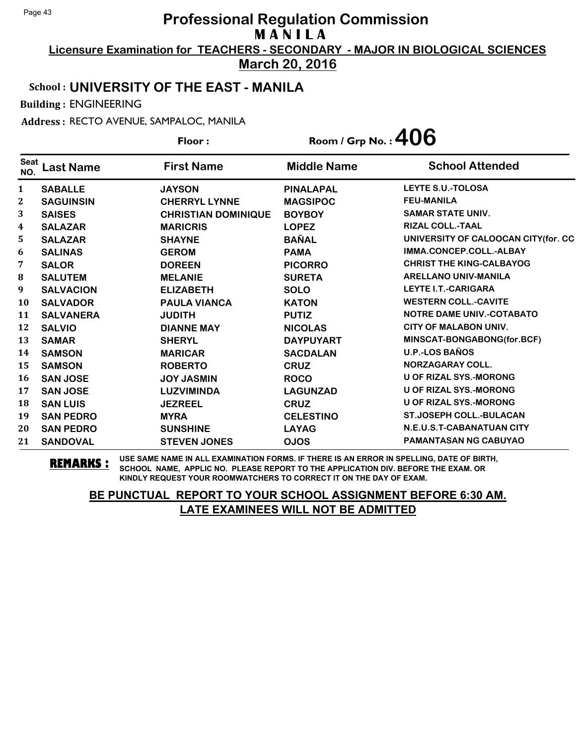**Licensure Examination for TEACHERS - SECONDARY - MAJOR IN BIOLOGICAL SCIENCES March 20, 2016**

School : **UNIVERSITY OF THE EAST - MANILA**

Building : ENGINEERING

Address : RECTO AVENUE, SAMPALOC, MANILA

**Last Name First Name Middle Name** Floor : Room / Grp No. : 406 Seat <sup>Seat</sup> Last Name First Name Middle Name School Attended **SABALLE JAYSON PINALAPAL LEYTE S.U.-TOLOSA SAGUINSIN CHERRYL LYNNE MAGSIPOC FEU-MANILA SAISES CHRISTIAN DOMINIQUE BOYBOY SAMAR STATE UNIV. SALAZAR MARICRIS LOPEZ RIZAL COLL.-TAAL SALAZAR SHAYNE BAÑAL UNIVERSITY OF CALOOCAN CITY(for. CC SALINAS GEROM PAMA IMMA.CONCEP.COLL.-ALBAY SALOR DOREEN PICORRO CHRIST THE KING-CALBAYOG SALUTEM MELANIE SURETA ARELLANO UNIV-MANILA SALVACION ELIZABETH SOLO LEYTE I.T.-CARIGARA SALVADOR PAULA VIANCA KATON WESTERN COLL.-CAVITE SALVANERA JUDITH PUTIZ NOTRE DAME UNIV.-COTABATO SALVIO DIANNE MAY NICOLAS CITY OF MALABON UNIV. SAMAR SHERYL DAYPUYART MINSCAT-BONGABONG(for.BCF) SAMSON MARICAR SACDALAN U.P.-LOS BAÑOS SAMSON ROBERTO CRUZ NORZAGARAY COLL. SAN JOSE JOY JASMIN ROCO U OF RIZAL SYS.-MORONG SAN JOSE LUZVIMINDA LAGUNZAD U OF RIZAL SYS.-MORONG SAN LUIS JEZREEL CRUZ U OF RIZAL SYS.-MORONG SAN PEDRO MYRA CELESTINO ST.JOSEPH COLL.-BULACAN SAN PEDRO SUNSHINE LAYAG N.E.U.S.T-CABANATUAN CITY SANDOVAL STEVEN JONES OJOS PAMANTASAN NG CABUYAO**

**REMARKS :** USE SAME NAME IN ALL EXAMINATION FORMS. IF THERE IS AN ERROR IN SPELLING, DATE OF BIRTH, SCHOOL NAME, APPLIC NO. PLEASE REPORT TO THE APPLICATION DIV. BEFORE THE EXAM. OR KINDLY REQUEST YOUR ROOMWATCHERS TO CORRECT IT ON THE DAY OF EXAM.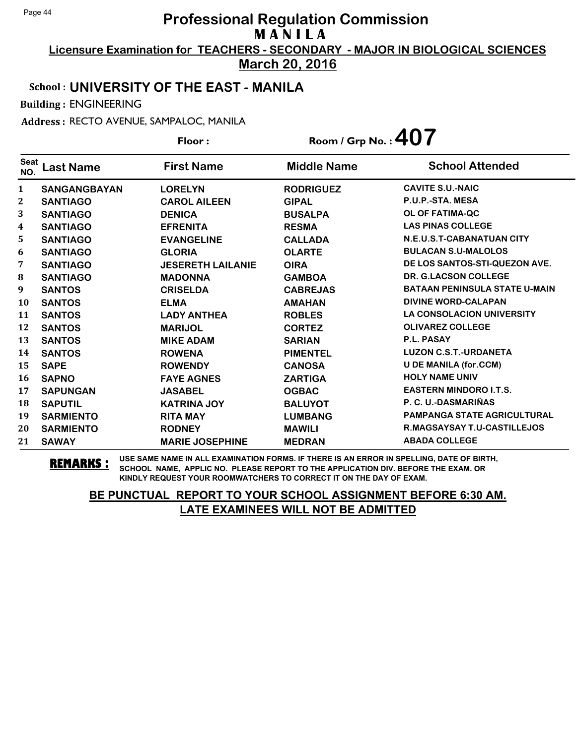**Licensure Examination for TEACHERS - SECONDARY - MAJOR IN BIOLOGICAL SCIENCES March 20, 2016**

#### School : **UNIVERSITY OF THE EAST - MANILA**

Building : ENGINEERING

Address : RECTO AVENUE, SAMPALOC, MANILA

**Last Name First Name Middle Name** Floor : Room / Grp No. :**407** Seat <sup>seat</sup> Last Name First Name Middle Name School Attended **SANGANGBAYAN LORELYN RODRIGUEZ CAVITE S.U.-NAIC SANTIAGO CAROL AILEEN GIPAL P.U.P.-STA. MESA SANTIAGO DENICA BUSALPA OL OF FATIMA-QC SANTIAGO EFRENITA RESMA LAS PINAS COLLEGE SANTIAGO EVANGELINE CALLADA N.E.U.S.T-CABANATUAN CITY SANTIAGO GLORIA OLARTE BULACAN S.U-MALOLOS SANTIAGO JESERETH LAILANIE OIRA DE LOS SANTOS-STI-QUEZON AVE. SANTIAGO MADONNA GAMBOA DR. G.LACSON COLLEGE SANTOS CRISELDA CABREJAS BATAAN PENINSULA STATE U-MAIN SANTOS ELMA AMAHAN DIVINE WORD-CALAPAN SANTOS LADY ANTHEA ROBLES LA CONSOLACION UNIVERSITY SANTOS MARIJOL CORTEZ OLIVAREZ COLLEGE SANTOS MIKE ADAM SARIAN P.L. PASAY SANTOS ROWENA PIMENTEL LUZON C.S.T.-URDANETA SAPE ROWENDY CANOSA U DE MANILA (for.CCM) SAPNO FAYE AGNES ZARTIGA HOLY NAME UNIV SAPUNGAN JASABEL OGBAC EASTERN MINDORO I.T.S. SAPUTIL KATRINA JOY BALUYOT P. C. U.-DASMARIÑAS SARMIENTO RITA MAY LUMBANG PAMPANGA STATE AGRICULTURAL SARMIENTO RODNEY MAWILI R.MAGSAYSAY T.U-CASTILLEJOS SAWAY MARIE JOSEPHINE MEDRAN ABADA COLLEGE**

**REMARKS :** USE SAME NAME IN ALL EXAMINATION FORMS. IF THERE IS AN ERROR IN SPELLING, DATE OF BIRTH, SCHOOL NAME, APPLIC NO. PLEASE REPORT TO THE APPLICATION DIV. BEFORE THE EXAM. OR KINDLY REQUEST YOUR ROOMWATCHERS TO CORRECT IT ON THE DAY OF EXAM.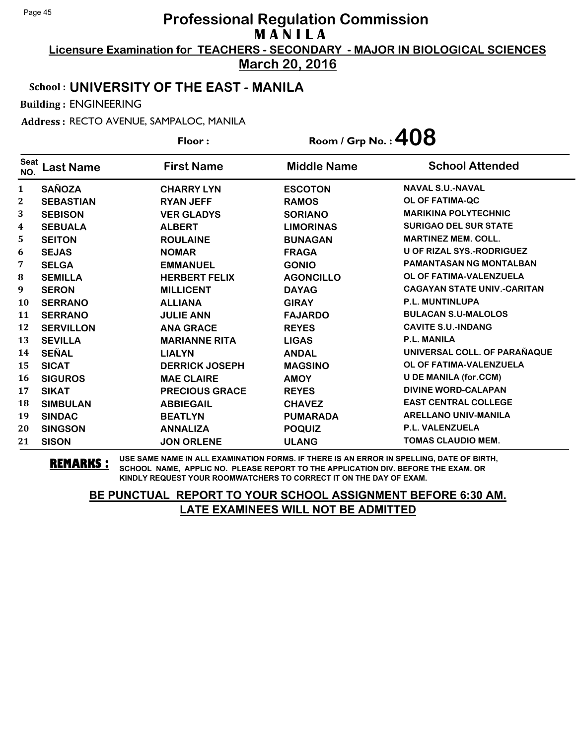**Licensure Examination for TEACHERS - SECONDARY - MAJOR IN BIOLOGICAL SCIENCES March 20, 2016**

# School : **UNIVERSITY OF THE EAST - MANILA**

Building : ENGINEERING

Address : RECTO AVENUE, SAMPALOC, MANILA

|                    |                  | Floor:                | Room / Grp No.: $408$ |                                    |
|--------------------|------------------|-----------------------|-----------------------|------------------------------------|
| <b>Seat</b><br>NO. | <b>Last Name</b> | <b>First Name</b>     | <b>Middle Name</b>    | <b>School Attended</b>             |
| $\mathbf{1}$       | <b>SAÑOZA</b>    | <b>CHARRY LYN</b>     | <b>ESCOTON</b>        | <b>NAVAL S.U.-NAVAL</b>            |
| $\boldsymbol{2}$   | <b>SEBASTIAN</b> | <b>RYAN JEFF</b>      | <b>RAMOS</b>          | <b>OL OF FATIMA-QC</b>             |
| 3                  | <b>SEBISON</b>   | <b>VER GLADYS</b>     | <b>SORIANO</b>        | <b>MARIKINA POLYTECHNIC</b>        |
| 4                  | <b>SEBUALA</b>   | <b>ALBERT</b>         | <b>LIMORINAS</b>      | <b>SURIGAO DEL SUR STATE</b>       |
| 5                  | <b>SEITON</b>    | <b>ROULAINE</b>       | <b>BUNAGAN</b>        | <b>MARTINEZ MEM. COLL.</b>         |
| 6                  | <b>SEJAS</b>     | <b>NOMAR</b>          | <b>FRAGA</b>          | <b>U OF RIZAL SYS.-RODRIGUEZ</b>   |
| 7                  | <b>SELGA</b>     | <b>EMMANUEL</b>       | <b>GONIO</b>          | <b>PAMANTASAN NG MONTALBAN</b>     |
| 8                  | <b>SEMILLA</b>   | <b>HERBERT FELIX</b>  | <b>AGONCILLO</b>      | OL OF FATIMA-VALENZUELA            |
| 9                  | <b>SERON</b>     | <b>MILLICENT</b>      | <b>DAYAG</b>          | <b>CAGAYAN STATE UNIV.-CARITAN</b> |
| 10                 | <b>SERRANO</b>   | <b>ALLIANA</b>        | <b>GIRAY</b>          | <b>P.L. MUNTINLUPA</b>             |
| 11                 | <b>SERRANO</b>   | <b>JULIE ANN</b>      | <b>FAJARDO</b>        | <b>BULACAN S.U-MALOLOS</b>         |
| 12                 | <b>SERVILLON</b> | <b>ANA GRACE</b>      | <b>REYES</b>          | <b>CAVITE S.U.-INDANG</b>          |
| 13                 | <b>SEVILLA</b>   | <b>MARIANNE RITA</b>  | <b>LIGAS</b>          | <b>P.L. MANILA</b>                 |
| 14                 | <b>SEÑAL</b>     | <b>LIALYN</b>         | <b>ANDAL</b>          | UNIVERSAL COLL. OF PARAÑAQUE       |
| 15                 | <b>SICAT</b>     | <b>DERRICK JOSEPH</b> | <b>MAGSINO</b>        | OL OF FATIMA-VALENZUELA            |
| 16                 | <b>SIGUROS</b>   | <b>MAE CLAIRE</b>     | <b>AMOY</b>           | <b>U DE MANILA (for.CCM)</b>       |
| 17                 | <b>SIKAT</b>     | <b>PRECIOUS GRACE</b> | <b>REYES</b>          | <b>DIVINE WORD-CALAPAN</b>         |
| 18                 | <b>SIMBULAN</b>  | <b>ABBIEGAIL</b>      | <b>CHAVEZ</b>         | <b>EAST CENTRAL COLLEGE</b>        |
| 19                 | <b>SINDAC</b>    | <b>BEATLYN</b>        | <b>PUMARADA</b>       | <b>ARELLANO UNIV-MANILA</b>        |
| 20                 | <b>SINGSON</b>   | <b>ANNALIZA</b>       | <b>POQUIZ</b>         | P.L. VALENZUELA                    |
| 21                 | <b>SISON</b>     | <b>JON ORLENE</b>     | <b>ULANG</b>          | <b>TOMAS CLAUDIO MEM.</b>          |

**REMARKS :** USE SAME NAME IN ALL EXAMINATION FORMS. IF THERE IS AN ERROR IN SPELLING, DATE OF BIRTH, SCHOOL NAME, APPLIC NO. PLEASE REPORT TO THE APPLICATION DIV. BEFORE THE EXAM. OR KINDLY REQUEST YOUR ROOMWATCHERS TO CORRECT IT ON THE DAY OF EXAM.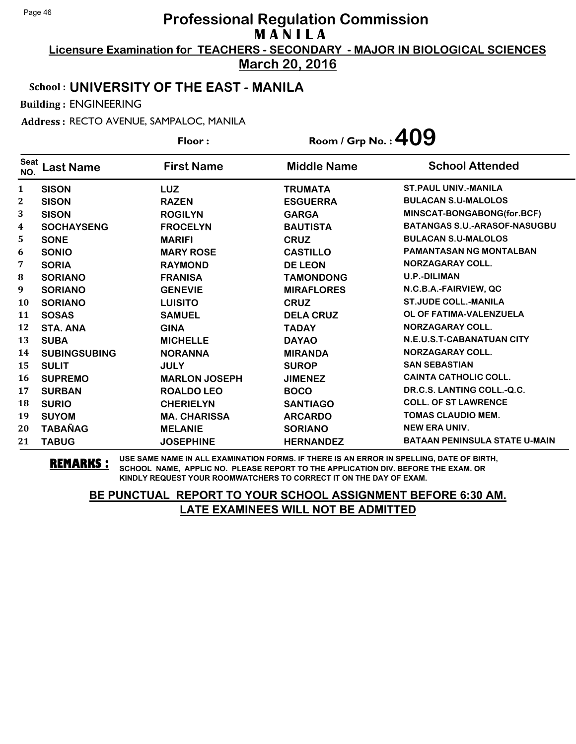**Licensure Examination for TEACHERS - SECONDARY - MAJOR IN BIOLOGICAL SCIENCES March 20, 2016**

#### School : **UNIVERSITY OF THE EAST - MANILA**

Building : ENGINEERING

Address : RECTO AVENUE, SAMPALOC, MANILA

**Last Name First Name Middle Name** Floor : Room / Grp No. :**409** Seat <sup>seat</sup> Last Name First Name Middle Name School Attended **SISON LUZ TRUMATA ST.PAUL UNIV.-MANILA SISON RAZEN ESGUERRA BULACAN S.U-MALOLOS SISON ROGILYN GARGA MINSCAT-BONGABONG(for.BCF) SOCHAYSENG FROCELYN BAUTISTA BATANGAS S.U.-ARASOF-NASUGBU SONE MARIFI CRUZ BULACAN S.U-MALOLOS SONIO MARY ROSE CASTILLO PAMANTASAN NG MONTALBAN SORIA RAYMOND DE LEON NORZAGARAY COLL. SORIANO FRANISA TAMONDONG U.P.-DILIMAN SORIANO GENEVIE MIRAFLORES N.C.B.A.-FAIRVIEW, QC SORIANO LUISITO CRUZ ST.JUDE COLL.-MANILA SOSAS SAMUEL DELA CRUZ OL OF FATIMA-VALENZUELA STA. ANA GINA TADAY NORZAGARAY COLL. SUBA MICHELLE DAYAO N.E.U.S.T-CABANATUAN CITY SUBINGSUBING NORANNA MIRANDA NORZAGARAY COLL. SULIT JULY SUROP SAN SEBASTIAN SUPREMO MARLON JOSEPH JIMENEZ CAINTA CATHOLIC COLL. SURBAN ROALDO LEO BOCO DR.C.S. LANTING COLL.-Q.C. SURIO CHERIELYN SANTIAGO COLL. OF ST LAWRENCE SUYOM MA. CHARISSA ARCARDO TOMAS CLAUDIO MEM. TABAÑAG MELANIE SORIANO NEW ERA UNIV. TABUG JOSEPHINE HERNANDEZ BATAAN PENINSULA STATE U-MAIN**

**REMARKS :** USE SAME NAME IN ALL EXAMINATION FORMS. IF THERE IS AN ERROR IN SPELLING, DATE OF BIRTH, SCHOOL NAME, APPLIC NO. PLEASE REPORT TO THE APPLICATION DIV. BEFORE THE EXAM. OR KINDLY REQUEST YOUR ROOMWATCHERS TO CORRECT IT ON THE DAY OF EXAM.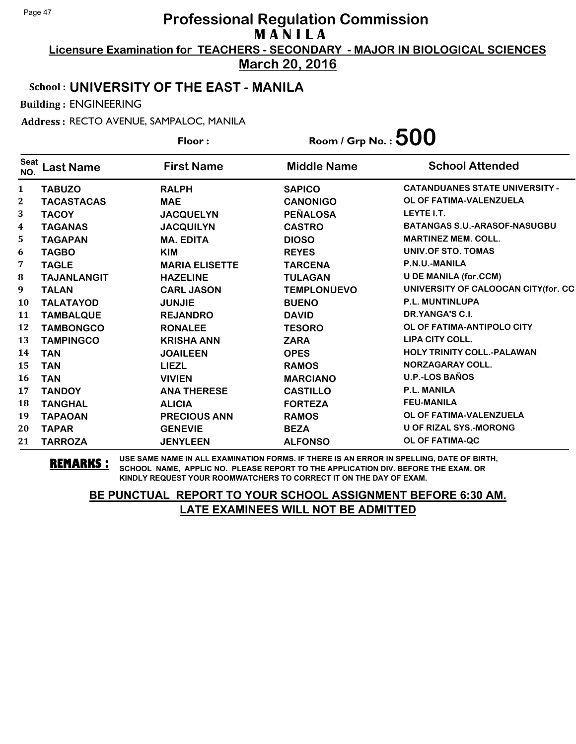**Licensure Examination for TEACHERS - SECONDARY - MAJOR IN BIOLOGICAL SCIENCES March 20, 2016**

School : **UNIVERSITY OF THE EAST - MANILA**

Building : ENGINEERING

Address : RECTO AVENUE, SAMPALOC, MANILA

**Last Name First Name Middle Name** Floor : Room / Grp No. :**500** Seat <sup>Seat</sup> Last Name First Name Middle Name School Attended **TABUZO RALPH SAPICO CATANDUANES STATE UNIVERSITY - TACASTACAS MAE CANONIGO OL OF FATIMA-VALENZUELA TACOY JACQUELYN PEÑALOSA LEYTE I.T. TAGANAS JACQUILYN CASTRO BATANGAS S.U.-ARASOF-NASUGBU TAGAPAN MA. EDITA DIOSO MARTINEZ MEM. COLL. TAGBO KIM REYES UNIV.OF STO. TOMAS TAGLE MARIA ELISETTE TARCENA P.N.U.-MANILA TAJANLANGIT HAZELINE TULAGAN U DE MANILA (for.CCM) TALAN CARL JASON TEMPLONUEVO UNIVERSITY OF CALOOCAN CITY(for. CC TALATAYOD JUNJIE BUENO P.L. MUNTINLUPA TAMBALQUE REJANDRO DAVID DR.YANGA'S C.I. TAMBONGCO RONALEE TESORO OL OF FATIMA-ANTIPOLO CITY TAMPINGCO KRISHA ANN ZARA LIPA CITY COLL. TAN JOAILEEN OPES HOLY TRINITY COLL.-PALAWAN TAN LIEZL RAMOS NORZAGARAY COLL. TAN VIVIEN MARCIANO U.P.-LOS BAÑOS TANDOY ANA THERESE CASTILLO P.L. MANILA TANGHAL ALICIA FORTEZA FEU-MANILA TAPAOAN PRECIOUS ANN RAMOS OL OF FATIMA-VALENZUELA TAPAR GENEVIE BEZA U OF RIZAL SYS.-MORONG TARROZA JENYLEEN ALFONSO OL OF FATIMA-QC**

**REMARKS :** USE SAME NAME IN ALL EXAMINATION FORMS. IF THERE IS AN ERROR IN SPELLING, DATE OF BIRTH, SCHOOL NAME, APPLIC NO. PLEASE REPORT TO THE APPLICATION DIV. BEFORE THE EXAM. OR KINDLY REQUEST YOUR ROOMWATCHERS TO CORRECT IT ON THE DAY OF EXAM.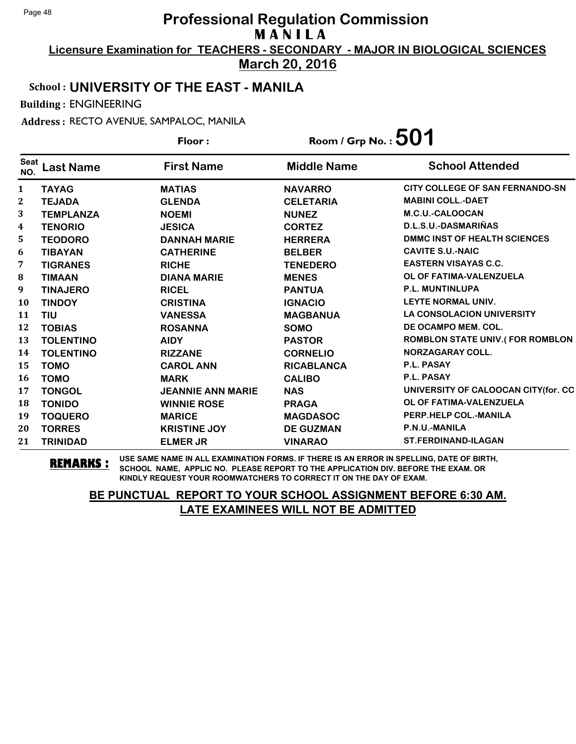**Licensure Examination for TEACHERS - SECONDARY - MAJOR IN BIOLOGICAL SCIENCES March 20, 2016**

School : **UNIVERSITY OF THE EAST - MANILA**

Building : ENGINEERING

Address : RECTO AVENUE, SAMPALOC, MANILA

**Last Name First Name Middle Name** Floor : Room / Grp No. :**501** Seat <sup>Seat</sup> Last Name First Name Middle Name School Attended **TAYAG MATIAS NAVARRO CITY COLLEGE OF SAN FERNANDO-SN TEJADA GLENDA CELETARIA MABINI COLL.-DAET TEMPLANZA NOEMI NUNEZ M.C.U.-CALOOCAN TENORIO JESICA CORTEZ D.L.S.U.-DASMARIÑAS TEODORO DANNAH MARIE HERRERA DMMC INST OF HEALTH SCIENCES TIBAYAN CATHERINE BELBER CAVITE S.U.-NAIC TIGRANES RICHE TENEDERO EASTERN VISAYAS C.C. TIMAAN DIANA MARIE MENES OL OF FATIMA-VALENZUELA TINAJERO RICEL PANTUA P.L. MUNTINLUPA TINDOY CRISTINA IGNACIO LEYTE NORMAL UNIV. TIU VANESSA MAGBANUA LA CONSOLACION UNIVERSITY TOBIAS ROSANNA SOMO DE OCAMPO MEM. COL. TOLENTINO AIDY PASTOR ROMBLON STATE UNIV.( FOR ROMBLON TOLENTINO RIZZANE CORNELIO NORZAGARAY COLL. TOMO CAROL ANN RICABLANCA P.L. PASAY TOMO MARK CALIBO P.L. PASAY TONGOL JEANNIE ANN MARIE NAS UNIVERSITY OF CALOOCAN CITY(for. CC TONIDO WINNIE ROSE PRAGA OL OF FATIMA-VALENZUELA TOQUERO MARICE MAGDASOC PERP.HELP COL.-MANILA TORRES KRISTINE JOY DE GUZMAN P.N.U.-MANILA TRINIDAD ELMER JR VINARAO ST.FERDINAND-ILAGAN**

**REMARKS :** USE SAME NAME IN ALL EXAMINATION FORMS. IF THERE IS AN ERROR IN SPELLING, DATE OF BIRTH, SCHOOL NAME, APPLIC NO. PLEASE REPORT TO THE APPLICATION DIV. BEFORE THE EXAM. OR KINDLY REQUEST YOUR ROOMWATCHERS TO CORRECT IT ON THE DAY OF EXAM.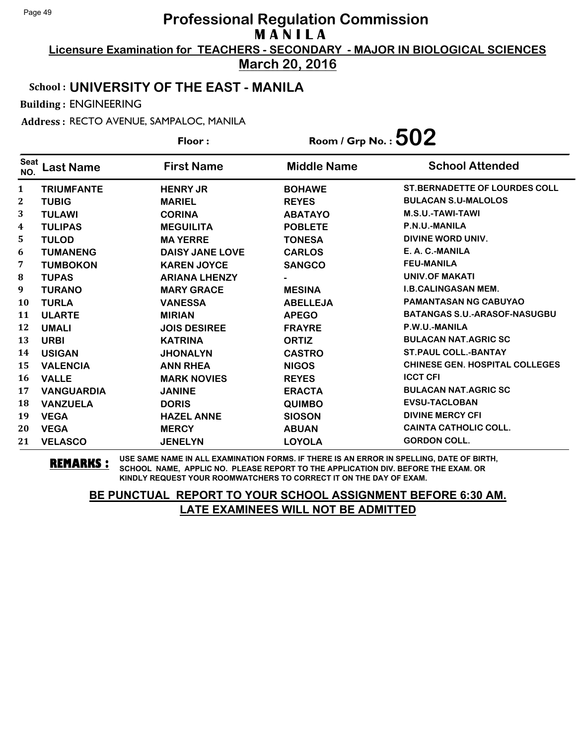**Licensure Examination for TEACHERS - SECONDARY - MAJOR IN BIOLOGICAL SCIENCES March 20, 2016**

#### School : **UNIVERSITY OF THE EAST - MANILA**

Building : ENGINEERING

Address : RECTO AVENUE, SAMPALOC, MANILA

**Last Name First Name Middle Name** Floor : Room / Grp No. :**502** Seat <sup>seat</sup> Last Name First Name Middle Name School Attended **TRIUMFANTE HENRY JR BOHAWE ST.BERNADETTE OF LOURDES COLL TUBIG MARIEL REYES BULACAN S.U-MALOLOS TULAWI CORINA ABATAYO M.S.U.-TAWI-TAWI TULIPAS MEGUILITA POBLETE P.N.U.-MANILA TULOD MA YERRE TONESA DIVINE WORD UNIV. TUMANENG DAISY JANE LOVE CARLOS E. A. C.-MANILA TUMBOKON KAREN JOYCE SANGCO FEU-MANILA TUPAS ARIANA LHENZY - UNIV.OF MAKATI TURANO MARY GRACE MESINA I.B.CALINGASAN MEM. TURLA VANESSA ABELLEJA PAMANTASAN NG CABUYAO ULARTE MIRIAN APEGO BATANGAS S.U.-ARASOF-NASUGBU UMALI JOIS DESIREE FRAYRE P.W.U.-MANILA URBI KATRINA ORTIZ BULACAN NAT.AGRIC SC USIGAN JHONALYN CASTRO ST.PAUL COLL.-BANTAY VALENCIA ANN RHEA NIGOS CHINESE GEN. HOSPITAL COLLEGES VALLE MARK NOVIES REYES ICCT CFI VANGUARDIA JANINE ERACTA BULACAN NAT.AGRIC SC VANZUELA DORIS QUIMBO EVSU-TACLOBAN VEGA HAZEL ANNE SIOSON DIVINE MERCY CFI VEGA MERCY ABUAN CAINTA CATHOLIC COLL. VELASCO JENELYN LOYOLA GORDON COLL.**

**REMARKS :** USE SAME NAME IN ALL EXAMINATION FORMS. IF THERE IS AN ERROR IN SPELLING, DATE OF BIRTH, SCHOOL NAME, APPLIC NO. PLEASE REPORT TO THE APPLICATION DIV. BEFORE THE EXAM. OR KINDLY REQUEST YOUR ROOMWATCHERS TO CORRECT IT ON THE DAY OF EXAM.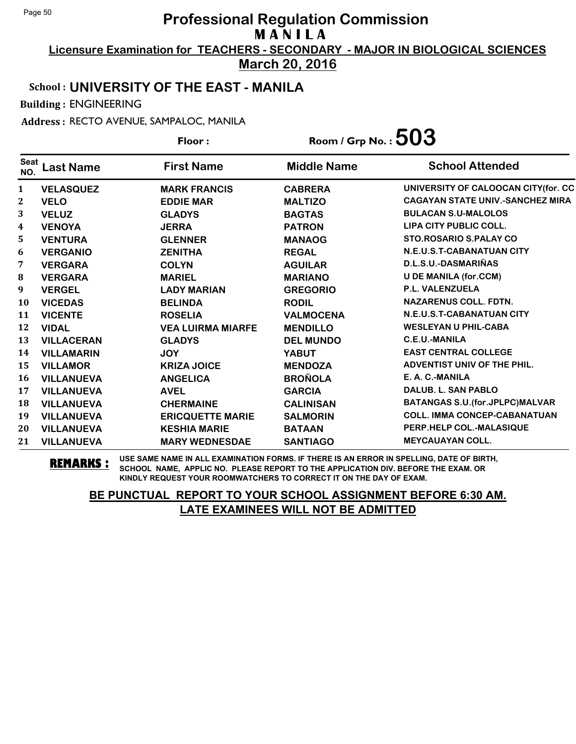**Licensure Examination for TEACHERS - SECONDARY - MAJOR IN BIOLOGICAL SCIENCES March 20, 2016**

School : **UNIVERSITY OF THE EAST - MANILA**

Building : ENGINEERING

Address : RECTO AVENUE, SAMPALOC, MANILA

**Last Name First Name Middle Name** Floor : Room / Grp No. :  $503$ Seat <sup>Seat</sup> Last Name First Name Middle Name School Attended **VELASQUEZ MARK FRANCIS CABRERA UNIVERSITY OF CALOOCAN CITY(for. CC VELO EDDIE MAR MALTIZO CAGAYAN STATE UNIV.-SANCHEZ MIRA VELUZ GLADYS BAGTAS BULACAN S.U-MALOLOS VENOYA JERRA PATRON LIPA CITY PUBLIC COLL. VENTURA GLENNER MANAOG STO.ROSARIO S.PALAY CO VERGANIO ZENITHA REGAL N.E.U.S.T-CABANATUAN CITY VERGARA COLYN AGUILAR D.L.S.U.-DASMARIÑAS VERGARA MARIEL MARIANO U DE MANILA (for.CCM) VERGEL LADY MARIAN GREGORIO P.L. VALENZUELA VICEDAS BELINDA RODIL NAZARENUS COLL. FDTN. VICENTE ROSELIA VALMOCENA N.E.U.S.T-CABANATUAN CITY VIDAL VEA LUIRMA MIARFE MENDILLO WESLEYAN U PHIL-CABA VILLACERAN GLADYS DEL MUNDO C.E.U.-MANILA VILLAMARIN JOY YABUT EAST CENTRAL COLLEGE VILLAMOR KRIZA JOICE MENDOZA ADVENTIST UNIV OF THE PHIL. VILLANUEVA ANGELICA BROÑOLA E. A. C.-MANILA VILLANUEVA AVEL GARCIA DALUB. L. SAN PABLO VILLANUEVA CHERMAINE CALINISAN BATANGAS S.U.(for.JPLPC)MALVAR VILLANUEVA ERICQUETTE MARIE SALMORIN COLL. IMMA CONCEP-CABANATUAN VILLANUEVA KESHIA MARIE BATAAN PERP.HELP COL.-MALASIQUE VILLANUEVA MARY WEDNESDAE SANTIAGO MEYCAUAYAN COLL.**

**REMARKS :** USE SAME NAME IN ALL EXAMINATION FORMS. IF THERE IS AN ERROR IN SPELLING, DATE OF BIRTH, SCHOOL NAME, APPLIC NO. PLEASE REPORT TO THE APPLICATION DIV. BEFORE THE EXAM. OR KINDLY REQUEST YOUR ROOMWATCHERS TO CORRECT IT ON THE DAY OF EXAM.